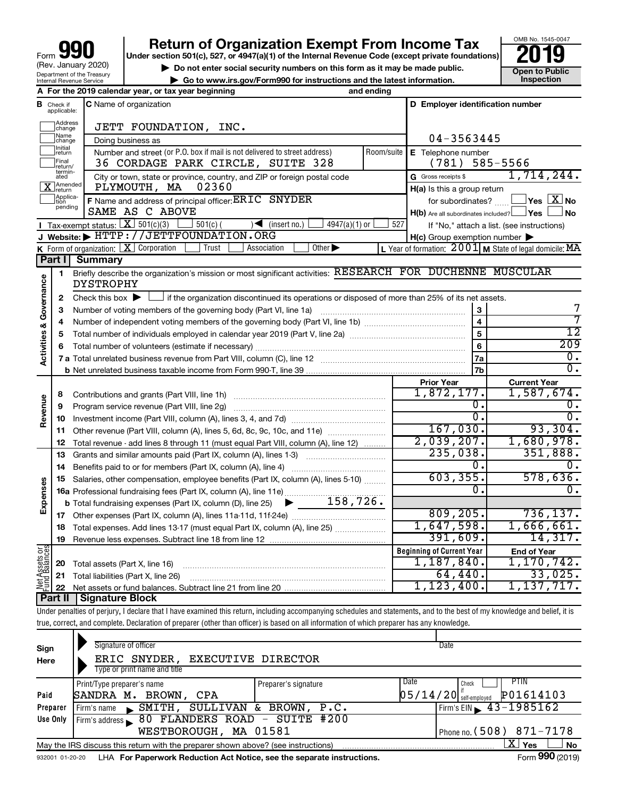# **your Section 501(c), 527, or 4947(a)(1) of the Internal Revenue Code (except private foundations) 2019**



▶ Do not enter social security numbers on this form as it may be made public. <br>
inspection and the latest information. **Dependent in the latest information** and the latest information. **| Go to www.irs.gov/Form990 for instructions and the latest information. Inspection**

|                                    |                              | A For the 2019 calendar year, or tax year beginning                                                                                       | and ending |                                                                       |                                                                    |
|------------------------------------|------------------------------|-------------------------------------------------------------------------------------------------------------------------------------------|------------|-----------------------------------------------------------------------|--------------------------------------------------------------------|
| в                                  | Check if<br>applicable:      | <b>C</b> Name of organization                                                                                                             |            | D Employer identification number                                      |                                                                    |
|                                    | Address<br>change            | JETT FOUNDATION, INC.                                                                                                                     |            |                                                                       |                                                                    |
|                                    | Name<br>change               | Doing business as                                                                                                                         |            | 04-3563445                                                            |                                                                    |
|                                    | Initial<br>return            | Number and street (or P.O. box if mail is not delivered to street address)                                                                | Room/suite | E Telephone number                                                    |                                                                    |
|                                    | Final<br> return/            | 36 CORDAGE PARK CIRCLE, SUITE 328                                                                                                         |            | (781)                                                                 | 585-5566                                                           |
|                                    | termin-<br>ated<br>X Amended | City or town, state or province, country, and ZIP or foreign postal code<br>PLYMOUTH, MA<br>02360                                         |            | G Gross receipts \$                                                   | 1,714,244.                                                         |
|                                    | Applica-<br>Ition            |                                                                                                                                           |            | H(a) Is this a group return                                           | $\sqrt{\mathsf{Yes}\mathord{\;\mathbb{X}}\mathord{\;\mathsf{No}}}$ |
|                                    | pending                      | F Name and address of principal officer: ERIC SNYDER<br>SAME AS C ABOVE                                                                   |            | for subordinates?<br>$H(b)$ Are all subordinates included? $\Box$ Yes | <b>No</b>                                                          |
|                                    |                              | <b>I</b> Tax-exempt status: $X \ 501(c)(3)$<br>$\vert$ 501(c) (<br>$\sqrt{\frac{1}{1}}$ (insert no.)<br>4947(a)(1) or                     | 527        |                                                                       | If "No," attach a list. (see instructions)                         |
|                                    |                              | J Website: FITTP://JETTFOUNDATION.ORG                                                                                                     |            | $H(c)$ Group exemption number $\blacktriangleright$                   |                                                                    |
|                                    |                              | K Form of organization: $X$ Corporation<br>Other $\blacktriangleright$<br>Trust<br>Association                                            |            |                                                                       | L Year of formation: $2001$ M State of legal domicile: MA          |
|                                    | Part I                       | <b>Summary</b>                                                                                                                            |            |                                                                       |                                                                    |
| <b>Activities &amp; Governance</b> | 1                            | Briefly describe the organization's mission or most significant activities: RESEARCH FOR DUCHENNE MUSCULAR<br>DYSTROPHY                   |            |                                                                       |                                                                    |
|                                    | 2                            | Check this box $\blacktriangleright$ L<br>If the organization discontinued its operations or disposed of more than 25% of its net assets. |            |                                                                       |                                                                    |
|                                    | З                            |                                                                                                                                           |            | 3                                                                     | 7                                                                  |
|                                    | 4                            |                                                                                                                                           |            | $\overline{\mathbf{4}}$                                               |                                                                    |
|                                    | 5                            |                                                                                                                                           |            | 5                                                                     | $\overline{12}$                                                    |
|                                    | 6                            |                                                                                                                                           |            | 6                                                                     | 209                                                                |
|                                    |                              |                                                                                                                                           |            | 7a                                                                    | Ο.                                                                 |
|                                    |                              |                                                                                                                                           |            | 7b                                                                    | $\overline{0}$ .                                                   |
|                                    |                              |                                                                                                                                           |            | <b>Prior Year</b>                                                     | <b>Current Year</b>                                                |
|                                    | 8                            | Contributions and grants (Part VIII, line 1h)                                                                                             |            | 1,872,177.                                                            | 1,587,674.                                                         |
|                                    | 9                            | Program service revenue (Part VIII, line 2g)                                                                                              |            | σ.                                                                    | 0.                                                                 |
| Revenue                            | 10                           |                                                                                                                                           |            | $\overline{0}$ .                                                      | $\overline{0}$ .                                                   |
|                                    | 11                           | Other revenue (Part VIII, column (A), lines 5, 6d, 8c, 9c, 10c, and 11e)                                                                  |            | 167,030.                                                              | 93,304.                                                            |
|                                    | 12                           | Total revenue - add lines 8 through 11 (must equal Part VIII, column (A), line 12)                                                        |            | 2,039,207.                                                            | 1,680,978.                                                         |
|                                    | 13                           | Grants and similar amounts paid (Part IX, column (A), lines 1-3)                                                                          |            | 235,038.                                                              | 351,888.                                                           |
|                                    | 14                           | Benefits paid to or for members (Part IX, column (A), line 4)                                                                             |            | 0.                                                                    | $\overline{0}$ .                                                   |
|                                    | 15                           | Salaries, other compensation, employee benefits (Part IX, column (A), lines 5-10)                                                         |            | 603, 355.                                                             | 578,636.                                                           |
| Expenses                           |                              | 16a Professional fundraising fees (Part IX, column (A), line 11e)                                                                         |            | Ω.                                                                    | О.                                                                 |
|                                    |                              | 158,726.<br><b>b</b> Total fundraising expenses (Part IX, column (D), line 25)                                                            |            |                                                                       |                                                                    |
|                                    | 17                           |                                                                                                                                           |            | 809, 205.                                                             | 736, 137.                                                          |
|                                    | 18                           | Total expenses. Add lines 13-17 (must equal Part IX, column (A), line 25)                                                                 |            | 1,647,598.                                                            | 1,666,661.                                                         |
|                                    | 19                           |                                                                                                                                           |            | 391,609.                                                              | 14,317.                                                            |
|                                    |                              |                                                                                                                                           |            | <b>Beginning of Current Year</b>                                      | <b>End of Year</b>                                                 |
|                                    | 20                           | Total assets (Part X, line 16)                                                                                                            |            | 1,187,840.                                                            | 1, 170, 742.                                                       |
| Net Assets or<br>Fund Balances     | 21                           | Total liabilities (Part X, line 26)                                                                                                       |            | 64,440.                                                               | 33,025.                                                            |
|                                    | 22                           |                                                                                                                                           |            | 1,123,400.                                                            | 1,137,717.                                                         |
|                                    |                              | Dart II   Sianature Block                                                                                                                 |            |                                                                       |                                                                    |

Under penalties of perjury, I declare that I have examined this return, including accompanying schedules and statements, and to the best of my knowledge and belief, it is true, correct, and complete. Declaration of preparer (other than officer) is based on all information of which preparer has any knowledge. **Part II Signature Block**

| Sign<br>Here    | Signature of officer<br>ERIC SNYDER, EXECUTIVE DIRECTOR<br>Type or print name and title |                      | Date                                                                  |
|-----------------|-----------------------------------------------------------------------------------------|----------------------|-----------------------------------------------------------------------|
| Paid            | Print/Type preparer's name<br>SANDRA M. BROWN, CPA                                      | Preparer's signature | Date<br><b>PTIN</b><br>Check<br>P01614103<br>$05/14/20$ self-employed |
| Preparer        | SMITH, SULLIVAN &<br>Firm's name<br>$\mathbf{E}$                                        | BROWN, P.C.          | Firm's EIN $\sqrt{43-1985162}$                                        |
| Use Only        | Firm's address 80 FLANDERS ROAD - SUITE #200                                            |                      |                                                                       |
|                 | WESTBOROUGH, MA 01581                                                                   |                      | Phone no. $(508)$ 871-7178                                            |
|                 | May the IRS discuss this return with the preparer shown above? (see instructions)       |                      | x<br><b>Yes</b><br><b>No</b>                                          |
| 932001 01-20-20 | LHA For Paperwork Reduction Act Notice, see the separate instructions.                  |                      | Form 990 (2019)                                                       |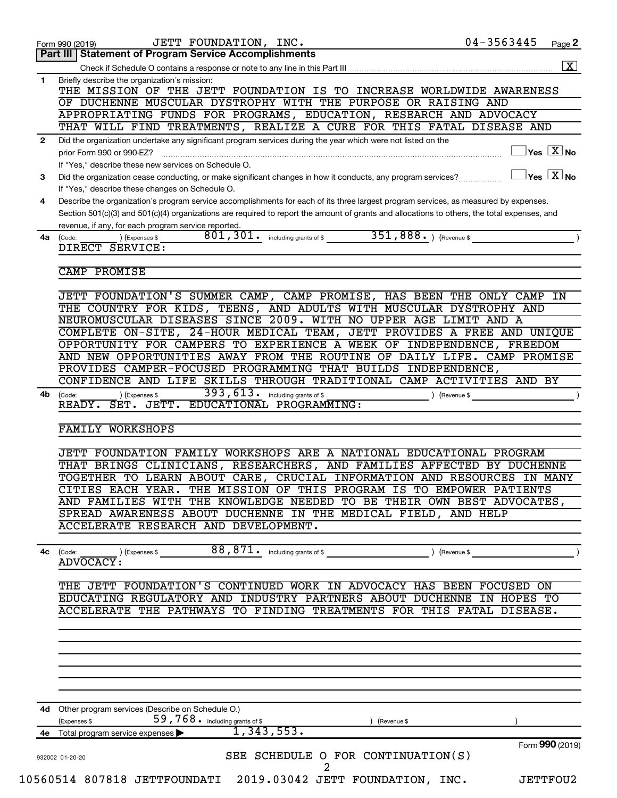| JETT FOUNDATION, INC.<br>Part III   Statement of Program Service Accomplishments                                                                 | 04-3563445<br>Page 2              |
|--------------------------------------------------------------------------------------------------------------------------------------------------|-----------------------------------|
|                                                                                                                                                  |                                   |
| Briefly describe the organization's mission:                                                                                                     |                                   |
| THE MISSION OF THE JETT FOUNDATION IS TO INCREASE WORLDWIDE AWARENESS                                                                            |                                   |
| OF DUCHENNE MUSCULAR DYSTROPHY WITH THE PURPOSE OR RAISING AND                                                                                   |                                   |
| APPROPRIATING FUNDS FOR PROGRAMS, EDUCATION, RESEARCH AND ADVOCACY<br>THAT WILL FIND TREATMENTS, REALIZE A CURE FOR THIS FATAL DISEASE AND       |                                   |
| Did the organization undertake any significant program services during the year which were not listed on the                                     |                                   |
| prior Form 990 or 990-EZ?                                                                                                                        | $\vert$ Yes $\boxed{\text{X}}$ No |
| If "Yes," describe these new services on Schedule O.                                                                                             |                                   |
| Did the organization cease conducting, or make significant changes in how it conducts, any program services?                                     | $\vert$ Yes $\boxed{\text{X}}$ No |
| If "Yes," describe these changes on Schedule O.                                                                                                  |                                   |
| Describe the organization's program service accomplishments for each of its three largest program services, as measured by expenses.             |                                   |
| Section 501(c)(3) and 501(c)(4) organizations are required to report the amount of grants and allocations to others, the total expenses, and     |                                   |
| revenue, if any, for each program service reported.                                                                                              |                                   |
| 351,888. ) (Revenue \$<br>801, 301. including grants of \$<br>) (Expenses \$<br>DIRECT SERVICE:                                                  |                                   |
|                                                                                                                                                  |                                   |
| CAMP PROMISE                                                                                                                                     |                                   |
|                                                                                                                                                  |                                   |
| JETT FOUNDATION'S SUMMER CAMP, CAMP PROMISE, HAS BEEN THE ONLY CAMP IN                                                                           |                                   |
| THE COUNTRY FOR KIDS, TEENS, AND ADULTS WITH MUSCULAR DYSTROPHY AND                                                                              |                                   |
| NEUROMUSCULAR DISEASES SINCE 2009. WITH NO UPPER AGE LIMIT AND A                                                                                 |                                   |
| COMPLETE ON-SITE, 24-HOUR MEDICAL TEAM, JETT PROVIDES A FREE AND UNIQUE                                                                          |                                   |
| OPPORTUNITY FOR CAMPERS TO EXPERIENCE A WEEK OF INDEPENDENCE, FREEDOM<br>AND NEW OPPORTUNITIES AWAY FROM THE ROUTINE OF DAILY LIFE. CAMP PROMISE |                                   |
| PROVIDES CAMPER-FOCUSED PROGRAMMING THAT BUILDS INDEPENDENCE,                                                                                    |                                   |
| CONFIDENCE AND LIFE SKILLS THROUGH TRADITIONAL CAMP ACTIVITIES AND BY                                                                            |                                   |
| 393, 613. including grants of \$<br>) (Expenses \$<br>) (Revenue \$                                                                              |                                   |
| READY. SET. JETT. EDUCATIONAL PROGRAMMING:                                                                                                       |                                   |
|                                                                                                                                                  |                                   |
| <b>FAMILY WORKSHOPS</b>                                                                                                                          |                                   |
| JETT FOUNDATION FAMILY WORKSHOPS ARE A NATIONAL EDUCATIONAL PROGRAM                                                                              |                                   |
| THAT BRINGS CLINICIANS, RESEARCHERS, AND FAMILIES AFFECTED BY DUCHENNE                                                                           |                                   |
| TOGETHER TO LEARN ABOUT CARE, CRUCIAL INFORMATION AND RESOURCES IN MANY                                                                          |                                   |
|                                                                                                                                                  |                                   |
|                                                                                                                                                  |                                   |
| CITIES EACH YEAR. THE MISSION OF THIS PROGRAM IS TO EMPOWER PATIENTS                                                                             |                                   |
| AND FAMILIES WITH THE KNOWLEDGE NEEDED TO BE THEIR OWN BEST ADVOCATES,<br>SPREAD AWARENESS ABOUT DUCHENNE IN THE MEDICAL FIELD, AND HELP         |                                   |
| ACCELERATE RESEARCH AND DEVELOPMENT.                                                                                                             |                                   |
|                                                                                                                                                  |                                   |
| $88,871$ • including grants of \$ ) (Revenue \$<br>) (Expenses \$                                                                                |                                   |
| <b>ADVOCACY:</b>                                                                                                                                 |                                   |
|                                                                                                                                                  |                                   |
| THE JETT FOUNDATION'S CONTINUED WORK IN ADVOCACY HAS BEEN FOCUSED ON                                                                             |                                   |
| EDUCATING REGULATORY AND INDUSTRY PARTNERS ABOUT DUCHENNE IN HOPES TO<br>ACCELERATE THE PATHWAYS TO FINDING TREATMENTS FOR THIS FATAL DISEASE.   |                                   |
|                                                                                                                                                  |                                   |
|                                                                                                                                                  |                                   |
|                                                                                                                                                  |                                   |
|                                                                                                                                                  |                                   |
|                                                                                                                                                  |                                   |
|                                                                                                                                                  |                                   |
|                                                                                                                                                  |                                   |
| 4d Other program services (Describe on Schedule O.)                                                                                              |                                   |
| 59,768. including grants of \$<br>) (Revenue \$<br>1,343,553.<br>4e Total program service expenses                                               |                                   |
|                                                                                                                                                  | Form 990 (2019)                   |
| SEE SCHEDULE O FOR CONTINUATION(S)                                                                                                               |                                   |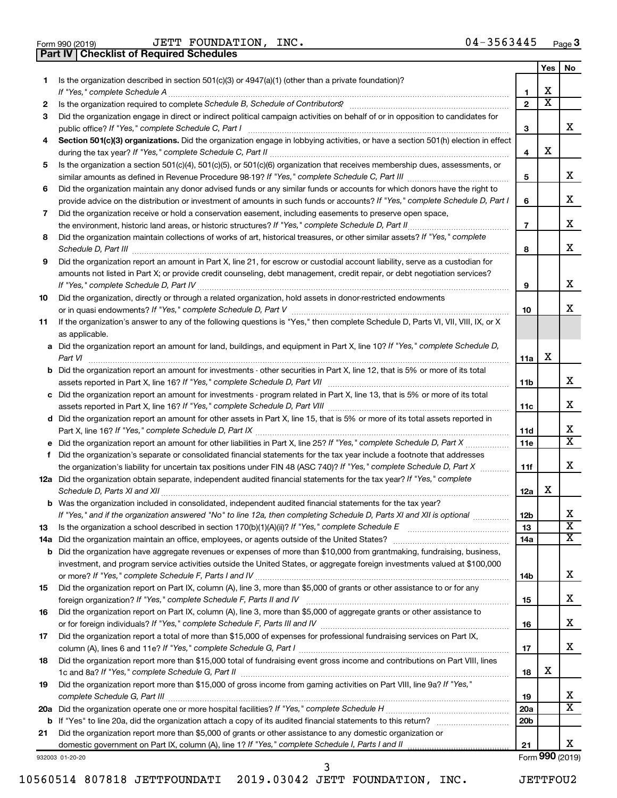| Form 990 (2019) |  |  |
|-----------------|--|--|
|                 |  |  |

Form 990 (2019) Page JETT FOUNDATION, INC. 04-3563445

**Part IV Checklist of Required Schedules**

|    |                                                                                                                                                                                          |                 | Yes                          | No                      |
|----|------------------------------------------------------------------------------------------------------------------------------------------------------------------------------------------|-----------------|------------------------------|-------------------------|
| 1  | Is the organization described in section $501(c)(3)$ or $4947(a)(1)$ (other than a private foundation)?                                                                                  |                 |                              |                         |
|    | If "Yes," complete Schedule A                                                                                                                                                            | 1               | х<br>$\overline{\textbf{x}}$ |                         |
| 2  |                                                                                                                                                                                          | $\mathbf{2}$    |                              |                         |
| 3  | Did the organization engage in direct or indirect political campaign activities on behalf of or in opposition to candidates for                                                          |                 |                              | x                       |
| 4  | public office? If "Yes," complete Schedule C, Part I<br>Section 501(c)(3) organizations. Did the organization engage in lobbying activities, or have a section 501(h) election in effect | 3               |                              |                         |
|    |                                                                                                                                                                                          | 4               | х                            |                         |
| 5  | Is the organization a section 501(c)(4), 501(c)(5), or 501(c)(6) organization that receives membership dues, assessments, or                                                             |                 |                              |                         |
|    |                                                                                                                                                                                          | 5               |                              | x                       |
| 6  | Did the organization maintain any donor advised funds or any similar funds or accounts for which donors have the right to                                                                |                 |                              |                         |
|    | provide advice on the distribution or investment of amounts in such funds or accounts? If "Yes," complete Schedule D, Part I                                                             | 6               |                              | x                       |
| 7  | Did the organization receive or hold a conservation easement, including easements to preserve open space,                                                                                |                 |                              |                         |
|    | the environment, historic land areas, or historic structures? If "Yes," complete Schedule D, Part II                                                                                     | $\overline{7}$  |                              | x                       |
| 8  | Did the organization maintain collections of works of art, historical treasures, or other similar assets? If "Yes," complete                                                             |                 |                              |                         |
|    | Schedule D, Part III                                                                                                                                                                     | 8               |                              | x                       |
| 9  | Did the organization report an amount in Part X, line 21, for escrow or custodial account liability, serve as a custodian for                                                            |                 |                              |                         |
|    | amounts not listed in Part X; or provide credit counseling, debt management, credit repair, or debt negotiation services?                                                                |                 |                              |                         |
|    | If "Yes," complete Schedule D, Part IV                                                                                                                                                   | 9               |                              | x                       |
| 10 | Did the organization, directly or through a related organization, hold assets in donor-restricted endowments                                                                             |                 |                              |                         |
|    |                                                                                                                                                                                          | 10              |                              | X.                      |
| 11 | If the organization's answer to any of the following questions is "Yes," then complete Schedule D, Parts VI, VII, VIII, IX, or X                                                         |                 |                              |                         |
|    | as applicable.<br>a Did the organization report an amount for land, buildings, and equipment in Part X, line 10? If "Yes," complete Schedule D,                                          |                 |                              |                         |
|    | Part VI                                                                                                                                                                                  | 11a             | х                            |                         |
|    | <b>b</b> Did the organization report an amount for investments - other securities in Part X, line 12, that is 5% or more of its total                                                    |                 |                              |                         |
|    | assets reported in Part X, line 16? If "Yes," complete Schedule D, Part VII                                                                                                              | 11b             |                              | x                       |
|    | c Did the organization report an amount for investments - program related in Part X, line 13, that is 5% or more of its total                                                            |                 |                              |                         |
|    |                                                                                                                                                                                          | 11c             |                              | x                       |
|    | d Did the organization report an amount for other assets in Part X, line 15, that is 5% or more of its total assets reported in                                                          |                 |                              |                         |
|    |                                                                                                                                                                                          | 11d             |                              | x.                      |
|    | e Did the organization report an amount for other liabilities in Part X, line 25? If "Yes," complete Schedule D, Part X                                                                  | 11e             |                              | $\overline{\mathbf{X}}$ |
| f. | Did the organization's separate or consolidated financial statements for the tax year include a footnote that addresses                                                                  |                 |                              | x                       |
|    | the organization's liability for uncertain tax positions under FIN 48 (ASC 740)? If "Yes," complete Schedule D, Part X                                                                   | 11f             |                              |                         |
|    | 12a Did the organization obtain separate, independent audited financial statements for the tax year? If "Yes," complete<br>Schedule D, Parts XI and XII                                  | 12a             | x                            |                         |
|    | <b>b</b> Was the organization included in consolidated, independent audited financial statements for the tax year?                                                                       |                 |                              |                         |
|    | If "Yes," and if the organization answered "No" to line 12a, then completing Schedule D, Parts XI and XII is optional                                                                    | 12 <sub>b</sub> |                              | х                       |
| 13 |                                                                                                                                                                                          | 13              |                              | $\overline{\textbf{x}}$ |
|    | 14a Did the organization maintain an office, employees, or agents outside of the United States?                                                                                          | 14a             |                              | X                       |
|    | <b>b</b> Did the organization have aggregate revenues or expenses of more than \$10,000 from grantmaking, fundraising, business,                                                         |                 |                              |                         |
|    | investment, and program service activities outside the United States, or aggregate foreign investments valued at \$100,000                                                               |                 |                              |                         |
|    |                                                                                                                                                                                          | 14b             |                              | x                       |
| 15 | Did the organization report on Part IX, column (A), line 3, more than \$5,000 of grants or other assistance to or for any                                                                |                 |                              |                         |
|    |                                                                                                                                                                                          | 15              |                              | x                       |
| 16 | Did the organization report on Part IX, column (A), line 3, more than \$5,000 of aggregate grants or other assistance to                                                                 |                 |                              |                         |
|    |                                                                                                                                                                                          | 16              |                              | x                       |
| 17 | Did the organization report a total of more than \$15,000 of expenses for professional fundraising services on Part IX,                                                                  | 17              |                              | X.                      |
| 18 | Did the organization report more than \$15,000 total of fundraising event gross income and contributions on Part VIII, lines                                                             |                 |                              |                         |
|    |                                                                                                                                                                                          | 18              | x                            |                         |
| 19 | Did the organization report more than \$15,000 of gross income from gaming activities on Part VIII, line 9a? If "Yes,"                                                                   |                 |                              |                         |
|    |                                                                                                                                                                                          | 19              |                              | X.                      |
|    |                                                                                                                                                                                          | 20a             |                              | $\overline{\mathbf{X}}$ |
|    |                                                                                                                                                                                          | 20 <sub>b</sub> |                              |                         |
| 21 | Did the organization report more than \$5,000 of grants or other assistance to any domestic organization or                                                                              |                 |                              |                         |
|    |                                                                                                                                                                                          | 21              |                              | X.                      |

932003 01-20-20

Form (2019) **990**

10560514 807818 JETTFOUNDATI 2019.03042 JETT FOUNDATION, INC. JETTFOU2 3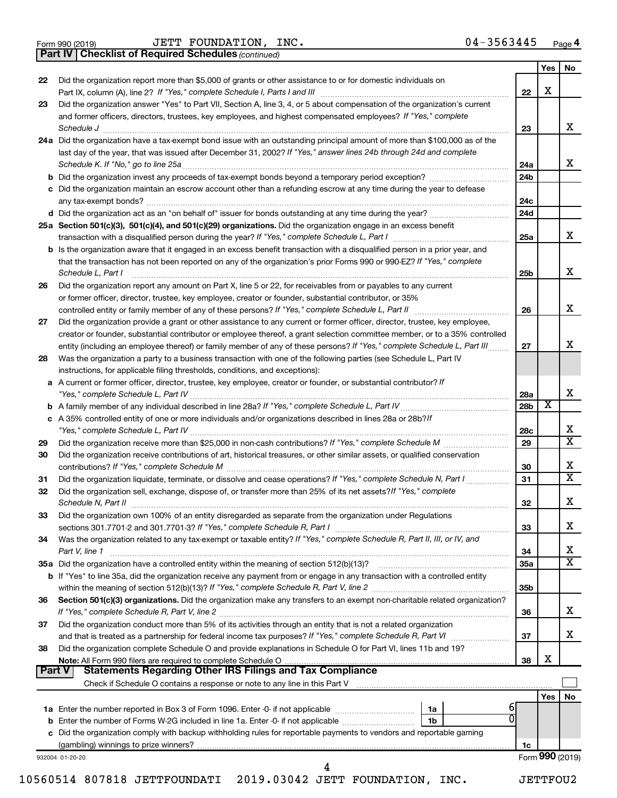|  | Form 990 (2019) |  |
|--|-----------------|--|
|  |                 |  |

Form 990 (2019) Page JETT FOUNDATION, INC. 04-3563445

*(continued)* **Part IV Checklist of Required Schedules**

|               |                                                                                                                                                                                                                                                                                    |                        | Yes I           | No                      |
|---------------|------------------------------------------------------------------------------------------------------------------------------------------------------------------------------------------------------------------------------------------------------------------------------------|------------------------|-----------------|-------------------------|
| 22            | Did the organization report more than \$5,000 of grants or other assistance to or for domestic individuals on                                                                                                                                                                      | 22                     | X               |                         |
| 23            | Did the organization answer "Yes" to Part VII, Section A, line 3, 4, or 5 about compensation of the organization's current                                                                                                                                                         |                        |                 |                         |
|               | and former officers, directors, trustees, key employees, and highest compensated employees? If "Yes," complete<br>Schedule J                                                                                                                                                       | 23                     |                 | x                       |
|               | 24a Did the organization have a tax-exempt bond issue with an outstanding principal amount of more than \$100,000 as of the                                                                                                                                                        |                        |                 |                         |
|               | last day of the year, that was issued after December 31, 2002? If "Yes," answer lines 24b through 24d and complete                                                                                                                                                                 |                        |                 |                         |
|               | Schedule K. If "No," go to line 25a                                                                                                                                                                                                                                                | 24a                    |                 | x                       |
|               | <b>b</b> Did the organization invest any proceeds of tax-exempt bonds beyond a temporary period exception?                                                                                                                                                                         | 24 <sub>b</sub>        |                 |                         |
|               | c Did the organization maintain an escrow account other than a refunding escrow at any time during the year to defease                                                                                                                                                             |                        |                 |                         |
|               | any tax-exempt bonds?                                                                                                                                                                                                                                                              | 24c                    |                 |                         |
|               | d Did the organization act as an "on behalf of" issuer for bonds outstanding at any time during the year?                                                                                                                                                                          | 24d                    |                 |                         |
|               | 25a Section 501(c)(3), 501(c)(4), and 501(c)(29) organizations. Did the organization engage in an excess benefit                                                                                                                                                                   |                        |                 |                         |
|               |                                                                                                                                                                                                                                                                                    | 25a                    |                 | x                       |
|               | <b>b</b> Is the organization aware that it engaged in an excess benefit transaction with a disqualified person in a prior year, and<br>that the transaction has not been reported on any of the organization's prior Forms 990 or 990-EZ? If "Yes," complete<br>Schedule L, Part I | 25b                    |                 | х                       |
| 26            | Did the organization report any amount on Part X, line 5 or 22, for receivables from or payables to any current                                                                                                                                                                    |                        |                 |                         |
|               | or former officer, director, trustee, key employee, creator or founder, substantial contributor, or 35%                                                                                                                                                                            |                        |                 |                         |
|               | controlled entity or family member of any of these persons? If "Yes," complete Schedule L, Part II                                                                                                                                                                                 | 26                     |                 | х                       |
| 27            | Did the organization provide a grant or other assistance to any current or former officer, director, trustee, key employee,                                                                                                                                                        |                        |                 |                         |
|               | creator or founder, substantial contributor or employee thereof, a grant selection committee member, or to a 35% controlled                                                                                                                                                        |                        |                 |                         |
|               | entity (including an employee thereof) or family member of any of these persons? If "Yes," complete Schedule L, Part III                                                                                                                                                           | 27                     |                 | x                       |
| 28            | Was the organization a party to a business transaction with one of the following parties (see Schedule L, Part IV                                                                                                                                                                  |                        |                 |                         |
|               | instructions, for applicable filing thresholds, conditions, and exceptions):                                                                                                                                                                                                       |                        |                 |                         |
|               | a A current or former officer, director, trustee, key employee, creator or founder, or substantial contributor? If                                                                                                                                                                 |                        |                 | х                       |
|               |                                                                                                                                                                                                                                                                                    | 28a<br>28 <sub>b</sub> | х               |                         |
|               | c A 35% controlled entity of one or more individuals and/or organizations described in lines 28a or 28b?If                                                                                                                                                                         |                        |                 |                         |
|               |                                                                                                                                                                                                                                                                                    | 28c                    |                 | х                       |
| 29            |                                                                                                                                                                                                                                                                                    | 29                     |                 | $\overline{\textbf{x}}$ |
| 30            | Did the organization receive contributions of art, historical treasures, or other similar assets, or qualified conservation                                                                                                                                                        |                        |                 | x                       |
| 31            | Did the organization liquidate, terminate, or dissolve and cease operations? If "Yes," complete Schedule N, Part I                                                                                                                                                                 | 30<br>31               |                 | $\overline{\mathbf{X}}$ |
| 32            | Did the organization sell, exchange, dispose of, or transfer more than 25% of its net assets? If "Yes," complete                                                                                                                                                                   |                        |                 |                         |
|               | Schedule N, Part II                                                                                                                                                                                                                                                                | 32                     |                 | х                       |
| 33            | Did the organization own 100% of an entity disregarded as separate from the organization under Regulations                                                                                                                                                                         |                        |                 | х                       |
|               |                                                                                                                                                                                                                                                                                    | 33                     |                 |                         |
| 34            | Was the organization related to any tax-exempt or taxable entity? If "Yes," complete Schedule R, Part II, III, or IV, and                                                                                                                                                          |                        |                 | х                       |
|               | Part V, line 1                                                                                                                                                                                                                                                                     | 34<br><b>35a</b>       |                 | X                       |
|               | b If "Yes" to line 35a, did the organization receive any payment from or engage in any transaction with a controlled entity                                                                                                                                                        |                        |                 |                         |
|               |                                                                                                                                                                                                                                                                                    | 35 <sub>b</sub>        |                 |                         |
| 36            | Section 501(c)(3) organizations. Did the organization make any transfers to an exempt non-charitable related organization?                                                                                                                                                         |                        |                 |                         |
|               |                                                                                                                                                                                                                                                                                    | 36                     |                 | x                       |
| 37            | Did the organization conduct more than 5% of its activities through an entity that is not a related organization                                                                                                                                                                   |                        |                 |                         |
|               | and that is treated as a partnership for federal income tax purposes? If "Yes," complete Schedule R, Part VI                                                                                                                                                                       | 37                     |                 | x                       |
| 38            | Did the organization complete Schedule O and provide explanations in Schedule O for Part VI, lines 11b and 19?                                                                                                                                                                     |                        |                 |                         |
|               |                                                                                                                                                                                                                                                                                    | 38                     | X               |                         |
| <b>Part V</b> | <b>Statements Regarding Other IRS Filings and Tax Compliance</b>                                                                                                                                                                                                                   |                        |                 |                         |
|               |                                                                                                                                                                                                                                                                                    |                        |                 |                         |
|               |                                                                                                                                                                                                                                                                                    |                        | Yes             | No                      |
|               | 1a<br>ŋ                                                                                                                                                                                                                                                                            |                        |                 |                         |
|               | b Enter the number of Forms W-2G included in line 1a. Enter -0- if not applicable<br>1 <sub>b</sub>                                                                                                                                                                                |                        |                 |                         |
|               | c Did the organization comply with backup withholding rules for reportable payments to vendors and reportable gaming                                                                                                                                                               | 1c                     |                 |                         |
|               | 932004 01-20-20                                                                                                                                                                                                                                                                    |                        | Form 990 (2019) |                         |
|               | 4                                                                                                                                                                                                                                                                                  |                        |                 |                         |

10560514 807818 JETTFOUNDATI 2019.03042 JETT FOUNDATION, INC. JETTFOU2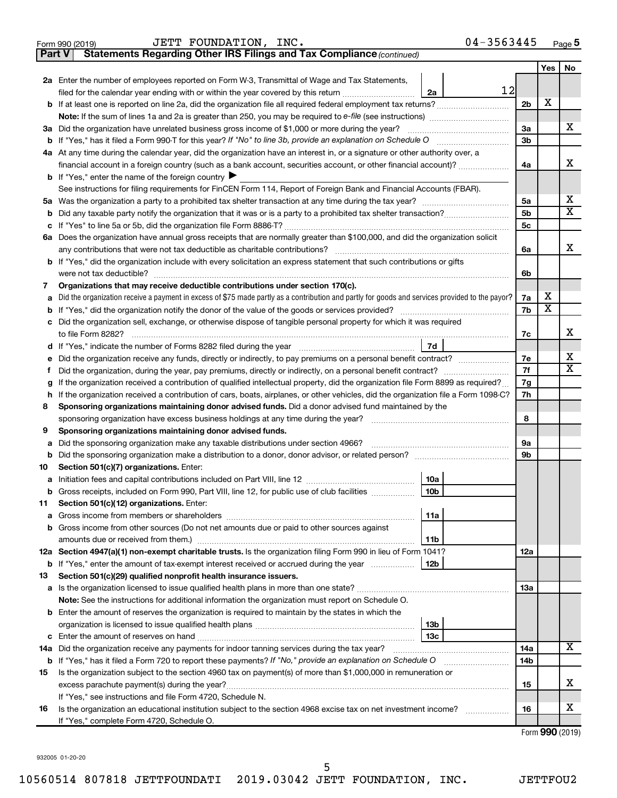|        | 04-3563445<br>JETT FOUNDATION, INC.<br>Form 990 (2019)                                                                                          |                |                         | Page 5                  |
|--------|-------------------------------------------------------------------------------------------------------------------------------------------------|----------------|-------------------------|-------------------------|
| Part V | Statements Regarding Other IRS Filings and Tax Compliance (continued)                                                                           |                |                         |                         |
|        |                                                                                                                                                 |                | Yes                     | No                      |
|        | 2a Enter the number of employees reported on Form W-3, Transmittal of Wage and Tax Statements,                                                  |                |                         |                         |
|        | 12<br>filed for the calendar year ending with or within the year covered by this return <i>[[[[[[[[[[[[[[]]]</i> ]]<br>2a                       |                |                         |                         |
|        |                                                                                                                                                 | 2 <sub>b</sub> | х                       |                         |
|        | <b>Note:</b> If the sum of lines 1a and 2a is greater than 250, you may be required to e-file (see instructions) <i></i>                        |                |                         |                         |
|        | 3a Did the organization have unrelated business gross income of \$1,000 or more during the year?                                                | 3a             |                         | x                       |
|        | <b>b</b> If "Yes," has it filed a Form 990-T for this year? If "No" to line 3b, provide an explanation on Schedule O manumerroom                | 3 <sub>b</sub> |                         |                         |
|        | 4a At any time during the calendar year, did the organization have an interest in, or a signature or other authority over, a                    |                |                         |                         |
|        | financial account in a foreign country (such as a bank account, securities account, or other financial account)?                                | 4a             |                         | x                       |
|        | <b>b</b> If "Yes," enter the name of the foreign country $\blacktriangleright$                                                                  |                |                         |                         |
|        | See instructions for filing requirements for FinCEN Form 114, Report of Foreign Bank and Financial Accounts (FBAR).                             |                |                         |                         |
|        |                                                                                                                                                 | 5a             |                         | x                       |
| b      |                                                                                                                                                 | 5 <sub>b</sub> |                         | $\overline{\mathbf{x}}$ |
|        |                                                                                                                                                 | 5c             |                         |                         |
|        | 6a Does the organization have annual gross receipts that are normally greater than \$100,000, and did the organization solicit                  |                |                         |                         |
|        | any contributions that were not tax deductible as charitable contributions?                                                                     | 6a             |                         | x                       |
|        | <b>b</b> If "Yes," did the organization include with every solicitation an express statement that such contributions or gifts                   |                |                         |                         |
|        | were not tax deductible?                                                                                                                        | 6b             |                         |                         |
| 7      | Organizations that may receive deductible contributions under section 170(c).                                                                   |                |                         |                         |
| а      | Did the organization receive a payment in excess of \$75 made partly as a contribution and partly for goods and services provided to the payor? | 7a             | x                       |                         |
| b      |                                                                                                                                                 | 7b             | $\overline{\textbf{x}}$ |                         |
|        | c Did the organization sell, exchange, or otherwise dispose of tangible personal property for which it was required                             |                |                         |                         |
|        | to file Form 8282?                                                                                                                              | 7c             |                         | x                       |
|        | 7d                                                                                                                                              |                |                         |                         |
|        | e Did the organization receive any funds, directly or indirectly, to pay premiums on a personal benefit contract?                               | 7e             |                         | x                       |
| Ť.     | Did the organization, during the year, pay premiums, directly or indirectly, on a personal benefit contract?                                    | 7f             |                         | $\overline{\mathbf{x}}$ |
| g      | If the organization received a contribution of qualified intellectual property, did the organization file Form 8899 as required?                | 7g             |                         |                         |
|        | h If the organization received a contribution of cars, boats, airplanes, or other vehicles, did the organization file a Form 1098-C?            | 7h             |                         |                         |
| 8      | Sponsoring organizations maintaining donor advised funds. Did a donor advised fund maintained by the                                            |                |                         |                         |
|        | sponsoring organization have excess business holdings at any time during the year?                                                              | 8              |                         |                         |
| 9      | Sponsoring organizations maintaining donor advised funds.                                                                                       |                |                         |                         |
| а      | Did the sponsoring organization make any taxable distributions under section 4966?                                                              | 9а             |                         |                         |
| b      |                                                                                                                                                 | 9b             |                         |                         |
| 10     | Section 501(c)(7) organizations. Enter:                                                                                                         |                |                         |                         |
|        | 10a                                                                                                                                             |                |                         |                         |
| b      | Gross receipts, included on Form 990, Part VIII, line 12, for public use of club facilities<br>10b                                              |                |                         |                         |
| 11     | Section 501(c)(12) organizations. Enter:                                                                                                        |                |                         |                         |
| а      | 11a                                                                                                                                             |                |                         |                         |
| b      | Gross income from other sources (Do not net amounts due or paid to other sources against                                                        |                |                         |                         |
|        | amounts due or received from them.)<br>11b                                                                                                      |                |                         |                         |
|        | 12a Section 4947(a)(1) non-exempt charitable trusts. Is the organization filing Form 990 in lieu of Form 1041?                                  | 12a            |                         |                         |
| b      | If "Yes," enter the amount of tax-exempt interest received or accrued during the year<br>12b                                                    |                |                         |                         |
| 13     | Section 501(c)(29) qualified nonprofit health insurance issuers.                                                                                |                |                         |                         |
|        |                                                                                                                                                 | 1За            |                         |                         |
|        | Note: See the instructions for additional information the organization must report on Schedule O.                                               |                |                         |                         |
|        | <b>b</b> Enter the amount of reserves the organization is required to maintain by the states in which the                                       |                |                         |                         |
|        | 13b                                                                                                                                             |                |                         |                         |
| с      | 13с                                                                                                                                             |                |                         |                         |
|        | 14a Did the organization receive any payments for indoor tanning services during the tax year?                                                  | 14a            |                         | X                       |
| b      | If "Yes," has it filed a Form 720 to report these payments? If "No," provide an explanation on Schedule O                                       | 14b            |                         |                         |
| 15     | Is the organization subject to the section 4960 tax on payment(s) of more than \$1,000,000 in remuneration or                                   |                |                         |                         |
|        | excess parachute payment(s) during the year?                                                                                                    | 15             |                         | х                       |
|        | If "Yes," see instructions and file Form 4720, Schedule N.                                                                                      |                |                         |                         |
| 16     | Is the organization an educational institution subject to the section 4968 excise tax on net investment income?                                 | 16             |                         | х                       |
|        | If "Yes," complete Form 4720, Schedule O.                                                                                                       |                |                         |                         |
|        |                                                                                                                                                 |                |                         | $Form$ QQQ $(2010)$     |

Form (2019) **990**

932005 01-20-20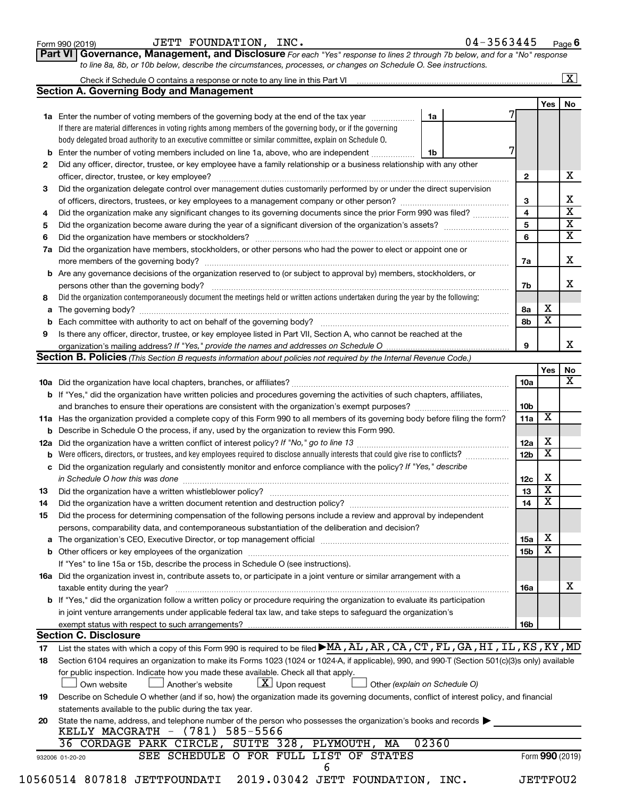| Form 990 (2019) |  |
|-----------------|--|
|-----------------|--|

| Form 990 (2019) | JETT FOUNDATION, INC. |  | 04-3563445 | Page |
|-----------------|-----------------------|--|------------|------|
|-----------------|-----------------------|--|------------|------|

**Part VI** Governance, Management, and Disclosure For each "Yes" response to lines 2 through 7b below, and for a "No" response *to line 8a, 8b, or 10b below, describe the circumstances, processes, or changes on Schedule O. See instructions.*

|    | <b>Section A. Governing Body and Management</b>                                                                                                  |                               |                 |                 |                              | $\boxed{\textbf{X}}$ |
|----|--------------------------------------------------------------------------------------------------------------------------------------------------|-------------------------------|-----------------|-----------------|------------------------------|----------------------|
|    |                                                                                                                                                  |                               |                 |                 | Yes $ $                      | No                   |
|    | 1a Enter the number of voting members of the governing body at the end of the tax year                                                           | 1a                            |                 |                 |                              |                      |
|    | If there are material differences in voting rights among members of the governing body, or if the governing                                      |                               |                 |                 |                              |                      |
|    | body delegated broad authority to an executive committee or similar committee, explain on Schedule O.                                            |                               |                 |                 |                              |                      |
|    | <b>b</b> Enter the number of voting members included on line 1a, above, who are independent                                                      | 1b                            | 7               |                 |                              |                      |
| 2  | Did any officer, director, trustee, or key employee have a family relationship or a business relationship with any other                         |                               |                 |                 |                              |                      |
|    |                                                                                                                                                  |                               | 2               |                 |                              |                      |
| 3  | Did the organization delegate control over management duties customarily performed by or under the direct supervision                            |                               |                 |                 |                              |                      |
|    |                                                                                                                                                  |                               | 3               |                 |                              |                      |
| 4  | Did the organization make any significant changes to its governing documents since the prior Form 990 was filed?                                 |                               | 4               |                 |                              |                      |
|    |                                                                                                                                                  |                               | 5               |                 |                              |                      |
| 5  |                                                                                                                                                  |                               | 6               |                 |                              |                      |
| 6  |                                                                                                                                                  |                               |                 |                 |                              |                      |
|    | 7a Did the organization have members, stockholders, or other persons who had the power to elect or appoint one or                                |                               |                 |                 |                              |                      |
|    |                                                                                                                                                  |                               | 7a              |                 |                              |                      |
|    | <b>b</b> Are any governance decisions of the organization reserved to (or subject to approval by) members, stockholders, or                      |                               |                 |                 |                              |                      |
|    | persons other than the governing body?                                                                                                           |                               | 7b              |                 |                              |                      |
| 8  | Did the organization contemporaneously document the meetings held or written actions undertaken during the year by the following:                |                               |                 |                 |                              |                      |
|    |                                                                                                                                                  |                               | 8a              |                 | х<br>$\overline{\textbf{x}}$ |                      |
|    |                                                                                                                                                  |                               | 8b              |                 |                              |                      |
| 9  | Is there any officer, director, trustee, or key employee listed in Part VII, Section A, who cannot be reached at the                             |                               |                 |                 |                              |                      |
|    |                                                                                                                                                  |                               | 9               |                 |                              |                      |
|    | Section B. Policies (This Section B requests information about policies not required by the Internal Revenue Code.)                              |                               |                 |                 |                              |                      |
|    |                                                                                                                                                  |                               |                 |                 | Yes                          |                      |
|    |                                                                                                                                                  |                               | 10a             |                 |                              |                      |
|    | <b>b</b> If "Yes," did the organization have written policies and procedures governing the activities of such chapters, affiliates,              |                               |                 |                 |                              |                      |
|    |                                                                                                                                                  |                               | 10 <sub>b</sub> |                 |                              |                      |
|    | 11a Has the organization provided a complete copy of this Form 990 to all members of its governing body before filing the form?                  |                               | 11a             |                 | X                            |                      |
|    | <b>b</b> Describe in Schedule O the process, if any, used by the organization to review this Form 990.                                           |                               |                 |                 |                              |                      |
|    |                                                                                                                                                  |                               | 12a             |                 | х                            |                      |
| b  |                                                                                                                                                  |                               | 12 <sub>b</sub> |                 | $\overline{\textbf{x}}$      |                      |
|    | c Did the organization regularly and consistently monitor and enforce compliance with the policy? If "Yes," describe                             |                               |                 |                 |                              |                      |
|    | in Schedule O how this was done manufactured and continuum and contact the was done manufactured and contact t                                   |                               | 12c             |                 | X                            |                      |
| 13 |                                                                                                                                                  |                               | 13              |                 | $\overline{\textbf{x}}$      |                      |
| 14 | Did the organization have a written document retention and destruction policy? [11] manufaction manufaction in                                   |                               | 14              |                 | $\overline{\textbf{x}}$      |                      |
| 15 | Did the process for determining compensation of the following persons include a review and approval by independent                               |                               |                 |                 |                              |                      |
|    | persons, comparability data, and contemporaneous substantiation of the deliberation and decision?                                                |                               |                 |                 |                              |                      |
|    |                                                                                                                                                  |                               | 15a             |                 | х                            |                      |
|    |                                                                                                                                                  |                               | 15b             |                 | $\overline{\textbf{x}}$      |                      |
|    | If "Yes" to line 15a or 15b, describe the process in Schedule O (see instructions).                                                              |                               |                 |                 |                              |                      |
|    | 16a Did the organization invest in, contribute assets to, or participate in a joint venture or similar arrangement with a                        |                               |                 |                 |                              |                      |
|    | taxable entity during the year?                                                                                                                  |                               | 16a             |                 |                              |                      |
|    | b If "Yes," did the organization follow a written policy or procedure requiring the organization to evaluate its participation                   |                               |                 |                 |                              |                      |
|    | in joint venture arrangements under applicable federal tax law, and take steps to safeguard the organization's                                   |                               |                 |                 |                              |                      |
|    | exempt status with respect to such arrangements?                                                                                                 |                               | 16b             |                 |                              |                      |
|    | <b>Section C. Disclosure</b>                                                                                                                     |                               |                 |                 |                              |                      |
| 17 | List the states with which a copy of this Form 990 is required to be filed MA, AL, AR, CA, CT, FL, GA, HI, IL, KS, KY, MD                        |                               |                 |                 |                              |                      |
| 18 | Section 6104 requires an organization to make its Forms 1023 (1024 or 1024-A, if applicable), 990, and 990-T (Section 501(c)(3)s only) available |                               |                 |                 |                              |                      |
|    | for public inspection. Indicate how you made these available. Check all that apply.                                                              |                               |                 |                 |                              |                      |
|    | $\lfloor x \rfloor$ Upon request<br>Own website<br>Another's website                                                                             | Other (explain on Schedule O) |                 |                 |                              |                      |
| 19 | Describe on Schedule O whether (and if so, how) the organization made its governing documents, conflict of interest policy, and financial        |                               |                 |                 |                              |                      |
|    | statements available to the public during the tax year.                                                                                          |                               |                 |                 |                              |                      |
| 20 | State the name, address, and telephone number of the person who possesses the organization's books and records                                   |                               |                 |                 |                              |                      |
|    | KELLY MACGRATH - (781) 585-5566                                                                                                                  |                               |                 |                 |                              |                      |
|    | 36 CORDAGE PARK CIRCLE, SUITE 328, PLYMOUTH, MA                                                                                                  | 02360                         |                 |                 |                              |                      |
|    | SEE SCHEDULE O FOR FULL LIST OF STATES                                                                                                           |                               |                 | Form 990 (2019) |                              |                      |
|    | 932006 01-20-20                                                                                                                                  |                               |                 |                 |                              |                      |
|    | 6                                                                                                                                                |                               |                 |                 |                              |                      |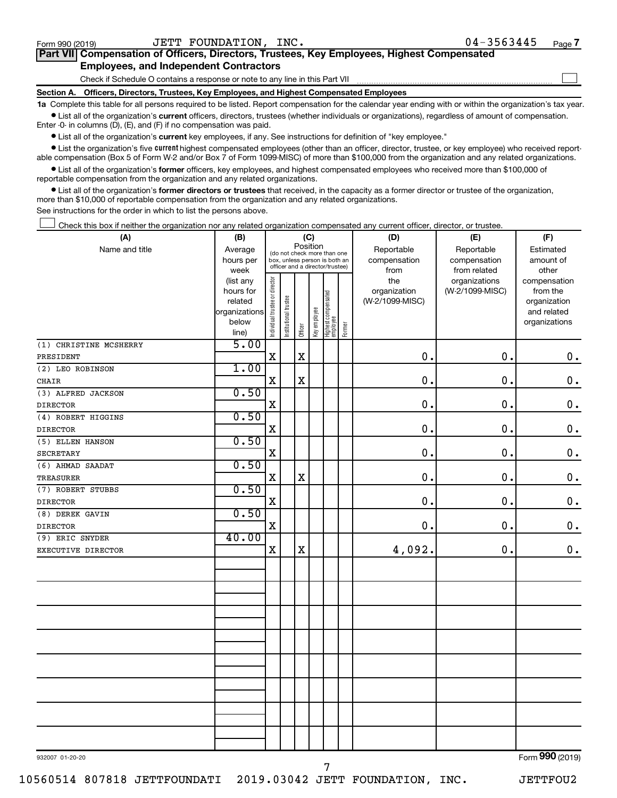$\Box$ 

| Part VII Compensation of Officers, Directors, Trustees, Key Employees, Highest Compensated |  |  |
|--------------------------------------------------------------------------------------------|--|--|
| <b>Employees, and Independent Contractors</b>                                              |  |  |

Check if Schedule O contains a response or note to any line in this Part VII

**Section A. Officers, Directors, Trustees, Key Employees, and Highest Compensated Employees**

**1a**  Complete this table for all persons required to be listed. Report compensation for the calendar year ending with or within the organization's tax year.  $\bullet$  List all of the organization's current officers, directors, trustees (whether individuals or organizations), regardless of amount of compensation.

Enter -0- in columns (D), (E), and (F) if no compensation was paid.

**•** List all of the organization's current key employees, if any. See instructions for definition of "key employee."

• List the organization's five *current* highest compensated employees (other than an officer, director, trustee, or key employee) who received reportable compensation (Box 5 of Form W-2 and/or Box 7 of Form 1099-MISC) of more than \$100,000 from the organization and any related organizations.

 $\bullet$  List all of the organization's former officers, key employees, and highest compensated employees who received more than \$100,000 of reportable compensation from the organization and any related organizations.

**•** List all of the organization's former directors or trustees that received, in the capacity as a former director or trustee of the organization, more than \$10,000 of reportable compensation from the organization and any related organizations.

See instructions for the order in which to list the persons above.

Check this box if neither the organization nor any related organization compensated any current officer, director, or trustee.  $\Box$ 

| (A)                    | (B)                    |                                |                                                                  | (C)         |                                         |                                   |        | (D)                             | (E)                              | (F)                      |
|------------------------|------------------------|--------------------------------|------------------------------------------------------------------|-------------|-----------------------------------------|-----------------------------------|--------|---------------------------------|----------------------------------|--------------------------|
| Name and title         | Average                |                                |                                                                  |             | Position<br>(do not check more than one |                                   |        | Reportable                      | Reportable                       | Estimated                |
|                        | hours per              |                                | box, unless person is both an<br>officer and a director/trustee) |             |                                         |                                   |        | compensation                    | compensation                     | amount of                |
|                        | week                   |                                |                                                                  |             |                                         |                                   |        | from                            | from related                     | other                    |
|                        | (list any<br>hours for | Individual trustee or director |                                                                  |             |                                         |                                   |        | the                             | organizations<br>(W-2/1099-MISC) | compensation<br>from the |
|                        | related                |                                |                                                                  |             |                                         |                                   |        | organization<br>(W-2/1099-MISC) |                                  | organization             |
|                        | organizations          |                                |                                                                  |             |                                         |                                   |        |                                 |                                  | and related              |
|                        | below                  |                                | Institutional trustee                                            |             | Key employee                            |                                   |        |                                 |                                  | organizations            |
|                        | line)                  |                                |                                                                  | Officer     |                                         | Highest compensated<br>  employee | Former |                                 |                                  |                          |
| (1) CHRISTINE MCSHERRY | 5.00                   |                                |                                                                  |             |                                         |                                   |        |                                 |                                  |                          |
| PRESIDENT              |                        | $\mathbf X$                    |                                                                  | $\mathbf X$ |                                         |                                   |        | $\mathbf 0$ .                   | 0.                               | $\mathbf 0$ .            |
| (2) LEO ROBINSON       | 1.00                   |                                |                                                                  |             |                                         |                                   |        |                                 |                                  |                          |
| <b>CHAIR</b>           |                        | $\mathbf X$                    |                                                                  | $\rm X$     |                                         |                                   |        | 0.                              | $\mathbf 0$ .                    | $\mathbf 0$ .            |
| (3) ALFRED JACKSON     | 0.50                   |                                |                                                                  |             |                                         |                                   |        |                                 |                                  |                          |
| <b>DIRECTOR</b>        |                        | X                              |                                                                  |             |                                         |                                   |        | $\mathbf 0$ .                   | 0.                               | $\mathbf 0$ .            |
| (4) ROBERT HIGGINS     | 0.50                   |                                |                                                                  |             |                                         |                                   |        |                                 |                                  |                          |
| <b>DIRECTOR</b>        |                        | $\mathbf X$                    |                                                                  |             |                                         |                                   |        | $\mathbf 0$ .                   | $\mathbf 0$ .                    | $\mathbf 0$ .            |
| (5) ELLEN HANSON       | 0.50                   |                                |                                                                  |             |                                         |                                   |        |                                 |                                  |                          |
| <b>SECRETARY</b>       |                        | $\mathbf X$                    |                                                                  |             |                                         |                                   |        | $\mathbf 0$ .                   | $\mathbf 0$ .                    | $\mathbf 0$ .            |
| (6) AHMAD SAADAT       | 0.50                   |                                |                                                                  |             |                                         |                                   |        |                                 |                                  |                          |
| <b>TREASURER</b>       |                        | $\mathbf X$                    |                                                                  | $\rm X$     |                                         |                                   |        | $\mathbf 0$ .                   | $\mathbf 0$ .                    | $\mathbf 0$ .            |
| (7) ROBERT STUBBS      | 0.50                   |                                |                                                                  |             |                                         |                                   |        |                                 |                                  |                          |
| <b>DIRECTOR</b>        |                        | $\mathbf X$                    |                                                                  |             |                                         |                                   |        | $\mathbf 0$ .                   | $\mathbf 0$ .                    | $\mathbf 0$ .            |
| (8) DEREK GAVIN        | 0.50                   |                                |                                                                  |             |                                         |                                   |        |                                 |                                  |                          |
| <b>DIRECTOR</b>        |                        | X                              |                                                                  |             |                                         |                                   |        | $\mathbf 0$ .                   | 0.                               | $\mathbf 0$ .            |
| (9) ERIC SNYDER        | 40.00                  |                                |                                                                  |             |                                         |                                   |        |                                 |                                  |                          |
| EXECUTIVE DIRECTOR     |                        | $\mathbf X$                    |                                                                  | $\mathbf X$ |                                         |                                   |        | 4,092.                          | 0.                               | $\mathbf 0$ .            |
|                        |                        |                                |                                                                  |             |                                         |                                   |        |                                 |                                  |                          |
|                        |                        |                                |                                                                  |             |                                         |                                   |        |                                 |                                  |                          |
|                        |                        |                                |                                                                  |             |                                         |                                   |        |                                 |                                  |                          |
|                        |                        |                                |                                                                  |             |                                         |                                   |        |                                 |                                  |                          |
|                        |                        |                                |                                                                  |             |                                         |                                   |        |                                 |                                  |                          |
|                        |                        |                                |                                                                  |             |                                         |                                   |        |                                 |                                  |                          |
|                        |                        |                                |                                                                  |             |                                         |                                   |        |                                 |                                  |                          |
|                        |                        |                                |                                                                  |             |                                         |                                   |        |                                 |                                  |                          |
|                        |                        |                                |                                                                  |             |                                         |                                   |        |                                 |                                  |                          |
|                        |                        |                                |                                                                  |             |                                         |                                   |        |                                 |                                  |                          |
|                        |                        |                                |                                                                  |             |                                         |                                   |        |                                 |                                  |                          |
|                        |                        |                                |                                                                  |             |                                         |                                   |        |                                 |                                  |                          |
|                        |                        |                                |                                                                  |             |                                         |                                   |        |                                 |                                  |                          |
|                        |                        |                                |                                                                  |             |                                         |                                   |        |                                 |                                  |                          |
|                        |                        |                                |                                                                  |             |                                         |                                   |        |                                 |                                  |                          |
|                        |                        |                                |                                                                  |             |                                         |                                   |        |                                 |                                  |                          |
| 932007 01-20-20        |                        |                                |                                                                  |             |                                         |                                   |        |                                 |                                  | Form 990 (2019)          |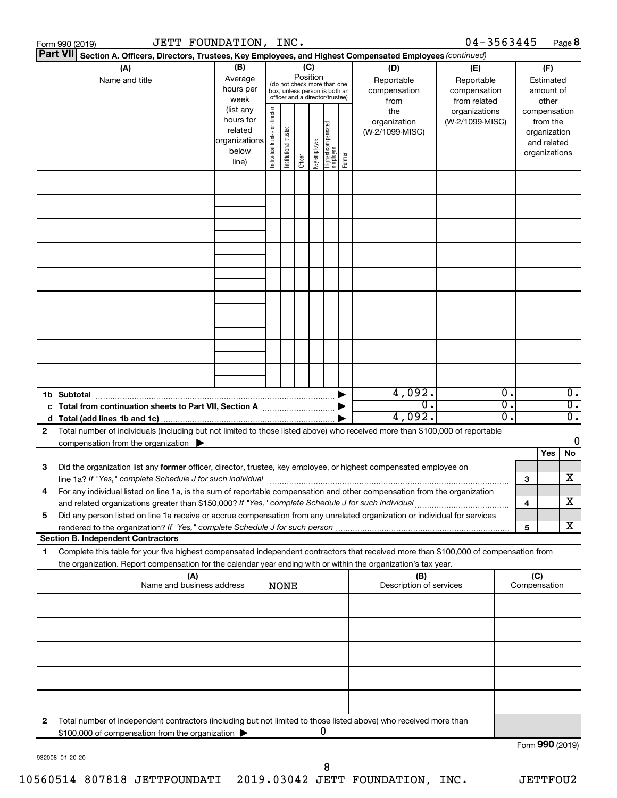|    | JETT FOUNDATION, INC.<br>Form 990 (2019)                                                                                                                                                                                            |                                                                      |                                |                       |                 |              |                                                                                                 |        |                                           | $04 - 3563445$                                    |          |                     | Page 8                                                                   |                                      |
|----|-------------------------------------------------------------------------------------------------------------------------------------------------------------------------------------------------------------------------------------|----------------------------------------------------------------------|--------------------------------|-----------------------|-----------------|--------------|-------------------------------------------------------------------------------------------------|--------|-------------------------------------------|---------------------------------------------------|----------|---------------------|--------------------------------------------------------------------------|--------------------------------------|
|    | <b>Part VII</b><br>Section A. Officers, Directors, Trustees, Key Employees, and Highest Compensated Employees (continued)                                                                                                           |                                                                      |                                |                       |                 |              |                                                                                                 |        |                                           |                                                   |          |                     |                                                                          |                                      |
|    | (A)<br>Name and title                                                                                                                                                                                                               | (B)<br>Average<br>hours per<br>week                                  |                                |                       | (C)<br>Position |              | (do not check more than one<br>box, unless person is both an<br>officer and a director/trustee) |        | (D)<br>Reportable<br>compensation<br>from | (E)<br>Reportable<br>compensation<br>from related |          |                     | (F)<br>Estimated<br>amount of<br>other                                   |                                      |
|    |                                                                                                                                                                                                                                     | (list any<br>hours for<br>related<br>organizations<br>below<br>line) | Individual trustee or director | Institutional trustee | Officer         | Key employee | Highest compensated<br>  employee                                                               | Former | the<br>organization<br>(W-2/1099-MISC)    | organizations<br>(W-2/1099-MISC)                  |          |                     | compensation<br>from the<br>organization<br>and related<br>organizations |                                      |
|    |                                                                                                                                                                                                                                     |                                                                      |                                |                       |                 |              |                                                                                                 |        |                                           |                                                   |          |                     |                                                                          |                                      |
|    |                                                                                                                                                                                                                                     |                                                                      |                                |                       |                 |              |                                                                                                 |        |                                           |                                                   |          |                     |                                                                          |                                      |
|    |                                                                                                                                                                                                                                     |                                                                      |                                |                       |                 |              |                                                                                                 |        |                                           |                                                   |          |                     |                                                                          |                                      |
|    |                                                                                                                                                                                                                                     |                                                                      |                                |                       |                 |              |                                                                                                 |        |                                           |                                                   |          |                     |                                                                          |                                      |
|    |                                                                                                                                                                                                                                     |                                                                      |                                |                       |                 |              |                                                                                                 |        |                                           |                                                   |          |                     |                                                                          |                                      |
|    | 1b Subtotal                                                                                                                                                                                                                         |                                                                      |                                |                       |                 |              |                                                                                                 |        | 4,092.                                    |                                                   | 0.       |                     |                                                                          | $\overline{0}$ .                     |
|    | c Total from continuation sheets to Part VII, Section A manufactured by                                                                                                                                                             |                                                                      |                                |                       |                 |              |                                                                                                 |        | $\overline{0}$ .<br>4,092.                |                                                   | σ.<br>о. |                     |                                                                          | $\overline{0}$ .<br>$\overline{0}$ . |
| 2  | Total number of individuals (including but not limited to those listed above) who received more than \$100,000 of reportable<br>compensation from the organization $\blacktriangleright$                                            |                                                                      |                                |                       |                 |              |                                                                                                 |        |                                           |                                                   |          |                     | Yes                                                                      | 0<br>No                              |
| 3  | Did the organization list any former officer, director, trustee, key employee, or highest compensated employee on<br>line 1a? If "Yes," complete Schedule J for such individual manufactured content to the set of the set of the s |                                                                      |                                |                       |                 |              |                                                                                                 |        |                                           |                                                   |          | 3                   |                                                                          | х                                    |
|    | For any individual listed on line 1a, is the sum of reportable compensation and other compensation from the organization<br>and related organizations greater than \$150,000? If "Yes," complete Schedule J for such individual     |                                                                      |                                |                       |                 |              |                                                                                                 |        |                                           |                                                   |          | 4                   |                                                                          | х                                    |
| 5  | Did any person listed on line 1a receive or accrue compensation from any unrelated organization or individual for services<br><b>Section B. Independent Contractors</b>                                                             |                                                                      |                                |                       |                 |              |                                                                                                 |        |                                           |                                                   |          | 5                   |                                                                          | х                                    |
| 1. | Complete this table for your five highest compensated independent contractors that received more than \$100,000 of compensation from                                                                                                |                                                                      |                                |                       |                 |              |                                                                                                 |        |                                           |                                                   |          |                     |                                                                          |                                      |
|    | the organization. Report compensation for the calendar year ending with or within the organization's tax year.<br>(A)<br>Name and business address                                                                                  |                                                                      |                                |                       |                 |              |                                                                                                 |        | (B)<br>Description of services            |                                                   |          | (C)<br>Compensation |                                                                          |                                      |
|    |                                                                                                                                                                                                                                     |                                                                      |                                | <b>NONE</b>           |                 |              |                                                                                                 |        |                                           |                                                   |          |                     |                                                                          |                                      |
|    |                                                                                                                                                                                                                                     |                                                                      |                                |                       |                 |              |                                                                                                 |        |                                           |                                                   |          |                     |                                                                          |                                      |
|    |                                                                                                                                                                                                                                     |                                                                      |                                |                       |                 |              |                                                                                                 |        |                                           |                                                   |          |                     |                                                                          |                                      |
|    |                                                                                                                                                                                                                                     |                                                                      |                                |                       |                 |              |                                                                                                 |        |                                           |                                                   |          |                     |                                                                          |                                      |
| 2  | Total number of independent contractors (including but not limited to those listed above) who received more than<br>\$100,000 of compensation from the organization                                                                 |                                                                      |                                |                       |                 |              | 0                                                                                               |        |                                           |                                                   |          |                     |                                                                          |                                      |
|    |                                                                                                                                                                                                                                     |                                                                      |                                |                       |                 |              |                                                                                                 |        |                                           |                                                   |          | Form 990 (2019)     |                                                                          |                                      |

932008 01-20-20

Form 990 (2019)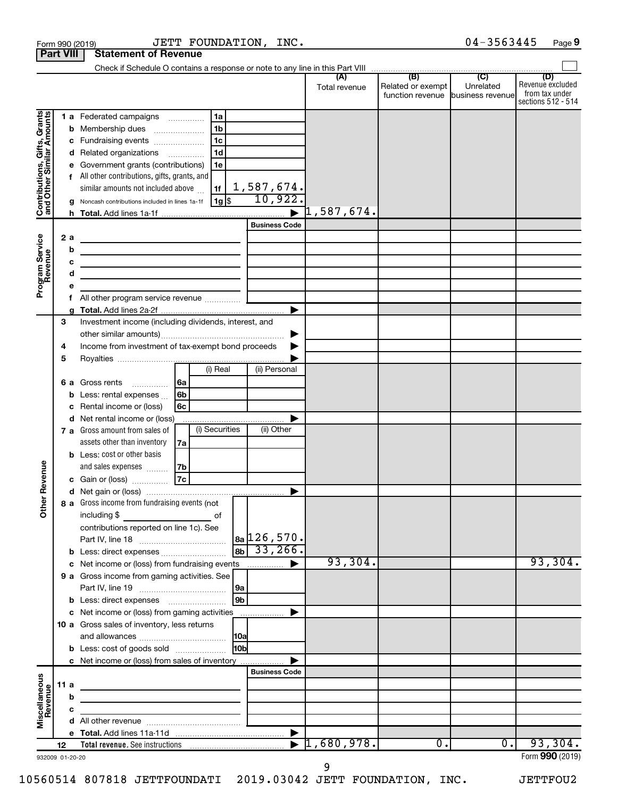|                                                           | <b>Part VIII</b> | <b>Statement of Revenue</b>                                                |                      |                          |                                   |                  |                         |
|-----------------------------------------------------------|------------------|----------------------------------------------------------------------------|----------------------|--------------------------|-----------------------------------|------------------|-------------------------|
|                                                           |                  |                                                                            |                      |                          |                                   |                  |                         |
|                                                           |                  |                                                                            |                      |                          | Related or exempt                 | Unrelated        | (D)<br>Revenue excluded |
|                                                           |                  |                                                                            |                      | Total revenue            | function revenue business revenue |                  | from tax under          |
|                                                           |                  |                                                                            |                      |                          |                                   |                  | sections 512 - 514      |
|                                                           |                  | 1 a Federated campaigns<br>l 1a                                            |                      |                          |                                   |                  |                         |
|                                                           | b                | 1 <sub>b</sub><br>Membership dues<br>$\ldots \ldots \ldots \ldots \ldots$  |                      |                          |                                   |                  |                         |
|                                                           | с                | 1c<br>Fundraising events                                                   |                      |                          |                                   |                  |                         |
|                                                           | d                | 1d<br>Related organizations                                                |                      |                          |                                   |                  |                         |
|                                                           |                  | Government grants (contributions)<br>1e                                    |                      |                          |                                   |                  |                         |
|                                                           |                  | f All other contributions, gifts, grants, and                              |                      |                          |                                   |                  |                         |
|                                                           |                  | similar amounts not included above<br>1f                                   | 1,587,674.           |                          |                                   |                  |                         |
| Contributions, Gifts, Grants<br>and Other Similar Amounts | g                | $1g$ \$<br>Noncash contributions included in lines 1a-1f                   | 10,922.              |                          |                                   |                  |                         |
|                                                           | h.               |                                                                            |                      | $\mathfrak{1}$ ,587,674. |                                   |                  |                         |
|                                                           |                  |                                                                            | <b>Business Code</b> |                          |                                   |                  |                         |
|                                                           | 2a               | the control of the control of the control of the control of the control of |                      |                          |                                   |                  |                         |
|                                                           | b                | the control of the control of the control of the control of the control of |                      |                          |                                   |                  |                         |
|                                                           | с                | <u> 1989 - Johann Barbara, martxa alemaniar a</u>                          |                      |                          |                                   |                  |                         |
|                                                           | d                | the control of the control of the control of the control of the            |                      |                          |                                   |                  |                         |
| Program Service<br>Revenue                                | е                |                                                                            |                      |                          |                                   |                  |                         |
|                                                           | f                |                                                                            | ▶                    |                          |                                   |                  |                         |
|                                                           | 3                | Investment income (including dividends, interest, and                      |                      |                          |                                   |                  |                         |
|                                                           |                  |                                                                            | ▶                    |                          |                                   |                  |                         |
|                                                           | 4                | Income from investment of tax-exempt bond proceeds                         |                      |                          |                                   |                  |                         |
|                                                           | 5                |                                                                            |                      |                          |                                   |                  |                         |
|                                                           |                  | (i) Real                                                                   | (ii) Personal        |                          |                                   |                  |                         |
|                                                           |                  | 6 a Gross rents<br>6a                                                      |                      |                          |                                   |                  |                         |
|                                                           | b                | 6b<br>Less: rental expenses                                                |                      |                          |                                   |                  |                         |
|                                                           | с                | Rental income or (loss)<br>6с                                              |                      |                          |                                   |                  |                         |
|                                                           | d                | Net rental income or (loss)                                                |                      |                          |                                   |                  |                         |
|                                                           |                  | (i) Securities<br>7 a Gross amount from sales of                           | (ii) Other           |                          |                                   |                  |                         |
|                                                           |                  | assets other than inventory<br>7a                                          |                      |                          |                                   |                  |                         |
|                                                           |                  | <b>b</b> Less: cost or other basis                                         |                      |                          |                                   |                  |                         |
|                                                           |                  | and sales expenses<br>7b                                                   |                      |                          |                                   |                  |                         |
| Revenue                                                   |                  | 7c<br>c Gain or (loss)                                                     |                      |                          |                                   |                  |                         |
|                                                           |                  |                                                                            |                      |                          |                                   |                  |                         |
| $\check{\epsilon}$                                        |                  | 8 a Gross income from fundraising events (not                              |                      |                          |                                   |                  |                         |
|                                                           |                  | including $$$<br>of                                                        |                      |                          |                                   |                  |                         |
|                                                           |                  | contributions reported on line 1c). See                                    |                      |                          |                                   |                  |                         |
|                                                           |                  |                                                                            | $ a_2 126, 570.$     |                          |                                   |                  |                         |
|                                                           |                  | <b>b</b> Less: direct expenses                                             | $ 8b $ 33, 266.      | 93,304.                  |                                   |                  | 93,304.                 |
|                                                           |                  | c Net income or (loss) from fundraising events                             | ▶                    |                          |                                   |                  |                         |
|                                                           |                  | 9 a Gross income from gaming activities. See                               |                      |                          |                                   |                  |                         |
|                                                           |                  | 9a<br> 9b                                                                  |                      |                          |                                   |                  |                         |
|                                                           |                  |                                                                            |                      |                          |                                   |                  |                         |
|                                                           |                  | 10 a Gross sales of inventory, less returns                                |                      |                          |                                   |                  |                         |
|                                                           |                  |                                                                            |                      |                          |                                   |                  |                         |
|                                                           |                  | H <sub>0b</sub><br><b>b</b> Less: cost of goods sold                       |                      |                          |                                   |                  |                         |
|                                                           |                  | c Net income or (loss) from sales of inventory                             |                      |                          |                                   |                  |                         |
|                                                           |                  |                                                                            | <b>Business Code</b> |                          |                                   |                  |                         |
| Miscellaneous<br>Revenue                                  | 11 $a$           | the control of the control of the control of the control of the control of |                      |                          |                                   |                  |                         |
|                                                           | b                | the control of the control of the control of the control of the control of |                      |                          |                                   |                  |                         |
|                                                           | с                | the control of the control of the control of the                           |                      |                          |                                   |                  |                         |
|                                                           | d                |                                                                            |                      |                          |                                   |                  |                         |
|                                                           |                  |                                                                            |                      |                          |                                   |                  |                         |
|                                                           | 12               |                                                                            |                      | 1,680,978.               | $\overline{0}$ .                  | $\overline{0}$ . | 93,304.                 |
|                                                           | 932009 01-20-20  |                                                                            |                      |                          |                                   |                  | Form 990 (2019)         |

Form 990 (2019)  $JETT$   $FOUNDATION$ ,  $INC.$   $04-3563445$   $Page$ 

# 10560514 807818 JETTFOUNDATI 2019.03042 JETT FOUNDATION, INC. JETTFOU2

9

04-3563445 Page 9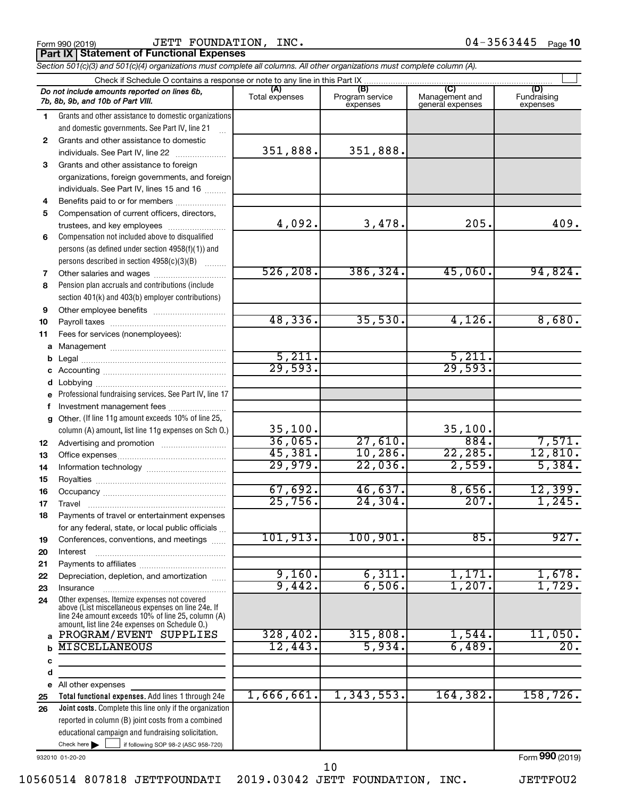|  | Form 990 (2019) |  |
|--|-----------------|--|
|  |                 |  |

 $_{\rm Form}$   $_{990}$  (2019)  $_{\rm Page}$   $_{\rm 10}$   $_{\rm 10}$   $_{\rm 20}$   $_{\rm 10}$   $_{\rm 20}$   $_{\rm 20}$   $_{\rm 20}$   $_{\rm 20}$   $_{\rm 20}$   $_{\rm 20}$   $_{\rm 20}$   $_{\rm 20}$   $_{\rm 20}$   $_{\rm 20}$   $_{\rm 20}$   $_{\rm 20}$ **Part IX | Statement of Functional Expenses** JETT FOUNDATION, INC.

 $\Box$ 

| Section 501(c)(3) and 501(c)(4) organizations must complete all columns. All other organizations must complete column (A). |                |                             |                                    |                         |  |  |  |  |  |
|----------------------------------------------------------------------------------------------------------------------------|----------------|-----------------------------|------------------------------------|-------------------------|--|--|--|--|--|
|                                                                                                                            |                |                             |                                    |                         |  |  |  |  |  |
| Do not include amounts reported on lines 6b,<br>7b, 8b, 9b, and 10b of Part VIII.                                          | Total expenses | Program service<br>expenses | Management and<br>general expenses | Fundraising<br>expenses |  |  |  |  |  |
| Grants and other assistance to domestic organizations                                                                      |                |                             |                                    |                         |  |  |  |  |  |

351,888. 351,888.

4,092. 3,478. 205. 409.

526,208. 386,324. 45,060. 94,824.

48,336. 35,530. 4,126. 8,680.

36,065. 27,610. 884. 7,571 45,381. 10,286. 22,285. 12,810. 29,979. 22,036. 2,559. 5,384.

 $67,692.$  46,637. 8,656. 12,399. 25,756. 24,304. 207. 1,245.

101,913. 100,901. 85. 927.

9,160. 6,311. 1,171. 1,678. 9,442. 6,506. 1,207. 1,729.

5,211. 5,211. 29,593. 29,593.

35,100. 35,100.

**2** Grants and other assistance to domestic **3** Grants and other assistance to foreign and domestic governments. See Part IV, line 21 .<br>... individuals. See Part IV, line 22 ~~~~~~~ organizations, foreign governments, and foreign

**4** individuals. See Part IV, lines 15 and 16  $\ldots$ Benefits paid to or for members ....................

**5 6** Compensation not included above to disqualified Compensation of current officers, directors, trustees, and key employees ........................

persons (as defined under section 4958(f)(1)) and persons described in section  $4958(c)(3)(B)$   $\ldots$ 

**7 8** Pension plan accruals and contributions (include section 401(k) and 403(b) employer contributions) Other salaries and wages ~~~~~~~~~~

**9 10** Other employee benefits ~~~~~~~~~~ Payroll taxes ~~~~~~~~~~~~~~~~

**11 a** Management ~~~~~~~~~~~~~~~~ Fees for services (nonemployees):

**b c** Legal ~~~~~~~~~~~~~~~~~~~~ Accounting ~~~~~~~~~~~~~~~~~

**d e f g 12** Professional fundraising services. See Part IV, line 17 Other. (If line 11g amount exceeds 10% of line 25, column (A) amount, list line 11g expenses on Sch O.) Lobbying ~~~~~~~~~~~~~~~~~~ Investment management fees .......................

**13 14 15** Advertising and promotion .......................... Office expenses ~~~~~~~~~~~~~~~ Information technology ~~~~~~~~~~~ Royalties ~~~~~~~~~~~~~~~~~~

**16 17 18** Occupancy ~~~~~~~~~~~~~~~~~ Travel ~~~~~~~~~~~~~~~~~~~ Payments of travel or entertainment expenses for any federal, state, or local public officials ...

#### **19 20 21** Conferences, conventions, and meetings Interest ~~~~~~~~~~~~~~~~~~ Payments to affiliates ~~~~~~~~~~~~

**22 23 24 a** Other expenses. Itemize expenses not covered above (List miscellaneous expenses on line 24e. If line 24e amount exceeds 10% of line 25, column (A) amount, list line 24e expenses on Schedule O.) Depreciation, depletion, and amortization ...... Insurance ~~~~~~~~~~~~~~~~~ PROGRAM/EVENT SUPPLIES | 328,402. 315,808. 1,544. 11,050.

All other expenses MISCELLANEOUS 12,443. 5,934. 6,489. 20.

**Total functional expenses.**  Add lines 1 through 24e **Joint costs.** Complete this line only if the organization reported in column (B) joint costs from a combined 1,666,661. 1,343,553. 164,382. 158,726.

932010 01-20-20

Check here  $\blacktriangleright$ 

**b c d e 25 26**

Form (2019) **990**

Check here  $\begin{array}{c} \begin{array}{|c} \hline \end{array} \end{array}$  if following SOP 98-2 (ASC 958-720)

educational campaign and fundraising solicitation.

10

10560514 807818 JETTFOUNDATI 2019.03042 JETT FOUNDATION, INC. JETTFOU2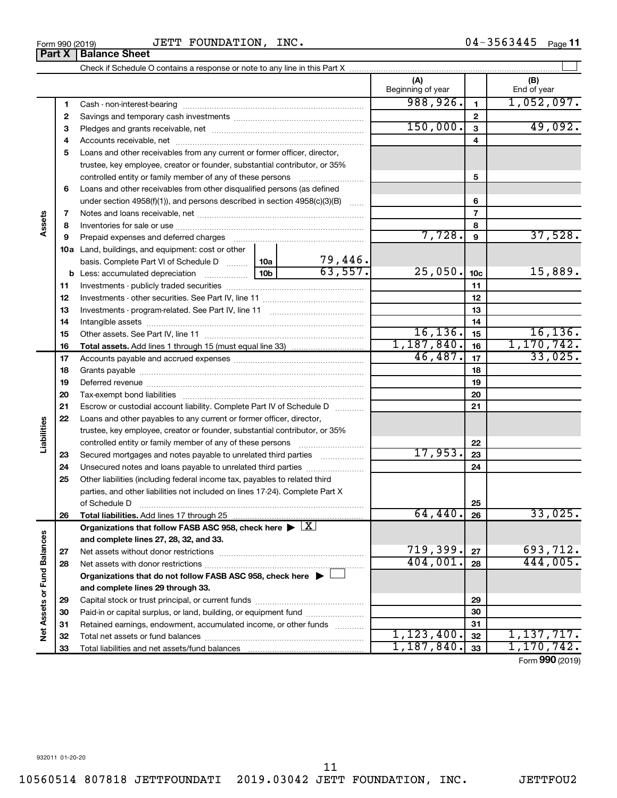| Form 990 (2019) |                               |  |
|-----------------|-------------------------------|--|
|                 | <b>Part X   Balance Sheet</b> |  |

### Form 990 (2019) Page JETT FOUNDATION, INC. 04-3563445

04-3563445 Page 11

|                             |    |                                                                                                                                                  |  |                | (A)<br>Beginning of year |                 | (B)<br>End of year |
|-----------------------------|----|--------------------------------------------------------------------------------------------------------------------------------------------------|--|----------------|--------------------------|-----------------|--------------------|
|                             | 1  |                                                                                                                                                  |  |                | 988,926.                 | $\mathbf{1}$    | 1,052,097.         |
|                             | 2  |                                                                                                                                                  |  |                |                          | $\mathbf{2}$    |                    |
|                             | з  |                                                                                                                                                  |  |                | 150,000.                 | 3               | 49,092.            |
|                             | 4  |                                                                                                                                                  |  |                |                          | 4               |                    |
|                             | 5  | Loans and other receivables from any current or former officer, director,                                                                        |  |                |                          |                 |                    |
|                             |    | trustee, key employee, creator or founder, substantial contributor, or 35%                                                                       |  |                |                          |                 |                    |
|                             |    | controlled entity or family member of any of these persons                                                                                       |  |                |                          | 5               |                    |
|                             | 6  | Loans and other receivables from other disqualified persons (as defined                                                                          |  |                |                          |                 |                    |
|                             |    | under section $4958(f)(1)$ , and persons described in section $4958(c)(3)(B)$                                                                    |  |                |                          | 6               |                    |
|                             | 7  |                                                                                                                                                  |  |                |                          | 7               |                    |
| ssets                       | 8  |                                                                                                                                                  |  |                |                          | 8               |                    |
|                             | 9  |                                                                                                                                                  |  |                | 7,728.                   | 9               | 37,528.            |
|                             |    | <b>10a</b> Land, buildings, and equipment: cost or other                                                                                         |  |                |                          |                 |                    |
|                             |    | basis. Complete Part VI of Schedule D  10a                                                                                                       |  | <u>79,446.</u> |                          |                 |                    |
|                             |    |                                                                                                                                                  |  | 63,557.        | 25,050.                  | 10 <sub>c</sub> | 15,889.            |
|                             | 11 |                                                                                                                                                  |  |                |                          | 11              |                    |
|                             | 12 |                                                                                                                                                  |  |                |                          | 12              |                    |
|                             | 13 |                                                                                                                                                  |  |                | 13                       |                 |                    |
|                             | 14 |                                                                                                                                                  |  |                | 14                       |                 |                    |
|                             | 15 |                                                                                                                                                  |  |                | 16, 136.                 | 15              | 16, 136.           |
|                             | 16 |                                                                                                                                                  |  |                | 1,187,840.               | 16              | 1,170,742.         |
|                             | 17 |                                                                                                                                                  |  |                | 46,487.                  | 17              | 33,025.            |
|                             | 18 |                                                                                                                                                  |  |                | 18                       |                 |                    |
|                             | 19 |                                                                                                                                                  |  | 19             |                          |                 |                    |
|                             | 20 |                                                                                                                                                  |  |                |                          | 20              |                    |
|                             | 21 | Escrow or custodial account liability. Complete Part IV of Schedule D                                                                            |  |                |                          | 21              |                    |
|                             | 22 | Loans and other payables to any current or former officer, director,                                                                             |  |                |                          |                 |                    |
| abilities                   |    | trustee, key employee, creator or founder, substantial contributor, or 35%                                                                       |  |                |                          |                 |                    |
|                             |    |                                                                                                                                                  |  |                |                          | 22              |                    |
|                             | 23 | Secured mortgages and notes payable to unrelated third parties                                                                                   |  | 17,953.        | 23                       |                 |                    |
|                             | 24 |                                                                                                                                                  |  |                |                          | 24              |                    |
|                             | 25 | Other liabilities (including federal income tax, payables to related third                                                                       |  |                |                          |                 |                    |
|                             |    | parties, and other liabilities not included on lines 17-24). Complete Part X                                                                     |  |                |                          |                 |                    |
|                             |    | of Schedule D                                                                                                                                    |  |                | 64, 440.                 | 25              |                    |
|                             | 26 | Total liabilities. Add lines 17 through 25                                                                                                       |  |                |                          | 26              | 33,025.            |
|                             |    | Organizations that follow FASB ASC 958, check here $\blacktriangleright \lfloor \underline{X} \rfloor$<br>and complete lines 27, 28, 32, and 33. |  |                |                          |                 |                    |
|                             | 27 |                                                                                                                                                  |  |                | 719,399.                 | 27              | 693,712.           |
| Net Assets or Fund Balances | 28 |                                                                                                                                                  |  |                | 404,001.                 | 28              | 444,005.           |
|                             |    | Organizations that do not follow FASB ASC 958, check here $\blacktriangleright$                                                                  |  |                |                          |                 |                    |
|                             |    | and complete lines 29 through 33.                                                                                                                |  |                |                          |                 |                    |
|                             | 29 |                                                                                                                                                  |  |                | 29                       |                 |                    |
|                             | 30 |                                                                                                                                                  |  |                | 30                       |                 |                    |
|                             | 31 | Retained earnings, endowment, accumulated income, or other funds                                                                                 |  |                |                          | 31              |                    |
|                             | 32 |                                                                                                                                                  |  |                | 1, 123, 400.             | 32              | 1,137,717.         |
|                             | 33 |                                                                                                                                                  |  |                | 1,187,840.               | 33              | 1,170,742.         |
|                             |    |                                                                                                                                                  |  |                |                          |                 |                    |

Form (2019) **990**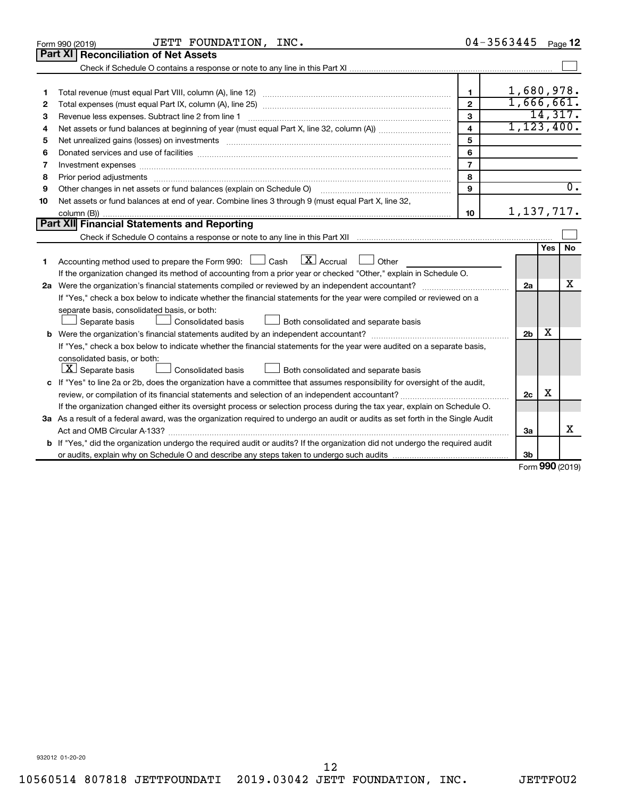| <b>Part XI   Reconciliation of Net Assets</b><br>1,680,978.<br>1<br>1<br>1,666,661.<br>$\overline{2}$<br>2<br>14,317.<br>3<br>Revenue less expenses. Subtract line 2 from line 1<br>З<br>1, 123, 400.<br>$\overline{\mathbf{4}}$<br>4<br>5<br>5<br>6<br>6<br>$\overline{7}$<br>Investment expenses www.communication.com/www.communication.com/www.communication.com/www.com<br>7<br>8<br>8<br>$\overline{0}$ .<br>9<br>Other changes in net assets or fund balances (explain on Schedule O)<br>9<br>Net assets or fund balances at end of year. Combine lines 3 through 9 (must equal Part X, line 32,<br>10<br>1, 137, 717.<br>10<br>Part XII Financial Statements and Reporting<br>Yes<br><b>No</b><br>$\mathbf{X}$ Accrual<br>Accounting method used to prepare the Form 990: [130] Cash<br><b>Durier</b> Other<br>1<br>If the organization changed its method of accounting from a prior year or checked "Other," explain in Schedule O.<br>х<br>2a<br>If "Yes," check a box below to indicate whether the financial statements for the year were compiled or reviewed on a<br>separate basis, consolidated basis, or both:<br>Both consolidated and separate basis<br>Separate basis<br>Consolidated basis<br>х<br>2 <sub>b</sub><br>If "Yes," check a box below to indicate whether the financial statements for the year were audited on a separate basis,<br>consolidated basis, or both:<br>$ \mathbf{X} $ Separate basis<br>Consolidated basis<br>Both consolidated and separate basis<br>c If "Yes" to line 2a or 2b, does the organization have a committee that assumes responsibility for oversight of the audit,<br>x<br>2c<br>If the organization changed either its oversight process or selection process during the tax year, explain on Schedule O.<br>3a As a result of a federal award, was the organization required to undergo an audit or audits as set forth in the Single Audit<br>x<br>3a<br><b>b</b> If "Yes," did the organization undergo the required audit or audits? If the organization did not undergo the required audit | JETT FOUNDATION, INC.<br>Form 990 (2019) | 04-3563445 | Page 12 |
|----------------------------------------------------------------------------------------------------------------------------------------------------------------------------------------------------------------------------------------------------------------------------------------------------------------------------------------------------------------------------------------------------------------------------------------------------------------------------------------------------------------------------------------------------------------------------------------------------------------------------------------------------------------------------------------------------------------------------------------------------------------------------------------------------------------------------------------------------------------------------------------------------------------------------------------------------------------------------------------------------------------------------------------------------------------------------------------------------------------------------------------------------------------------------------------------------------------------------------------------------------------------------------------------------------------------------------------------------------------------------------------------------------------------------------------------------------------------------------------------------------------------------------------------------------------------------------------------------------------------------------------------------------------------------------------------------------------------------------------------------------------------------------------------------------------------------------------------------------------------------------------------------------------------------------------------------------------------------------------------------------------------------------------------------------------|------------------------------------------|------------|---------|
|                                                                                                                                                                                                                                                                                                                                                                                                                                                                                                                                                                                                                                                                                                                                                                                                                                                                                                                                                                                                                                                                                                                                                                                                                                                                                                                                                                                                                                                                                                                                                                                                                                                                                                                                                                                                                                                                                                                                                                                                                                                                |                                          |            |         |
|                                                                                                                                                                                                                                                                                                                                                                                                                                                                                                                                                                                                                                                                                                                                                                                                                                                                                                                                                                                                                                                                                                                                                                                                                                                                                                                                                                                                                                                                                                                                                                                                                                                                                                                                                                                                                                                                                                                                                                                                                                                                |                                          |            |         |
|                                                                                                                                                                                                                                                                                                                                                                                                                                                                                                                                                                                                                                                                                                                                                                                                                                                                                                                                                                                                                                                                                                                                                                                                                                                                                                                                                                                                                                                                                                                                                                                                                                                                                                                                                                                                                                                                                                                                                                                                                                                                |                                          |            |         |
|                                                                                                                                                                                                                                                                                                                                                                                                                                                                                                                                                                                                                                                                                                                                                                                                                                                                                                                                                                                                                                                                                                                                                                                                                                                                                                                                                                                                                                                                                                                                                                                                                                                                                                                                                                                                                                                                                                                                                                                                                                                                |                                          |            |         |
|                                                                                                                                                                                                                                                                                                                                                                                                                                                                                                                                                                                                                                                                                                                                                                                                                                                                                                                                                                                                                                                                                                                                                                                                                                                                                                                                                                                                                                                                                                                                                                                                                                                                                                                                                                                                                                                                                                                                                                                                                                                                |                                          |            |         |
|                                                                                                                                                                                                                                                                                                                                                                                                                                                                                                                                                                                                                                                                                                                                                                                                                                                                                                                                                                                                                                                                                                                                                                                                                                                                                                                                                                                                                                                                                                                                                                                                                                                                                                                                                                                                                                                                                                                                                                                                                                                                |                                          |            |         |
|                                                                                                                                                                                                                                                                                                                                                                                                                                                                                                                                                                                                                                                                                                                                                                                                                                                                                                                                                                                                                                                                                                                                                                                                                                                                                                                                                                                                                                                                                                                                                                                                                                                                                                                                                                                                                                                                                                                                                                                                                                                                |                                          |            |         |
|                                                                                                                                                                                                                                                                                                                                                                                                                                                                                                                                                                                                                                                                                                                                                                                                                                                                                                                                                                                                                                                                                                                                                                                                                                                                                                                                                                                                                                                                                                                                                                                                                                                                                                                                                                                                                                                                                                                                                                                                                                                                |                                          |            |         |
|                                                                                                                                                                                                                                                                                                                                                                                                                                                                                                                                                                                                                                                                                                                                                                                                                                                                                                                                                                                                                                                                                                                                                                                                                                                                                                                                                                                                                                                                                                                                                                                                                                                                                                                                                                                                                                                                                                                                                                                                                                                                |                                          |            |         |
|                                                                                                                                                                                                                                                                                                                                                                                                                                                                                                                                                                                                                                                                                                                                                                                                                                                                                                                                                                                                                                                                                                                                                                                                                                                                                                                                                                                                                                                                                                                                                                                                                                                                                                                                                                                                                                                                                                                                                                                                                                                                |                                          |            |         |
|                                                                                                                                                                                                                                                                                                                                                                                                                                                                                                                                                                                                                                                                                                                                                                                                                                                                                                                                                                                                                                                                                                                                                                                                                                                                                                                                                                                                                                                                                                                                                                                                                                                                                                                                                                                                                                                                                                                                                                                                                                                                |                                          |            |         |
|                                                                                                                                                                                                                                                                                                                                                                                                                                                                                                                                                                                                                                                                                                                                                                                                                                                                                                                                                                                                                                                                                                                                                                                                                                                                                                                                                                                                                                                                                                                                                                                                                                                                                                                                                                                                                                                                                                                                                                                                                                                                |                                          |            |         |
|                                                                                                                                                                                                                                                                                                                                                                                                                                                                                                                                                                                                                                                                                                                                                                                                                                                                                                                                                                                                                                                                                                                                                                                                                                                                                                                                                                                                                                                                                                                                                                                                                                                                                                                                                                                                                                                                                                                                                                                                                                                                |                                          |            |         |
|                                                                                                                                                                                                                                                                                                                                                                                                                                                                                                                                                                                                                                                                                                                                                                                                                                                                                                                                                                                                                                                                                                                                                                                                                                                                                                                                                                                                                                                                                                                                                                                                                                                                                                                                                                                                                                                                                                                                                                                                                                                                |                                          |            |         |
|                                                                                                                                                                                                                                                                                                                                                                                                                                                                                                                                                                                                                                                                                                                                                                                                                                                                                                                                                                                                                                                                                                                                                                                                                                                                                                                                                                                                                                                                                                                                                                                                                                                                                                                                                                                                                                                                                                                                                                                                                                                                |                                          |            |         |
|                                                                                                                                                                                                                                                                                                                                                                                                                                                                                                                                                                                                                                                                                                                                                                                                                                                                                                                                                                                                                                                                                                                                                                                                                                                                                                                                                                                                                                                                                                                                                                                                                                                                                                                                                                                                                                                                                                                                                                                                                                                                |                                          |            |         |
|                                                                                                                                                                                                                                                                                                                                                                                                                                                                                                                                                                                                                                                                                                                                                                                                                                                                                                                                                                                                                                                                                                                                                                                                                                                                                                                                                                                                                                                                                                                                                                                                                                                                                                                                                                                                                                                                                                                                                                                                                                                                |                                          |            |         |
|                                                                                                                                                                                                                                                                                                                                                                                                                                                                                                                                                                                                                                                                                                                                                                                                                                                                                                                                                                                                                                                                                                                                                                                                                                                                                                                                                                                                                                                                                                                                                                                                                                                                                                                                                                                                                                                                                                                                                                                                                                                                |                                          |            |         |
|                                                                                                                                                                                                                                                                                                                                                                                                                                                                                                                                                                                                                                                                                                                                                                                                                                                                                                                                                                                                                                                                                                                                                                                                                                                                                                                                                                                                                                                                                                                                                                                                                                                                                                                                                                                                                                                                                                                                                                                                                                                                |                                          |            |         |
|                                                                                                                                                                                                                                                                                                                                                                                                                                                                                                                                                                                                                                                                                                                                                                                                                                                                                                                                                                                                                                                                                                                                                                                                                                                                                                                                                                                                                                                                                                                                                                                                                                                                                                                                                                                                                                                                                                                                                                                                                                                                |                                          |            |         |
|                                                                                                                                                                                                                                                                                                                                                                                                                                                                                                                                                                                                                                                                                                                                                                                                                                                                                                                                                                                                                                                                                                                                                                                                                                                                                                                                                                                                                                                                                                                                                                                                                                                                                                                                                                                                                                                                                                                                                                                                                                                                |                                          |            |         |
|                                                                                                                                                                                                                                                                                                                                                                                                                                                                                                                                                                                                                                                                                                                                                                                                                                                                                                                                                                                                                                                                                                                                                                                                                                                                                                                                                                                                                                                                                                                                                                                                                                                                                                                                                                                                                                                                                                                                                                                                                                                                |                                          |            |         |
|                                                                                                                                                                                                                                                                                                                                                                                                                                                                                                                                                                                                                                                                                                                                                                                                                                                                                                                                                                                                                                                                                                                                                                                                                                                                                                                                                                                                                                                                                                                                                                                                                                                                                                                                                                                                                                                                                                                                                                                                                                                                |                                          |            |         |
|                                                                                                                                                                                                                                                                                                                                                                                                                                                                                                                                                                                                                                                                                                                                                                                                                                                                                                                                                                                                                                                                                                                                                                                                                                                                                                                                                                                                                                                                                                                                                                                                                                                                                                                                                                                                                                                                                                                                                                                                                                                                |                                          |            |         |
|                                                                                                                                                                                                                                                                                                                                                                                                                                                                                                                                                                                                                                                                                                                                                                                                                                                                                                                                                                                                                                                                                                                                                                                                                                                                                                                                                                                                                                                                                                                                                                                                                                                                                                                                                                                                                                                                                                                                                                                                                                                                |                                          |            |         |
|                                                                                                                                                                                                                                                                                                                                                                                                                                                                                                                                                                                                                                                                                                                                                                                                                                                                                                                                                                                                                                                                                                                                                                                                                                                                                                                                                                                                                                                                                                                                                                                                                                                                                                                                                                                                                                                                                                                                                                                                                                                                |                                          |            |         |
|                                                                                                                                                                                                                                                                                                                                                                                                                                                                                                                                                                                                                                                                                                                                                                                                                                                                                                                                                                                                                                                                                                                                                                                                                                                                                                                                                                                                                                                                                                                                                                                                                                                                                                                                                                                                                                                                                                                                                                                                                                                                |                                          |            |         |
|                                                                                                                                                                                                                                                                                                                                                                                                                                                                                                                                                                                                                                                                                                                                                                                                                                                                                                                                                                                                                                                                                                                                                                                                                                                                                                                                                                                                                                                                                                                                                                                                                                                                                                                                                                                                                                                                                                                                                                                                                                                                |                                          |            |         |
|                                                                                                                                                                                                                                                                                                                                                                                                                                                                                                                                                                                                                                                                                                                                                                                                                                                                                                                                                                                                                                                                                                                                                                                                                                                                                                                                                                                                                                                                                                                                                                                                                                                                                                                                                                                                                                                                                                                                                                                                                                                                |                                          |            |         |
|                                                                                                                                                                                                                                                                                                                                                                                                                                                                                                                                                                                                                                                                                                                                                                                                                                                                                                                                                                                                                                                                                                                                                                                                                                                                                                                                                                                                                                                                                                                                                                                                                                                                                                                                                                                                                                                                                                                                                                                                                                                                |                                          |            |         |
|                                                                                                                                                                                                                                                                                                                                                                                                                                                                                                                                                                                                                                                                                                                                                                                                                                                                                                                                                                                                                                                                                                                                                                                                                                                                                                                                                                                                                                                                                                                                                                                                                                                                                                                                                                                                                                                                                                                                                                                                                                                                |                                          |            |         |
|                                                                                                                                                                                                                                                                                                                                                                                                                                                                                                                                                                                                                                                                                                                                                                                                                                                                                                                                                                                                                                                                                                                                                                                                                                                                                                                                                                                                                                                                                                                                                                                                                                                                                                                                                                                                                                                                                                                                                                                                                                                                |                                          |            |         |
|                                                                                                                                                                                                                                                                                                                                                                                                                                                                                                                                                                                                                                                                                                                                                                                                                                                                                                                                                                                                                                                                                                                                                                                                                                                                                                                                                                                                                                                                                                                                                                                                                                                                                                                                                                                                                                                                                                                                                                                                                                                                |                                          |            |         |
| 3b<br>$0.00 \times 10^{-1}$                                                                                                                                                                                                                                                                                                                                                                                                                                                                                                                                                                                                                                                                                                                                                                                                                                                                                                                                                                                                                                                                                                                                                                                                                                                                                                                                                                                                                                                                                                                                                                                                                                                                                                                                                                                                                                                                                                                                                                                                                                    |                                          |            |         |

Form (2019) **990**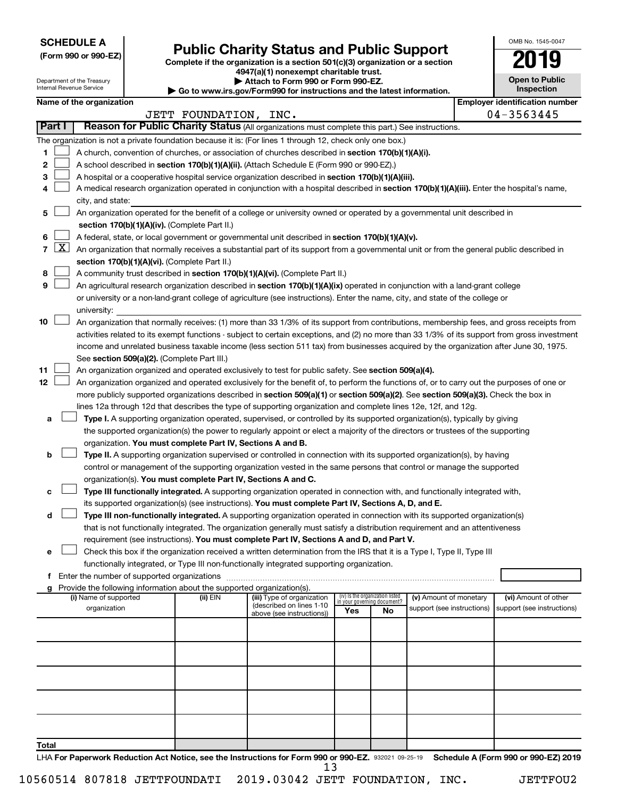**SCHEDULE A**

Department of the Treasury

# Form 990 or 990-EZ) **Public Charity Status and Public Support**<br>
Complete if the organization is a section 501(c)(3) organization or a section<br> **2019**

**4947(a)(1) nonexempt charitable trust. | Attach to Form 990 or Form 990-EZ.** 

| <b>Open to Public</b><br>Inspection |  |  |  |  |  |  |  |
|-------------------------------------|--|--|--|--|--|--|--|
| er identification numbe             |  |  |  |  |  |  |  |

OMB No. 1545-0047

|        |                 | Internal Revenue Service                                                                                                                      |  |                                                                        | Go to www.irs.gov/Form990 for instructions and the latest information.                                                                     |     |                                                                |                            |  | Inspection                            |
|--------|-----------------|-----------------------------------------------------------------------------------------------------------------------------------------------|--|------------------------------------------------------------------------|--------------------------------------------------------------------------------------------------------------------------------------------|-----|----------------------------------------------------------------|----------------------------|--|---------------------------------------|
|        |                 | Name of the organization                                                                                                                      |  |                                                                        |                                                                                                                                            |     |                                                                |                            |  | <b>Employer identification number</b> |
|        |                 |                                                                                                                                               |  | JETT FOUNDATION, INC.                                                  |                                                                                                                                            |     |                                                                |                            |  | 04-3563445                            |
|        | <b>Part I</b>   |                                                                                                                                               |  |                                                                        | Reason for Public Charity Status (All organizations must complete this part.) See instructions.                                            |     |                                                                |                            |  |                                       |
|        |                 |                                                                                                                                               |  |                                                                        | The organization is not a private foundation because it is: (For lines 1 through 12, check only one box.)                                  |     |                                                                |                            |  |                                       |
| 1      |                 |                                                                                                                                               |  |                                                                        | A church, convention of churches, or association of churches described in section 170(b)(1)(A)(i).                                         |     |                                                                |                            |  |                                       |
| 2      |                 |                                                                                                                                               |  |                                                                        | A school described in section 170(b)(1)(A)(ii). (Attach Schedule E (Form 990 or 990-EZ).)                                                  |     |                                                                |                            |  |                                       |
| з      |                 |                                                                                                                                               |  |                                                                        | A hospital or a cooperative hospital service organization described in section 170(b)(1)(A)(iii).                                          |     |                                                                |                            |  |                                       |
| 4      |                 |                                                                                                                                               |  |                                                                        | A medical research organization operated in conjunction with a hospital described in section 170(b)(1)(A)(iii). Enter the hospital's name, |     |                                                                |                            |  |                                       |
|        |                 | city, and state:                                                                                                                              |  |                                                                        |                                                                                                                                            |     |                                                                |                            |  |                                       |
| 5      |                 |                                                                                                                                               |  |                                                                        | An organization operated for the benefit of a college or university owned or operated by a governmental unit described in                  |     |                                                                |                            |  |                                       |
|        |                 |                                                                                                                                               |  | section 170(b)(1)(A)(iv). (Complete Part II.)                          |                                                                                                                                            |     |                                                                |                            |  |                                       |
| 6      | $7 \mid X \mid$ |                                                                                                                                               |  |                                                                        | A federal, state, or local government or governmental unit described in section 170(b)(1)(A)(v).                                           |     |                                                                |                            |  |                                       |
|        |                 |                                                                                                                                               |  |                                                                        | An organization that normally receives a substantial part of its support from a governmental unit or from the general public described in  |     |                                                                |                            |  |                                       |
|        |                 |                                                                                                                                               |  | section 170(b)(1)(A)(vi). (Complete Part II.)                          |                                                                                                                                            |     |                                                                |                            |  |                                       |
| 8<br>9 |                 |                                                                                                                                               |  |                                                                        | A community trust described in section 170(b)(1)(A)(vi). (Complete Part II.)                                                               |     |                                                                |                            |  |                                       |
|        |                 |                                                                                                                                               |  |                                                                        | An agricultural research organization described in section 170(b)(1)(A)(ix) operated in conjunction with a land-grant college              |     |                                                                |                            |  |                                       |
|        |                 | university:                                                                                                                                   |  |                                                                        | or university or a non-land-grant college of agriculture (see instructions). Enter the name, city, and state of the college or             |     |                                                                |                            |  |                                       |
| 10     |                 | An organization that normally receives: (1) more than 33 1/3% of its support from contributions, membership fees, and gross receipts from     |  |                                                                        |                                                                                                                                            |     |                                                                |                            |  |                                       |
|        |                 | activities related to its exempt functions - subject to certain exceptions, and (2) no more than 33 1/3% of its support from gross investment |  |                                                                        |                                                                                                                                            |     |                                                                |                            |  |                                       |
|        |                 | income and unrelated business taxable income (less section 511 tax) from businesses acquired by the organization after June 30, 1975.         |  |                                                                        |                                                                                                                                            |     |                                                                |                            |  |                                       |
|        |                 |                                                                                                                                               |  | See section 509(a)(2). (Complete Part III.)                            |                                                                                                                                            |     |                                                                |                            |  |                                       |
| 11     |                 |                                                                                                                                               |  |                                                                        | An organization organized and operated exclusively to test for public safety. See section 509(a)(4).                                       |     |                                                                |                            |  |                                       |
| 12     |                 |                                                                                                                                               |  |                                                                        | An organization organized and operated exclusively for the benefit of, to perform the functions of, or to carry out the purposes of one or |     |                                                                |                            |  |                                       |
|        |                 |                                                                                                                                               |  |                                                                        | more publicly supported organizations described in section 509(a)(1) or section 509(a)(2). See section 509(a)(3). Check the box in         |     |                                                                |                            |  |                                       |
|        |                 |                                                                                                                                               |  |                                                                        | lines 12a through 12d that describes the type of supporting organization and complete lines 12e, 12f, and 12g.                             |     |                                                                |                            |  |                                       |
| а      |                 |                                                                                                                                               |  |                                                                        | Type I. A supporting organization operated, supervised, or controlled by its supported organization(s), typically by giving                |     |                                                                |                            |  |                                       |
|        |                 |                                                                                                                                               |  |                                                                        | the supported organization(s) the power to regularly appoint or elect a majority of the directors or trustees of the supporting            |     |                                                                |                            |  |                                       |
|        |                 |                                                                                                                                               |  | organization. You must complete Part IV, Sections A and B.             |                                                                                                                                            |     |                                                                |                            |  |                                       |
| b      |                 |                                                                                                                                               |  |                                                                        | Type II. A supporting organization supervised or controlled in connection with its supported organization(s), by having                    |     |                                                                |                            |  |                                       |
|        |                 |                                                                                                                                               |  |                                                                        | control or management of the supporting organization vested in the same persons that control or manage the supported                       |     |                                                                |                            |  |                                       |
|        |                 |                                                                                                                                               |  | organization(s). You must complete Part IV, Sections A and C.          |                                                                                                                                            |     |                                                                |                            |  |                                       |
| c      |                 |                                                                                                                                               |  |                                                                        | Type III functionally integrated. A supporting organization operated in connection with, and functionally integrated with,                 |     |                                                                |                            |  |                                       |
|        |                 |                                                                                                                                               |  |                                                                        | its supported organization(s) (see instructions). You must complete Part IV, Sections A, D, and E.                                         |     |                                                                |                            |  |                                       |
| d      |                 |                                                                                                                                               |  |                                                                        | Type III non-functionally integrated. A supporting organization operated in connection with its supported organization(s)                  |     |                                                                |                            |  |                                       |
|        |                 |                                                                                                                                               |  |                                                                        | that is not functionally integrated. The organization generally must satisfy a distribution requirement and an attentiveness               |     |                                                                |                            |  |                                       |
|        |                 |                                                                                                                                               |  |                                                                        | requirement (see instructions). You must complete Part IV, Sections A and D, and Part V.                                                   |     |                                                                |                            |  |                                       |
| e      |                 |                                                                                                                                               |  |                                                                        | Check this box if the organization received a written determination from the IRS that it is a Type I, Type II, Type III                    |     |                                                                |                            |  |                                       |
|        |                 |                                                                                                                                               |  |                                                                        | functionally integrated, or Type III non-functionally integrated supporting organization.                                                  |     |                                                                |                            |  |                                       |
|        |                 |                                                                                                                                               |  |                                                                        |                                                                                                                                            |     |                                                                |                            |  |                                       |
|        |                 |                                                                                                                                               |  | Provide the following information about the supported organization(s). |                                                                                                                                            |     |                                                                |                            |  |                                       |
|        |                 | (i) Name of supported                                                                                                                         |  | (ii) EIN                                                               | (iii) Type of organization                                                                                                                 |     | (iv) Is the organization listed<br>in your governing document? | (v) Amount of monetary     |  | (vi) Amount of other                  |
|        |                 | organization                                                                                                                                  |  |                                                                        | (described on lines 1-10<br>above (see instructions))                                                                                      | Yes | No                                                             | support (see instructions) |  | support (see instructions)            |
|        |                 |                                                                                                                                               |  |                                                                        |                                                                                                                                            |     |                                                                |                            |  |                                       |
|        |                 |                                                                                                                                               |  |                                                                        |                                                                                                                                            |     |                                                                |                            |  |                                       |
|        |                 |                                                                                                                                               |  |                                                                        |                                                                                                                                            |     |                                                                |                            |  |                                       |
|        |                 |                                                                                                                                               |  |                                                                        |                                                                                                                                            |     |                                                                |                            |  |                                       |
|        |                 |                                                                                                                                               |  |                                                                        |                                                                                                                                            |     |                                                                |                            |  |                                       |
|        |                 |                                                                                                                                               |  |                                                                        |                                                                                                                                            |     |                                                                |                            |  |                                       |
|        |                 |                                                                                                                                               |  |                                                                        |                                                                                                                                            |     |                                                                |                            |  |                                       |
|        |                 |                                                                                                                                               |  |                                                                        |                                                                                                                                            |     |                                                                |                            |  |                                       |
|        |                 |                                                                                                                                               |  |                                                                        |                                                                                                                                            |     |                                                                |                            |  |                                       |
|        |                 |                                                                                                                                               |  |                                                                        |                                                                                                                                            |     |                                                                |                            |  |                                       |
| Total  |                 |                                                                                                                                               |  |                                                                        |                                                                                                                                            |     |                                                                |                            |  |                                       |

LHA For Paperwork Reduction Act Notice, see the Instructions for Form 990 or 990-EZ. 932021 09-25-19 Schedule A (Form 990 or 990-EZ) 2019 13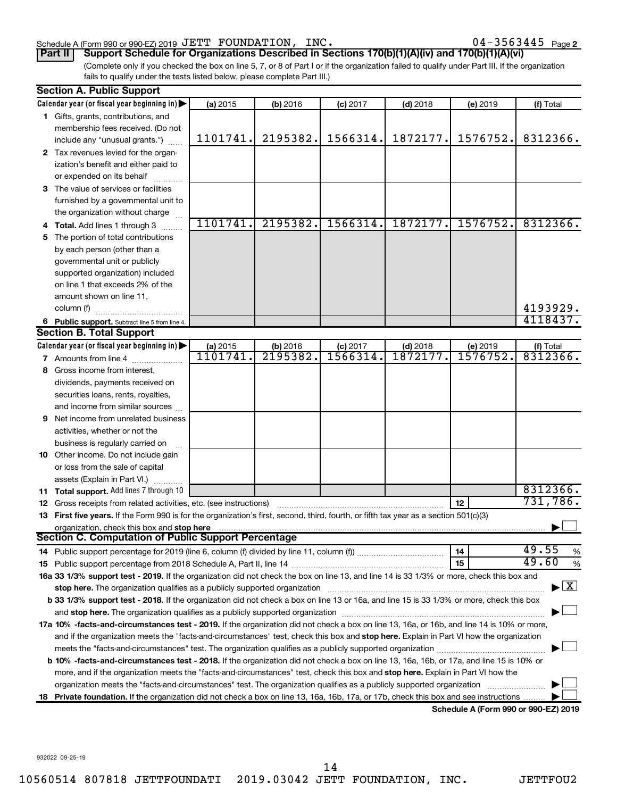### Schedule A (Form 990 or 990-EZ) 2019 Page JETT FOUNDATION, INC. 04-3563445

04-3563445 Page 2

(Complete only if you checked the box on line 5, 7, or 8 of Part I or if the organization failed to qualify under Part III. If the organization fails to qualify under the tests listed below, please complete Part III.) **Part II Support Schedule for Organizations Described in Sections 170(b)(1)(A)(iv) and 170(b)(1)(A)(vi)**

| Calendar year (or fiscal year beginning in)<br>(a) 2015<br>(b) 2016<br>$(c)$ 2017<br>$(d)$ 2018<br>(e) 2019<br>(f) Total<br>1 Gifts, grants, contributions, and<br>membership fees received. (Do not<br>2195382.<br>1566314.<br>1872177.<br>1576752.<br>1101741.<br>8312366.<br>include any "unusual grants.")<br>2 Tax revenues levied for the organ-<br>ization's benefit and either paid to<br>or expended on its behalf<br>3 The value of services or facilities<br>furnished by a governmental unit to<br>the organization without charge<br>1101741.<br>2195382.<br>1566314.<br>1872177.<br>1576752.<br>8312366.<br>4 Total. Add lines 1 through 3<br>5 The portion of total contributions<br>by each person (other than a<br>governmental unit or publicly<br>supported organization) included<br>on line 1 that exceeds 2% of the<br>amount shown on line 11,<br>4193929.<br>column (f)<br>4118437.<br>6 Public support. Subtract line 5 from line 4.<br><b>Section B. Total Support</b><br>Calendar year (or fiscal year beginning in)<br>(a) 2015<br>(b) 2016<br>2195382<br>$(c)$ 2017<br>(d) 2018<br>1872177<br>(e) 2019<br>(f) Total<br>1101741<br>8312366.<br>1566314<br>1576752.<br>7 Amounts from line 4<br>8 Gross income from interest,<br>dividends, payments received on<br>securities loans, rents, royalties,<br>and income from similar sources<br><b>9</b> Net income from unrelated business<br>activities, whether or not the<br>business is regularly carried on<br>10 Other income. Do not include gain<br>or loss from the sale of capital<br>assets (Explain in Part VI.)<br>8312366.<br><b>11 Total support.</b> Add lines 7 through 10<br>731,786.<br>12<br><b>12</b> Gross receipts from related activities, etc. (see instructions)<br>13 First five years. If the Form 990 is for the organization's first, second, third, fourth, or fifth tax year as a section 501(c)(3)<br>organization, check this box and stop here<br>Section C. Computation of Public Support Percentage<br>49.55<br>14<br>14 Public support percentage for 2019 (line 6, column (f) divided by line 11, column (f) <i>mummumumum</i><br>49.60<br>15<br>16a 33 1/3% support test - 2019. If the organization did not check the box on line 13, and line 14 is 33 1/3% or more, check this box and<br>$\blacktriangleright$ $\mathbf{X}$<br>stop here. The organization qualifies as a publicly supported organization<br>b 33 1/3% support test - 2018. If the organization did not check a box on line 13 or 16a, and line 15 is 33 1/3% or more, check this box<br>17a 10% -facts-and-circumstances test - 2019. If the organization did not check a box on line 13, 16a, or 16b, and line 14 is 10% or more,<br>and if the organization meets the "facts-and-circumstances" test, check this box and stop here. Explain in Part VI how the organization<br>meets the "facts-and-circumstances" test. The organization qualifies as a publicly supported organization <i>manumumumumum</i><br>b 10% -facts-and-circumstances test - 2018. If the organization did not check a box on line 13, 16a, 16b, or 17a, and line 15 is 10% or<br>more, and if the organization meets the "facts-and-circumstances" test, check this box and stop here. Explain in Part VI how the<br>organization meets the "facts-and-circumstances" test. The organization qualifies as a publicly supported organization<br>Private foundation. If the organization did not check a box on line 13, 16a, 16b, 17a, or 17b, check this box and see instructions<br>18<br>$000 - 000 F7100$ | <b>Section A. Public Support</b> |  |  |  |  |  |      |  |  |  |
|----------------------------------------------------------------------------------------------------------------------------------------------------------------------------------------------------------------------------------------------------------------------------------------------------------------------------------------------------------------------------------------------------------------------------------------------------------------------------------------------------------------------------------------------------------------------------------------------------------------------------------------------------------------------------------------------------------------------------------------------------------------------------------------------------------------------------------------------------------------------------------------------------------------------------------------------------------------------------------------------------------------------------------------------------------------------------------------------------------------------------------------------------------------------------------------------------------------------------------------------------------------------------------------------------------------------------------------------------------------------------------------------------------------------------------------------------------------------------------------------------------------------------------------------------------------------------------------------------------------------------------------------------------------------------------------------------------------------------------------------------------------------------------------------------------------------------------------------------------------------------------------------------------------------------------------------------------------------------------------------------------------------------------------------------------------------------------------------------------------------------------------------------------------------------------------------------------------------------------------------------------------------------------------------------------------------------------------------------------------------------------------------------------------------------------------------------------------------------------------------------------------------------------------------------------------------------------------------------------------------------------------------------------------------------------------------------------------------------------------------------------------------------------------------------------------------------------------------------------------------------------------------------------------------------------------------------------------------------------------------------------------------------------------------------------------------------------------------------------------------------------------------------------------------------------------------------------------------------------------------------------------------------------------------------------------------------------------------------------------------------------------------------------------------------------------------------------------------------------------------------------------------------------------------------------------------------------|----------------------------------|--|--|--|--|--|------|--|--|--|
|                                                                                                                                                                                                                                                                                                                                                                                                                                                                                                                                                                                                                                                                                                                                                                                                                                                                                                                                                                                                                                                                                                                                                                                                                                                                                                                                                                                                                                                                                                                                                                                                                                                                                                                                                                                                                                                                                                                                                                                                                                                                                                                                                                                                                                                                                                                                                                                                                                                                                                                                                                                                                                                                                                                                                                                                                                                                                                                                                                                                                                                                                                                                                                                                                                                                                                                                                                                                                                                                                                                                                                                  |                                  |  |  |  |  |  |      |  |  |  |
|                                                                                                                                                                                                                                                                                                                                                                                                                                                                                                                                                                                                                                                                                                                                                                                                                                                                                                                                                                                                                                                                                                                                                                                                                                                                                                                                                                                                                                                                                                                                                                                                                                                                                                                                                                                                                                                                                                                                                                                                                                                                                                                                                                                                                                                                                                                                                                                                                                                                                                                                                                                                                                                                                                                                                                                                                                                                                                                                                                                                                                                                                                                                                                                                                                                                                                                                                                                                                                                                                                                                                                                  |                                  |  |  |  |  |  |      |  |  |  |
|                                                                                                                                                                                                                                                                                                                                                                                                                                                                                                                                                                                                                                                                                                                                                                                                                                                                                                                                                                                                                                                                                                                                                                                                                                                                                                                                                                                                                                                                                                                                                                                                                                                                                                                                                                                                                                                                                                                                                                                                                                                                                                                                                                                                                                                                                                                                                                                                                                                                                                                                                                                                                                                                                                                                                                                                                                                                                                                                                                                                                                                                                                                                                                                                                                                                                                                                                                                                                                                                                                                                                                                  |                                  |  |  |  |  |  |      |  |  |  |
|                                                                                                                                                                                                                                                                                                                                                                                                                                                                                                                                                                                                                                                                                                                                                                                                                                                                                                                                                                                                                                                                                                                                                                                                                                                                                                                                                                                                                                                                                                                                                                                                                                                                                                                                                                                                                                                                                                                                                                                                                                                                                                                                                                                                                                                                                                                                                                                                                                                                                                                                                                                                                                                                                                                                                                                                                                                                                                                                                                                                                                                                                                                                                                                                                                                                                                                                                                                                                                                                                                                                                                                  |                                  |  |  |  |  |  |      |  |  |  |
|                                                                                                                                                                                                                                                                                                                                                                                                                                                                                                                                                                                                                                                                                                                                                                                                                                                                                                                                                                                                                                                                                                                                                                                                                                                                                                                                                                                                                                                                                                                                                                                                                                                                                                                                                                                                                                                                                                                                                                                                                                                                                                                                                                                                                                                                                                                                                                                                                                                                                                                                                                                                                                                                                                                                                                                                                                                                                                                                                                                                                                                                                                                                                                                                                                                                                                                                                                                                                                                                                                                                                                                  |                                  |  |  |  |  |  |      |  |  |  |
|                                                                                                                                                                                                                                                                                                                                                                                                                                                                                                                                                                                                                                                                                                                                                                                                                                                                                                                                                                                                                                                                                                                                                                                                                                                                                                                                                                                                                                                                                                                                                                                                                                                                                                                                                                                                                                                                                                                                                                                                                                                                                                                                                                                                                                                                                                                                                                                                                                                                                                                                                                                                                                                                                                                                                                                                                                                                                                                                                                                                                                                                                                                                                                                                                                                                                                                                                                                                                                                                                                                                                                                  |                                  |  |  |  |  |  |      |  |  |  |
|                                                                                                                                                                                                                                                                                                                                                                                                                                                                                                                                                                                                                                                                                                                                                                                                                                                                                                                                                                                                                                                                                                                                                                                                                                                                                                                                                                                                                                                                                                                                                                                                                                                                                                                                                                                                                                                                                                                                                                                                                                                                                                                                                                                                                                                                                                                                                                                                                                                                                                                                                                                                                                                                                                                                                                                                                                                                                                                                                                                                                                                                                                                                                                                                                                                                                                                                                                                                                                                                                                                                                                                  |                                  |  |  |  |  |  |      |  |  |  |
|                                                                                                                                                                                                                                                                                                                                                                                                                                                                                                                                                                                                                                                                                                                                                                                                                                                                                                                                                                                                                                                                                                                                                                                                                                                                                                                                                                                                                                                                                                                                                                                                                                                                                                                                                                                                                                                                                                                                                                                                                                                                                                                                                                                                                                                                                                                                                                                                                                                                                                                                                                                                                                                                                                                                                                                                                                                                                                                                                                                                                                                                                                                                                                                                                                                                                                                                                                                                                                                                                                                                                                                  |                                  |  |  |  |  |  |      |  |  |  |
|                                                                                                                                                                                                                                                                                                                                                                                                                                                                                                                                                                                                                                                                                                                                                                                                                                                                                                                                                                                                                                                                                                                                                                                                                                                                                                                                                                                                                                                                                                                                                                                                                                                                                                                                                                                                                                                                                                                                                                                                                                                                                                                                                                                                                                                                                                                                                                                                                                                                                                                                                                                                                                                                                                                                                                                                                                                                                                                                                                                                                                                                                                                                                                                                                                                                                                                                                                                                                                                                                                                                                                                  |                                  |  |  |  |  |  |      |  |  |  |
|                                                                                                                                                                                                                                                                                                                                                                                                                                                                                                                                                                                                                                                                                                                                                                                                                                                                                                                                                                                                                                                                                                                                                                                                                                                                                                                                                                                                                                                                                                                                                                                                                                                                                                                                                                                                                                                                                                                                                                                                                                                                                                                                                                                                                                                                                                                                                                                                                                                                                                                                                                                                                                                                                                                                                                                                                                                                                                                                                                                                                                                                                                                                                                                                                                                                                                                                                                                                                                                                                                                                                                                  |                                  |  |  |  |  |  |      |  |  |  |
|                                                                                                                                                                                                                                                                                                                                                                                                                                                                                                                                                                                                                                                                                                                                                                                                                                                                                                                                                                                                                                                                                                                                                                                                                                                                                                                                                                                                                                                                                                                                                                                                                                                                                                                                                                                                                                                                                                                                                                                                                                                                                                                                                                                                                                                                                                                                                                                                                                                                                                                                                                                                                                                                                                                                                                                                                                                                                                                                                                                                                                                                                                                                                                                                                                                                                                                                                                                                                                                                                                                                                                                  |                                  |  |  |  |  |  |      |  |  |  |
|                                                                                                                                                                                                                                                                                                                                                                                                                                                                                                                                                                                                                                                                                                                                                                                                                                                                                                                                                                                                                                                                                                                                                                                                                                                                                                                                                                                                                                                                                                                                                                                                                                                                                                                                                                                                                                                                                                                                                                                                                                                                                                                                                                                                                                                                                                                                                                                                                                                                                                                                                                                                                                                                                                                                                                                                                                                                                                                                                                                                                                                                                                                                                                                                                                                                                                                                                                                                                                                                                                                                                                                  |                                  |  |  |  |  |  |      |  |  |  |
|                                                                                                                                                                                                                                                                                                                                                                                                                                                                                                                                                                                                                                                                                                                                                                                                                                                                                                                                                                                                                                                                                                                                                                                                                                                                                                                                                                                                                                                                                                                                                                                                                                                                                                                                                                                                                                                                                                                                                                                                                                                                                                                                                                                                                                                                                                                                                                                                                                                                                                                                                                                                                                                                                                                                                                                                                                                                                                                                                                                                                                                                                                                                                                                                                                                                                                                                                                                                                                                                                                                                                                                  |                                  |  |  |  |  |  |      |  |  |  |
|                                                                                                                                                                                                                                                                                                                                                                                                                                                                                                                                                                                                                                                                                                                                                                                                                                                                                                                                                                                                                                                                                                                                                                                                                                                                                                                                                                                                                                                                                                                                                                                                                                                                                                                                                                                                                                                                                                                                                                                                                                                                                                                                                                                                                                                                                                                                                                                                                                                                                                                                                                                                                                                                                                                                                                                                                                                                                                                                                                                                                                                                                                                                                                                                                                                                                                                                                                                                                                                                                                                                                                                  |                                  |  |  |  |  |  |      |  |  |  |
|                                                                                                                                                                                                                                                                                                                                                                                                                                                                                                                                                                                                                                                                                                                                                                                                                                                                                                                                                                                                                                                                                                                                                                                                                                                                                                                                                                                                                                                                                                                                                                                                                                                                                                                                                                                                                                                                                                                                                                                                                                                                                                                                                                                                                                                                                                                                                                                                                                                                                                                                                                                                                                                                                                                                                                                                                                                                                                                                                                                                                                                                                                                                                                                                                                                                                                                                                                                                                                                                                                                                                                                  |                                  |  |  |  |  |  |      |  |  |  |
|                                                                                                                                                                                                                                                                                                                                                                                                                                                                                                                                                                                                                                                                                                                                                                                                                                                                                                                                                                                                                                                                                                                                                                                                                                                                                                                                                                                                                                                                                                                                                                                                                                                                                                                                                                                                                                                                                                                                                                                                                                                                                                                                                                                                                                                                                                                                                                                                                                                                                                                                                                                                                                                                                                                                                                                                                                                                                                                                                                                                                                                                                                                                                                                                                                                                                                                                                                                                                                                                                                                                                                                  |                                  |  |  |  |  |  |      |  |  |  |
|                                                                                                                                                                                                                                                                                                                                                                                                                                                                                                                                                                                                                                                                                                                                                                                                                                                                                                                                                                                                                                                                                                                                                                                                                                                                                                                                                                                                                                                                                                                                                                                                                                                                                                                                                                                                                                                                                                                                                                                                                                                                                                                                                                                                                                                                                                                                                                                                                                                                                                                                                                                                                                                                                                                                                                                                                                                                                                                                                                                                                                                                                                                                                                                                                                                                                                                                                                                                                                                                                                                                                                                  |                                  |  |  |  |  |  |      |  |  |  |
|                                                                                                                                                                                                                                                                                                                                                                                                                                                                                                                                                                                                                                                                                                                                                                                                                                                                                                                                                                                                                                                                                                                                                                                                                                                                                                                                                                                                                                                                                                                                                                                                                                                                                                                                                                                                                                                                                                                                                                                                                                                                                                                                                                                                                                                                                                                                                                                                                                                                                                                                                                                                                                                                                                                                                                                                                                                                                                                                                                                                                                                                                                                                                                                                                                                                                                                                                                                                                                                                                                                                                                                  |                                  |  |  |  |  |  |      |  |  |  |
|                                                                                                                                                                                                                                                                                                                                                                                                                                                                                                                                                                                                                                                                                                                                                                                                                                                                                                                                                                                                                                                                                                                                                                                                                                                                                                                                                                                                                                                                                                                                                                                                                                                                                                                                                                                                                                                                                                                                                                                                                                                                                                                                                                                                                                                                                                                                                                                                                                                                                                                                                                                                                                                                                                                                                                                                                                                                                                                                                                                                                                                                                                                                                                                                                                                                                                                                                                                                                                                                                                                                                                                  |                                  |  |  |  |  |  |      |  |  |  |
|                                                                                                                                                                                                                                                                                                                                                                                                                                                                                                                                                                                                                                                                                                                                                                                                                                                                                                                                                                                                                                                                                                                                                                                                                                                                                                                                                                                                                                                                                                                                                                                                                                                                                                                                                                                                                                                                                                                                                                                                                                                                                                                                                                                                                                                                                                                                                                                                                                                                                                                                                                                                                                                                                                                                                                                                                                                                                                                                                                                                                                                                                                                                                                                                                                                                                                                                                                                                                                                                                                                                                                                  |                                  |  |  |  |  |  |      |  |  |  |
|                                                                                                                                                                                                                                                                                                                                                                                                                                                                                                                                                                                                                                                                                                                                                                                                                                                                                                                                                                                                                                                                                                                                                                                                                                                                                                                                                                                                                                                                                                                                                                                                                                                                                                                                                                                                                                                                                                                                                                                                                                                                                                                                                                                                                                                                                                                                                                                                                                                                                                                                                                                                                                                                                                                                                                                                                                                                                                                                                                                                                                                                                                                                                                                                                                                                                                                                                                                                                                                                                                                                                                                  |                                  |  |  |  |  |  |      |  |  |  |
|                                                                                                                                                                                                                                                                                                                                                                                                                                                                                                                                                                                                                                                                                                                                                                                                                                                                                                                                                                                                                                                                                                                                                                                                                                                                                                                                                                                                                                                                                                                                                                                                                                                                                                                                                                                                                                                                                                                                                                                                                                                                                                                                                                                                                                                                                                                                                                                                                                                                                                                                                                                                                                                                                                                                                                                                                                                                                                                                                                                                                                                                                                                                                                                                                                                                                                                                                                                                                                                                                                                                                                                  |                                  |  |  |  |  |  |      |  |  |  |
|                                                                                                                                                                                                                                                                                                                                                                                                                                                                                                                                                                                                                                                                                                                                                                                                                                                                                                                                                                                                                                                                                                                                                                                                                                                                                                                                                                                                                                                                                                                                                                                                                                                                                                                                                                                                                                                                                                                                                                                                                                                                                                                                                                                                                                                                                                                                                                                                                                                                                                                                                                                                                                                                                                                                                                                                                                                                                                                                                                                                                                                                                                                                                                                                                                                                                                                                                                                                                                                                                                                                                                                  |                                  |  |  |  |  |  |      |  |  |  |
|                                                                                                                                                                                                                                                                                                                                                                                                                                                                                                                                                                                                                                                                                                                                                                                                                                                                                                                                                                                                                                                                                                                                                                                                                                                                                                                                                                                                                                                                                                                                                                                                                                                                                                                                                                                                                                                                                                                                                                                                                                                                                                                                                                                                                                                                                                                                                                                                                                                                                                                                                                                                                                                                                                                                                                                                                                                                                                                                                                                                                                                                                                                                                                                                                                                                                                                                                                                                                                                                                                                                                                                  |                                  |  |  |  |  |  |      |  |  |  |
|                                                                                                                                                                                                                                                                                                                                                                                                                                                                                                                                                                                                                                                                                                                                                                                                                                                                                                                                                                                                                                                                                                                                                                                                                                                                                                                                                                                                                                                                                                                                                                                                                                                                                                                                                                                                                                                                                                                                                                                                                                                                                                                                                                                                                                                                                                                                                                                                                                                                                                                                                                                                                                                                                                                                                                                                                                                                                                                                                                                                                                                                                                                                                                                                                                                                                                                                                                                                                                                                                                                                                                                  |                                  |  |  |  |  |  |      |  |  |  |
|                                                                                                                                                                                                                                                                                                                                                                                                                                                                                                                                                                                                                                                                                                                                                                                                                                                                                                                                                                                                                                                                                                                                                                                                                                                                                                                                                                                                                                                                                                                                                                                                                                                                                                                                                                                                                                                                                                                                                                                                                                                                                                                                                                                                                                                                                                                                                                                                                                                                                                                                                                                                                                                                                                                                                                                                                                                                                                                                                                                                                                                                                                                                                                                                                                                                                                                                                                                                                                                                                                                                                                                  |                                  |  |  |  |  |  |      |  |  |  |
|                                                                                                                                                                                                                                                                                                                                                                                                                                                                                                                                                                                                                                                                                                                                                                                                                                                                                                                                                                                                                                                                                                                                                                                                                                                                                                                                                                                                                                                                                                                                                                                                                                                                                                                                                                                                                                                                                                                                                                                                                                                                                                                                                                                                                                                                                                                                                                                                                                                                                                                                                                                                                                                                                                                                                                                                                                                                                                                                                                                                                                                                                                                                                                                                                                                                                                                                                                                                                                                                                                                                                                                  |                                  |  |  |  |  |  |      |  |  |  |
|                                                                                                                                                                                                                                                                                                                                                                                                                                                                                                                                                                                                                                                                                                                                                                                                                                                                                                                                                                                                                                                                                                                                                                                                                                                                                                                                                                                                                                                                                                                                                                                                                                                                                                                                                                                                                                                                                                                                                                                                                                                                                                                                                                                                                                                                                                                                                                                                                                                                                                                                                                                                                                                                                                                                                                                                                                                                                                                                                                                                                                                                                                                                                                                                                                                                                                                                                                                                                                                                                                                                                                                  |                                  |  |  |  |  |  |      |  |  |  |
|                                                                                                                                                                                                                                                                                                                                                                                                                                                                                                                                                                                                                                                                                                                                                                                                                                                                                                                                                                                                                                                                                                                                                                                                                                                                                                                                                                                                                                                                                                                                                                                                                                                                                                                                                                                                                                                                                                                                                                                                                                                                                                                                                                                                                                                                                                                                                                                                                                                                                                                                                                                                                                                                                                                                                                                                                                                                                                                                                                                                                                                                                                                                                                                                                                                                                                                                                                                                                                                                                                                                                                                  |                                  |  |  |  |  |  |      |  |  |  |
|                                                                                                                                                                                                                                                                                                                                                                                                                                                                                                                                                                                                                                                                                                                                                                                                                                                                                                                                                                                                                                                                                                                                                                                                                                                                                                                                                                                                                                                                                                                                                                                                                                                                                                                                                                                                                                                                                                                                                                                                                                                                                                                                                                                                                                                                                                                                                                                                                                                                                                                                                                                                                                                                                                                                                                                                                                                                                                                                                                                                                                                                                                                                                                                                                                                                                                                                                                                                                                                                                                                                                                                  |                                  |  |  |  |  |  |      |  |  |  |
|                                                                                                                                                                                                                                                                                                                                                                                                                                                                                                                                                                                                                                                                                                                                                                                                                                                                                                                                                                                                                                                                                                                                                                                                                                                                                                                                                                                                                                                                                                                                                                                                                                                                                                                                                                                                                                                                                                                                                                                                                                                                                                                                                                                                                                                                                                                                                                                                                                                                                                                                                                                                                                                                                                                                                                                                                                                                                                                                                                                                                                                                                                                                                                                                                                                                                                                                                                                                                                                                                                                                                                                  |                                  |  |  |  |  |  |      |  |  |  |
|                                                                                                                                                                                                                                                                                                                                                                                                                                                                                                                                                                                                                                                                                                                                                                                                                                                                                                                                                                                                                                                                                                                                                                                                                                                                                                                                                                                                                                                                                                                                                                                                                                                                                                                                                                                                                                                                                                                                                                                                                                                                                                                                                                                                                                                                                                                                                                                                                                                                                                                                                                                                                                                                                                                                                                                                                                                                                                                                                                                                                                                                                                                                                                                                                                                                                                                                                                                                                                                                                                                                                                                  |                                  |  |  |  |  |  |      |  |  |  |
|                                                                                                                                                                                                                                                                                                                                                                                                                                                                                                                                                                                                                                                                                                                                                                                                                                                                                                                                                                                                                                                                                                                                                                                                                                                                                                                                                                                                                                                                                                                                                                                                                                                                                                                                                                                                                                                                                                                                                                                                                                                                                                                                                                                                                                                                                                                                                                                                                                                                                                                                                                                                                                                                                                                                                                                                                                                                                                                                                                                                                                                                                                                                                                                                                                                                                                                                                                                                                                                                                                                                                                                  |                                  |  |  |  |  |  |      |  |  |  |
|                                                                                                                                                                                                                                                                                                                                                                                                                                                                                                                                                                                                                                                                                                                                                                                                                                                                                                                                                                                                                                                                                                                                                                                                                                                                                                                                                                                                                                                                                                                                                                                                                                                                                                                                                                                                                                                                                                                                                                                                                                                                                                                                                                                                                                                                                                                                                                                                                                                                                                                                                                                                                                                                                                                                                                                                                                                                                                                                                                                                                                                                                                                                                                                                                                                                                                                                                                                                                                                                                                                                                                                  |                                  |  |  |  |  |  |      |  |  |  |
|                                                                                                                                                                                                                                                                                                                                                                                                                                                                                                                                                                                                                                                                                                                                                                                                                                                                                                                                                                                                                                                                                                                                                                                                                                                                                                                                                                                                                                                                                                                                                                                                                                                                                                                                                                                                                                                                                                                                                                                                                                                                                                                                                                                                                                                                                                                                                                                                                                                                                                                                                                                                                                                                                                                                                                                                                                                                                                                                                                                                                                                                                                                                                                                                                                                                                                                                                                                                                                                                                                                                                                                  |                                  |  |  |  |  |  |      |  |  |  |
|                                                                                                                                                                                                                                                                                                                                                                                                                                                                                                                                                                                                                                                                                                                                                                                                                                                                                                                                                                                                                                                                                                                                                                                                                                                                                                                                                                                                                                                                                                                                                                                                                                                                                                                                                                                                                                                                                                                                                                                                                                                                                                                                                                                                                                                                                                                                                                                                                                                                                                                                                                                                                                                                                                                                                                                                                                                                                                                                                                                                                                                                                                                                                                                                                                                                                                                                                                                                                                                                                                                                                                                  |                                  |  |  |  |  |  |      |  |  |  |
|                                                                                                                                                                                                                                                                                                                                                                                                                                                                                                                                                                                                                                                                                                                                                                                                                                                                                                                                                                                                                                                                                                                                                                                                                                                                                                                                                                                                                                                                                                                                                                                                                                                                                                                                                                                                                                                                                                                                                                                                                                                                                                                                                                                                                                                                                                                                                                                                                                                                                                                                                                                                                                                                                                                                                                                                                                                                                                                                                                                                                                                                                                                                                                                                                                                                                                                                                                                                                                                                                                                                                                                  |                                  |  |  |  |  |  |      |  |  |  |
|                                                                                                                                                                                                                                                                                                                                                                                                                                                                                                                                                                                                                                                                                                                                                                                                                                                                                                                                                                                                                                                                                                                                                                                                                                                                                                                                                                                                                                                                                                                                                                                                                                                                                                                                                                                                                                                                                                                                                                                                                                                                                                                                                                                                                                                                                                                                                                                                                                                                                                                                                                                                                                                                                                                                                                                                                                                                                                                                                                                                                                                                                                                                                                                                                                                                                                                                                                                                                                                                                                                                                                                  |                                  |  |  |  |  |  | %    |  |  |  |
|                                                                                                                                                                                                                                                                                                                                                                                                                                                                                                                                                                                                                                                                                                                                                                                                                                                                                                                                                                                                                                                                                                                                                                                                                                                                                                                                                                                                                                                                                                                                                                                                                                                                                                                                                                                                                                                                                                                                                                                                                                                                                                                                                                                                                                                                                                                                                                                                                                                                                                                                                                                                                                                                                                                                                                                                                                                                                                                                                                                                                                                                                                                                                                                                                                                                                                                                                                                                                                                                                                                                                                                  |                                  |  |  |  |  |  | $\%$ |  |  |  |
|                                                                                                                                                                                                                                                                                                                                                                                                                                                                                                                                                                                                                                                                                                                                                                                                                                                                                                                                                                                                                                                                                                                                                                                                                                                                                                                                                                                                                                                                                                                                                                                                                                                                                                                                                                                                                                                                                                                                                                                                                                                                                                                                                                                                                                                                                                                                                                                                                                                                                                                                                                                                                                                                                                                                                                                                                                                                                                                                                                                                                                                                                                                                                                                                                                                                                                                                                                                                                                                                                                                                                                                  |                                  |  |  |  |  |  |      |  |  |  |
|                                                                                                                                                                                                                                                                                                                                                                                                                                                                                                                                                                                                                                                                                                                                                                                                                                                                                                                                                                                                                                                                                                                                                                                                                                                                                                                                                                                                                                                                                                                                                                                                                                                                                                                                                                                                                                                                                                                                                                                                                                                                                                                                                                                                                                                                                                                                                                                                                                                                                                                                                                                                                                                                                                                                                                                                                                                                                                                                                                                                                                                                                                                                                                                                                                                                                                                                                                                                                                                                                                                                                                                  |                                  |  |  |  |  |  |      |  |  |  |
|                                                                                                                                                                                                                                                                                                                                                                                                                                                                                                                                                                                                                                                                                                                                                                                                                                                                                                                                                                                                                                                                                                                                                                                                                                                                                                                                                                                                                                                                                                                                                                                                                                                                                                                                                                                                                                                                                                                                                                                                                                                                                                                                                                                                                                                                                                                                                                                                                                                                                                                                                                                                                                                                                                                                                                                                                                                                                                                                                                                                                                                                                                                                                                                                                                                                                                                                                                                                                                                                                                                                                                                  |                                  |  |  |  |  |  |      |  |  |  |
|                                                                                                                                                                                                                                                                                                                                                                                                                                                                                                                                                                                                                                                                                                                                                                                                                                                                                                                                                                                                                                                                                                                                                                                                                                                                                                                                                                                                                                                                                                                                                                                                                                                                                                                                                                                                                                                                                                                                                                                                                                                                                                                                                                                                                                                                                                                                                                                                                                                                                                                                                                                                                                                                                                                                                                                                                                                                                                                                                                                                                                                                                                                                                                                                                                                                                                                                                                                                                                                                                                                                                                                  |                                  |  |  |  |  |  |      |  |  |  |
|                                                                                                                                                                                                                                                                                                                                                                                                                                                                                                                                                                                                                                                                                                                                                                                                                                                                                                                                                                                                                                                                                                                                                                                                                                                                                                                                                                                                                                                                                                                                                                                                                                                                                                                                                                                                                                                                                                                                                                                                                                                                                                                                                                                                                                                                                                                                                                                                                                                                                                                                                                                                                                                                                                                                                                                                                                                                                                                                                                                                                                                                                                                                                                                                                                                                                                                                                                                                                                                                                                                                                                                  |                                  |  |  |  |  |  |      |  |  |  |
|                                                                                                                                                                                                                                                                                                                                                                                                                                                                                                                                                                                                                                                                                                                                                                                                                                                                                                                                                                                                                                                                                                                                                                                                                                                                                                                                                                                                                                                                                                                                                                                                                                                                                                                                                                                                                                                                                                                                                                                                                                                                                                                                                                                                                                                                                                                                                                                                                                                                                                                                                                                                                                                                                                                                                                                                                                                                                                                                                                                                                                                                                                                                                                                                                                                                                                                                                                                                                                                                                                                                                                                  |                                  |  |  |  |  |  |      |  |  |  |
|                                                                                                                                                                                                                                                                                                                                                                                                                                                                                                                                                                                                                                                                                                                                                                                                                                                                                                                                                                                                                                                                                                                                                                                                                                                                                                                                                                                                                                                                                                                                                                                                                                                                                                                                                                                                                                                                                                                                                                                                                                                                                                                                                                                                                                                                                                                                                                                                                                                                                                                                                                                                                                                                                                                                                                                                                                                                                                                                                                                                                                                                                                                                                                                                                                                                                                                                                                                                                                                                                                                                                                                  |                                  |  |  |  |  |  |      |  |  |  |
|                                                                                                                                                                                                                                                                                                                                                                                                                                                                                                                                                                                                                                                                                                                                                                                                                                                                                                                                                                                                                                                                                                                                                                                                                                                                                                                                                                                                                                                                                                                                                                                                                                                                                                                                                                                                                                                                                                                                                                                                                                                                                                                                                                                                                                                                                                                                                                                                                                                                                                                                                                                                                                                                                                                                                                                                                                                                                                                                                                                                                                                                                                                                                                                                                                                                                                                                                                                                                                                                                                                                                                                  |                                  |  |  |  |  |  |      |  |  |  |
|                                                                                                                                                                                                                                                                                                                                                                                                                                                                                                                                                                                                                                                                                                                                                                                                                                                                                                                                                                                                                                                                                                                                                                                                                                                                                                                                                                                                                                                                                                                                                                                                                                                                                                                                                                                                                                                                                                                                                                                                                                                                                                                                                                                                                                                                                                                                                                                                                                                                                                                                                                                                                                                                                                                                                                                                                                                                                                                                                                                                                                                                                                                                                                                                                                                                                                                                                                                                                                                                                                                                                                                  |                                  |  |  |  |  |  |      |  |  |  |
|                                                                                                                                                                                                                                                                                                                                                                                                                                                                                                                                                                                                                                                                                                                                                                                                                                                                                                                                                                                                                                                                                                                                                                                                                                                                                                                                                                                                                                                                                                                                                                                                                                                                                                                                                                                                                                                                                                                                                                                                                                                                                                                                                                                                                                                                                                                                                                                                                                                                                                                                                                                                                                                                                                                                                                                                                                                                                                                                                                                                                                                                                                                                                                                                                                                                                                                                                                                                                                                                                                                                                                                  |                                  |  |  |  |  |  |      |  |  |  |
|                                                                                                                                                                                                                                                                                                                                                                                                                                                                                                                                                                                                                                                                                                                                                                                                                                                                                                                                                                                                                                                                                                                                                                                                                                                                                                                                                                                                                                                                                                                                                                                                                                                                                                                                                                                                                                                                                                                                                                                                                                                                                                                                                                                                                                                                                                                                                                                                                                                                                                                                                                                                                                                                                                                                                                                                                                                                                                                                                                                                                                                                                                                                                                                                                                                                                                                                                                                                                                                                                                                                                                                  |                                  |  |  |  |  |  |      |  |  |  |

**Schedule A (Form 990 or 990-EZ) 2019**

932022 09-25-19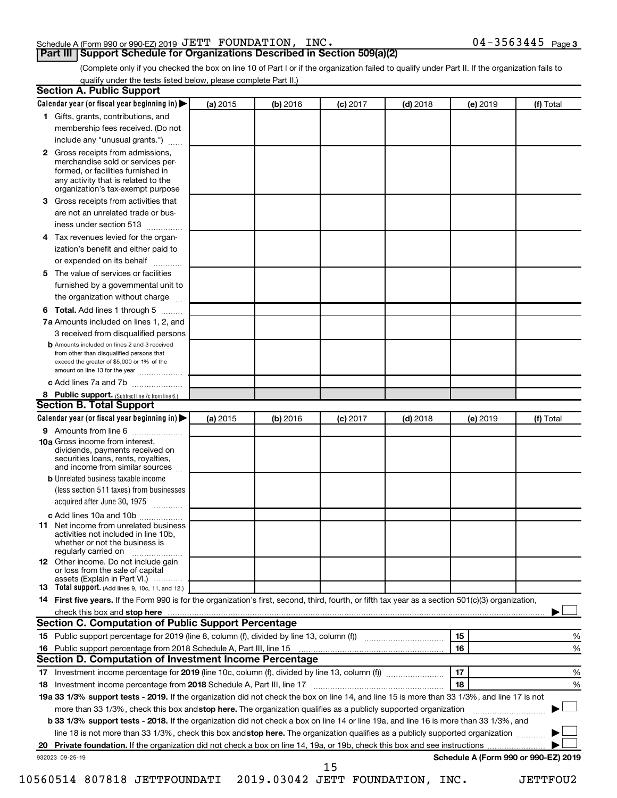# Schedule A (Form 990 or 990-EZ) 2019 Page JETT FOUNDATION, INC. 04-3563445

(Complete only if you checked the box on line 10 of Part I or if the organization failed to qualify under Part II. If the organization fails to qualify under the tests listed below, please complete Part II.)

| <b>Section A. Public Support</b>                                                                                                                                                         |          |          |            |            |          |                                      |
|------------------------------------------------------------------------------------------------------------------------------------------------------------------------------------------|----------|----------|------------|------------|----------|--------------------------------------|
| Calendar year (or fiscal year beginning in)                                                                                                                                              | (a) 2015 | (b) 2016 | $(c)$ 2017 | $(d)$ 2018 | (e) 2019 | (f) Total                            |
| 1 Gifts, grants, contributions, and                                                                                                                                                      |          |          |            |            |          |                                      |
| membership fees received. (Do not                                                                                                                                                        |          |          |            |            |          |                                      |
| include any "unusual grants.")                                                                                                                                                           |          |          |            |            |          |                                      |
| 2 Gross receipts from admissions,<br>merchandise sold or services per-<br>formed, or facilities furnished in<br>any activity that is related to the<br>organization's tax-exempt purpose |          |          |            |            |          |                                      |
| <b>3</b> Gross receipts from activities that                                                                                                                                             |          |          |            |            |          |                                      |
| are not an unrelated trade or bus-                                                                                                                                                       |          |          |            |            |          |                                      |
| iness under section 513                                                                                                                                                                  |          |          |            |            |          |                                      |
| 4 Tax revenues levied for the organ-                                                                                                                                                     |          |          |            |            |          |                                      |
| ization's benefit and either paid to                                                                                                                                                     |          |          |            |            |          |                                      |
| or expended on its behalf                                                                                                                                                                |          |          |            |            |          |                                      |
| 5 The value of services or facilities                                                                                                                                                    |          |          |            |            |          |                                      |
| furnished by a governmental unit to                                                                                                                                                      |          |          |            |            |          |                                      |
| the organization without charge                                                                                                                                                          |          |          |            |            |          |                                      |
| <b>6 Total.</b> Add lines 1 through 5                                                                                                                                                    |          |          |            |            |          |                                      |
| 7a Amounts included on lines 1, 2, and                                                                                                                                                   |          |          |            |            |          |                                      |
| 3 received from disqualified persons                                                                                                                                                     |          |          |            |            |          |                                      |
| <b>b</b> Amounts included on lines 2 and 3 received<br>from other than disqualified persons that<br>exceed the greater of \$5,000 or 1% of the<br>amount on line 13 for the year         |          |          |            |            |          |                                      |
| c Add lines 7a and 7b                                                                                                                                                                    |          |          |            |            |          |                                      |
| 8 Public support. (Subtract line 7c from line 6.)                                                                                                                                        |          |          |            |            |          |                                      |
| <b>Section B. Total Support</b>                                                                                                                                                          |          |          |            |            |          |                                      |
| Calendar year (or fiscal year beginning in)                                                                                                                                              | (a) 2015 | (b) 2016 | $(c)$ 2017 | $(d)$ 2018 | (e) 2019 | (f) Total                            |
| <b>9</b> Amounts from line 6                                                                                                                                                             |          |          |            |            |          |                                      |
| <b>10a</b> Gross income from interest,<br>dividends, payments received on<br>securities loans, rents, royalties,<br>and income from similar sources                                      |          |          |            |            |          |                                      |
| <b>b</b> Unrelated business taxable income                                                                                                                                               |          |          |            |            |          |                                      |
| (less section 511 taxes) from businesses                                                                                                                                                 |          |          |            |            |          |                                      |
| acquired after June 30, 1975<br>$\overline{\phantom{a}}$                                                                                                                                 |          |          |            |            |          |                                      |
| c Add lines 10a and 10b                                                                                                                                                                  |          |          |            |            |          |                                      |
| <b>11</b> Net income from unrelated business<br>activities not included in line 10b.<br>whether or not the business is<br>regularly carried on                                           |          |          |            |            |          |                                      |
| <b>12</b> Other income. Do not include gain<br>or loss from the sale of capital<br>assets (Explain in Part VI.)                                                                          |          |          |            |            |          |                                      |
| <b>13</b> Total support. (Add lines 9, 10c, 11, and 12.)                                                                                                                                 |          |          |            |            |          |                                      |
| 14 First five years. If the Form 990 is for the organization's first, second, third, fourth, or fifth tax year as a section 501(c)(3) organization,                                      |          |          |            |            |          |                                      |
|                                                                                                                                                                                          |          |          |            |            |          |                                      |
| <b>Section C. Computation of Public Support Percentage</b>                                                                                                                               |          |          |            |            |          |                                      |
| 15 Public support percentage for 2019 (line 8, column (f), divided by line 13, column (f) <i></i>                                                                                        |          |          |            |            | 15       | ℅                                    |
| 16 Public support percentage from 2018 Schedule A, Part III, line 15                                                                                                                     |          |          |            |            | 16       | %                                    |
| Section D. Computation of Investment Income Percentage                                                                                                                                   |          |          |            |            |          |                                      |
| 17 Investment income percentage for 2019 (line 10c, column (f), divided by line 13, column (f))                                                                                          |          |          |            |            | 17       | %                                    |
| 18 Investment income percentage from 2018 Schedule A, Part III, line 17                                                                                                                  |          |          |            |            | 18       | %                                    |
| 19a 33 1/3% support tests - 2019. If the organization did not check the box on line 14, and line 15 is more than 33 1/3%, and line 17 is not                                             |          |          |            |            |          |                                      |
| more than 33 1/3%, check this box and stop here. The organization qualifies as a publicly supported organization                                                                         |          |          |            |            |          |                                      |
| b 33 1/3% support tests - 2018. If the organization did not check a box on line 14 or line 19a, and line 16 is more than 33 1/3%, and                                                    |          |          |            |            |          |                                      |
| line 18 is not more than 33 1/3%, check this box and stop here. The organization qualifies as a publicly supported organization                                                          |          |          |            |            |          |                                      |
|                                                                                                                                                                                          |          |          |            |            |          |                                      |
| 932023 09-25-19                                                                                                                                                                          |          |          | 15         |            |          | Schedule A (Form 990 or 990-EZ) 2019 |

10560514 807818 JETTFOUNDATI 2019.03042 JETT FOUNDATION, INC. JETTFOU2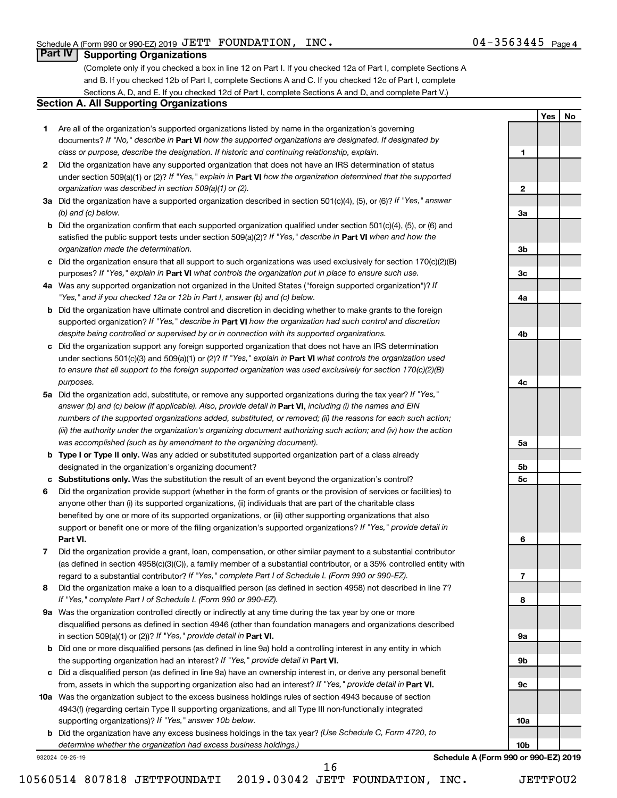**1**

**2**

**3a**

**3b**

**3c**

**4a**

**4b**

**4c**

**5a**

**5b 5c**

**6**

**7**

**8**

**9a**

**9b**

**9c**

**10a**

**10b**

**Yes No**

# **Part IV Supporting Organizations**

(Complete only if you checked a box in line 12 on Part I. If you checked 12a of Part I, complete Sections A and B. If you checked 12b of Part I, complete Sections A and C. If you checked 12c of Part I, complete Sections A, D, and E. If you checked 12d of Part I, complete Sections A and D, and complete Part V.)

#### **Section A. All Supporting Organizations**

- **1** Are all of the organization's supported organizations listed by name in the organization's governing documents? If "No," describe in Part VI how the supported organizations are designated. If designated by *class or purpose, describe the designation. If historic and continuing relationship, explain.*
- **2** Did the organization have any supported organization that does not have an IRS determination of status under section 509(a)(1) or (2)? If "Yes," explain in Part **VI** how the organization determined that the supported *organization was described in section 509(a)(1) or (2).*
- **3a** Did the organization have a supported organization described in section 501(c)(4), (5), or (6)? If "Yes," answer *(b) and (c) below.*
- **b** Did the organization confirm that each supported organization qualified under section 501(c)(4), (5), or (6) and satisfied the public support tests under section 509(a)(2)? If "Yes," describe in Part VI when and how the *organization made the determination.*
- **c** Did the organization ensure that all support to such organizations was used exclusively for section 170(c)(2)(B) purposes? If "Yes," explain in Part VI what controls the organization put in place to ensure such use.
- **4 a** *If* Was any supported organization not organized in the United States ("foreign supported organization")? *"Yes," and if you checked 12a or 12b in Part I, answer (b) and (c) below.*
- **b** Did the organization have ultimate control and discretion in deciding whether to make grants to the foreign supported organization? If "Yes," describe in Part VI how the organization had such control and discretion *despite being controlled or supervised by or in connection with its supported organizations.*
- **c** Did the organization support any foreign supported organization that does not have an IRS determination under sections 501(c)(3) and 509(a)(1) or (2)? If "Yes," explain in Part VI what controls the organization used *to ensure that all support to the foreign supported organization was used exclusively for section 170(c)(2)(B) purposes.*
- **5a** Did the organization add, substitute, or remove any supported organizations during the tax year? If "Yes," answer (b) and (c) below (if applicable). Also, provide detail in **Part VI,** including (i) the names and EIN *numbers of the supported organizations added, substituted, or removed; (ii) the reasons for each such action; (iii) the authority under the organization's organizing document authorizing such action; and (iv) how the action was accomplished (such as by amendment to the organizing document).*
- **b Type I or Type II only.** Was any added or substituted supported organization part of a class already designated in the organization's organizing document?
- **c Substitutions only.**  Was the substitution the result of an event beyond the organization's control?
- **6** Did the organization provide support (whether in the form of grants or the provision of services or facilities) to **Part VI.** support or benefit one or more of the filing organization's supported organizations? If "Yes," provide detail in anyone other than (i) its supported organizations, (ii) individuals that are part of the charitable class benefited by one or more of its supported organizations, or (iii) other supporting organizations that also
- **7** Did the organization provide a grant, loan, compensation, or other similar payment to a substantial contributor regard to a substantial contributor? If "Yes," complete Part I of Schedule L (Form 990 or 990-EZ). (as defined in section 4958(c)(3)(C)), a family member of a substantial contributor, or a 35% controlled entity with
- **8** Did the organization make a loan to a disqualified person (as defined in section 4958) not described in line 7? *If "Yes," complete Part I of Schedule L (Form 990 or 990-EZ).*
- **9 a** Was the organization controlled directly or indirectly at any time during the tax year by one or more in section 509(a)(1) or (2))? If "Yes," provide detail in **Part VI.** disqualified persons as defined in section 4946 (other than foundation managers and organizations described
- **b** Did one or more disqualified persons (as defined in line 9a) hold a controlling interest in any entity in which the supporting organization had an interest? If "Yes," provide detail in Part VI.
- **c** Did a disqualified person (as defined in line 9a) have an ownership interest in, or derive any personal benefit from, assets in which the supporting organization also had an interest? If "Yes," provide detail in Part VI.
- **10 a** Was the organization subject to the excess business holdings rules of section 4943 because of section supporting organizations)? If "Yes," answer 10b below. 4943(f) (regarding certain Type II supporting organizations, and all Type III non-functionally integrated
	- **b** Did the organization have any excess business holdings in the tax year? (Use Schedule C, Form 4720, to *determine whether the organization had excess business holdings.)*

16

932024 09-25-19

**Schedule A (Form 990 or 990-EZ) 2019**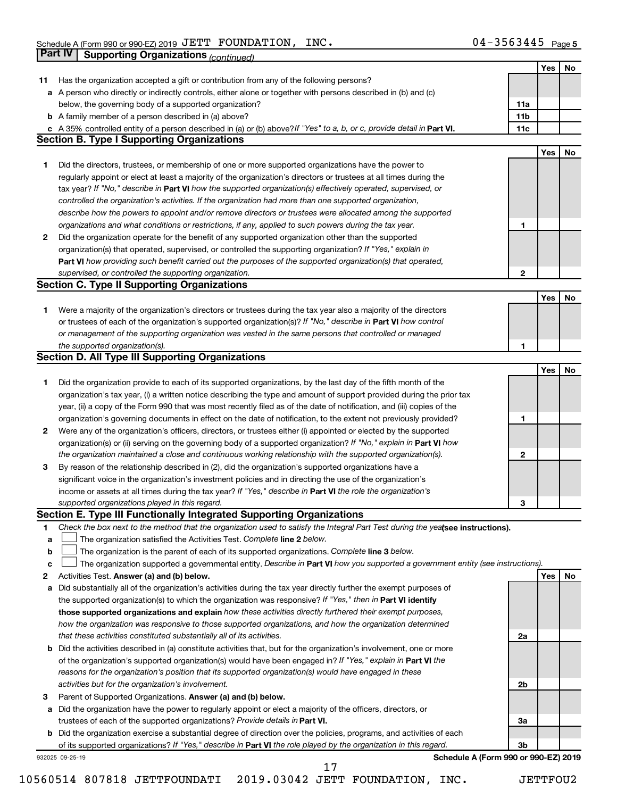|    | Part IV<br><b>Supporting Organizations (continued)</b>                                                                          |                 |     |    |
|----|---------------------------------------------------------------------------------------------------------------------------------|-----------------|-----|----|
|    |                                                                                                                                 |                 | Yes | No |
| 11 | Has the organization accepted a gift or contribution from any of the following persons?                                         |                 |     |    |
|    | a A person who directly or indirectly controls, either alone or together with persons described in (b) and (c)                  |                 |     |    |
|    | below, the governing body of a supported organization?                                                                          | 11a             |     |    |
|    | <b>b</b> A family member of a person described in (a) above?                                                                    | 11 <sub>b</sub> |     |    |
|    | c A 35% controlled entity of a person described in (a) or (b) above? If "Yes" to a, b, or c, provide detail in Part VI.         | 11c             |     |    |
|    | <b>Section B. Type I Supporting Organizations</b>                                                                               |                 |     |    |
|    |                                                                                                                                 |                 | Yes | No |
| 1  | Did the directors, trustees, or membership of one or more supported organizations have the power to                             |                 |     |    |
|    | regularly appoint or elect at least a majority of the organization's directors or trustees at all times during the              |                 |     |    |
|    | tax year? If "No," describe in Part VI how the supported organization(s) effectively operated, supervised, or                   |                 |     |    |
|    | controlled the organization's activities. If the organization had more than one supported organization,                         |                 |     |    |
|    | describe how the powers to appoint and/or remove directors or trustees were allocated among the supported                       |                 |     |    |
|    | organizations and what conditions or restrictions, if any, applied to such powers during the tax year.                          | 1               |     |    |
| 2  | Did the organization operate for the benefit of any supported organization other than the supported                             |                 |     |    |
|    | organization(s) that operated, supervised, or controlled the supporting organization? If "Yes," explain in                      |                 |     |    |
|    | Part VI how providing such benefit carried out the purposes of the supported organization(s) that operated,                     |                 |     |    |
|    | supervised, or controlled the supporting organization.                                                                          | 2               |     |    |
|    | <b>Section C. Type II Supporting Organizations</b>                                                                              |                 |     |    |
|    |                                                                                                                                 |                 | Yes | No |
| 1. | Were a majority of the organization's directors or trustees during the tax year also a majority of the directors                |                 |     |    |
|    | or trustees of each of the organization's supported organization(s)? If "No," describe in Part VI how control                   |                 |     |    |
|    | or management of the supporting organization was vested in the same persons that controlled or managed                          |                 |     |    |
|    | the supported organization(s).                                                                                                  | 1               |     |    |
|    | <b>Section D. All Type III Supporting Organizations</b>                                                                         |                 |     |    |
|    |                                                                                                                                 |                 | Yes | No |
| 1  | Did the organization provide to each of its supported organizations, by the last day of the fifth month of the                  |                 |     |    |
|    | organization's tax year, (i) a written notice describing the type and amount of support provided during the prior tax           |                 |     |    |
|    | year, (ii) a copy of the Form 990 that was most recently filed as of the date of notification, and (iii) copies of the          |                 |     |    |
|    | organization's governing documents in effect on the date of notification, to the extent not previously provided?                | 1               |     |    |
| 2  | Were any of the organization's officers, directors, or trustees either (i) appointed or elected by the supported                |                 |     |    |
|    | organization(s) or (ii) serving on the governing body of a supported organization? If "No," explain in Part VI how              |                 |     |    |
|    | the organization maintained a close and continuous working relationship with the supported organization(s).                     | $\mathbf{2}$    |     |    |
| 3  | By reason of the relationship described in (2), did the organization's supported organizations have a                           |                 |     |    |
|    | significant voice in the organization's investment policies and in directing the use of the organization's                      |                 |     |    |
|    | income or assets at all times during the tax year? If "Yes," describe in Part VI the role the organization's                    |                 |     |    |
|    | supported organizations played in this regard.                                                                                  | з               |     |    |
|    | Section E. Type III Functionally Integrated Supporting Organizations                                                            |                 |     |    |
| 1  | Check the box next to the method that the organization used to satisfy the Integral Part Test during the yealsee instructions). |                 |     |    |
| a  | The organization satisfied the Activities Test. Complete line 2 below.                                                          |                 |     |    |
| b  | The organization is the parent of each of its supported organizations. Complete line 3 below.                                   |                 |     |    |
| c  | The organization supported a governmental entity. Describe in Part VI how you supported a government entity (see instructions). |                 |     |    |
| 2  | Activities Test. Answer (a) and (b) below.                                                                                      |                 | Yes | No |
| а  | Did substantially all of the organization's activities during the tax year directly further the exempt purposes of              |                 |     |    |
|    | the supported organization(s) to which the organization was responsive? If "Yes," then in Part VI identify                      |                 |     |    |
|    | those supported organizations and explain how these activities directly furthered their exempt purposes,                        |                 |     |    |
|    | how the organization was responsive to those supported organizations, and how the organization determined                       |                 |     |    |
|    | that these activities constituted substantially all of its activities.                                                          | 2a              |     |    |
| b  | Did the activities described in (a) constitute activities that, but for the organization's involvement, one or more             |                 |     |    |
|    | of the organization's supported organization(s) would have been engaged in? If "Yes," explain in Part VI the                    |                 |     |    |
|    | reasons for the organization's position that its supported organization(s) would have engaged in these                          |                 |     |    |
|    | activities but for the organization's involvement.                                                                              | 2b              |     |    |
| 3  | Parent of Supported Organizations. Answer (a) and (b) below.                                                                    |                 |     |    |
| а  | Did the organization have the power to regularly appoint or elect a majority of the officers, directors, or                     |                 |     |    |
|    | trustees of each of the supported organizations? Provide details in Part VI.                                                    | За              |     |    |
|    | <b>b</b> Did the organization exercise a substantial degree of direction over the policies, programs, and activities of each    |                 |     |    |
|    | of its supported organizations? If "Yes," describe in Part VI the role played by the organization in this regard.               | 3b              |     |    |
|    | Schedule A (Form 990 or 990-EZ) 2019<br>932025 09-25-19<br>17                                                                   |                 |     |    |

10560514 807818 JETTFOUNDATI 2019.03042 JETT FOUNDATION, INC. JETTFOU2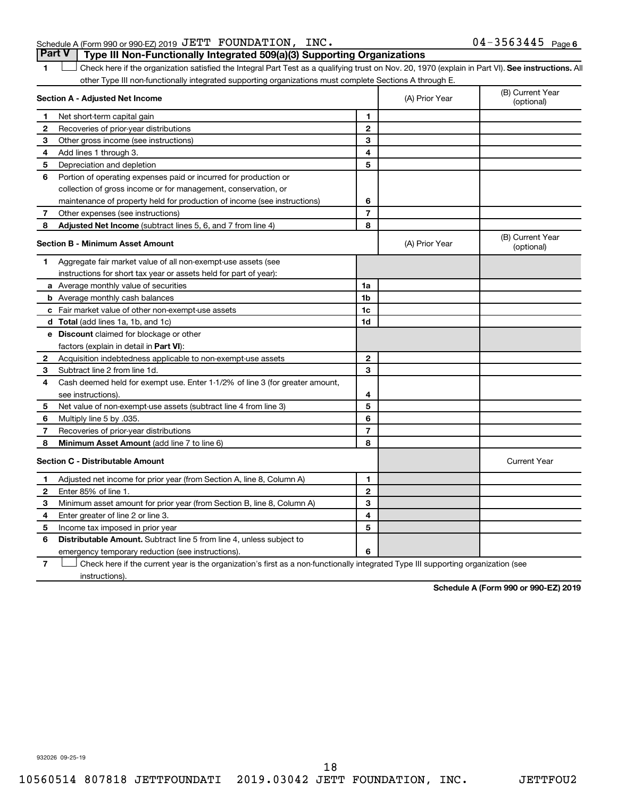## Schedule A (Form 990 or 990-EZ) 2019 Page JETT FOUNDATION, INC. 04-3563445 **Part V Type III Non-Functionally Integrated 509(a)(3) Supporting Organizations**

1 **Letter See instructions.** All Check here if the organization satisfied the Integral Part Test as a qualifying trust on Nov. 20, 1970 (explain in Part VI). See instructions. All other Type III non-functionally integrated supporting organizations must complete Sections A through E.

|              | Section A - Adjusted Net Income                                              |                | (A) Prior Year | (B) Current Year<br>(optional) |
|--------------|------------------------------------------------------------------------------|----------------|----------------|--------------------------------|
| 1            | Net short-term capital gain                                                  | 1              |                |                                |
| 2            | Recoveries of prior-year distributions                                       | $\overline{2}$ |                |                                |
| з            | Other gross income (see instructions)                                        | 3              |                |                                |
| 4            | Add lines 1 through 3.                                                       | 4              |                |                                |
| 5            | Depreciation and depletion                                                   | 5              |                |                                |
| 6            | Portion of operating expenses paid or incurred for production or             |                |                |                                |
|              | collection of gross income or for management, conservation, or               |                |                |                                |
|              | maintenance of property held for production of income (see instructions)     | 6              |                |                                |
| 7            | Other expenses (see instructions)                                            | $\overline{7}$ |                |                                |
| 8            | Adjusted Net Income (subtract lines 5, 6, and 7 from line 4)                 | 8              |                |                                |
|              | <b>Section B - Minimum Asset Amount</b>                                      |                | (A) Prior Year | (B) Current Year<br>(optional) |
| 1            | Aggregate fair market value of all non-exempt-use assets (see                |                |                |                                |
|              | instructions for short tax year or assets held for part of year):            |                |                |                                |
|              | a Average monthly value of securities                                        | 1a             |                |                                |
|              | <b>b</b> Average monthly cash balances                                       | 1b             |                |                                |
|              | c Fair market value of other non-exempt-use assets                           | 1c             |                |                                |
|              | d Total (add lines 1a, 1b, and 1c)                                           | 1d             |                |                                |
|              | <b>e</b> Discount claimed for blockage or other                              |                |                |                                |
|              | factors (explain in detail in Part VI):                                      |                |                |                                |
| 2            | Acquisition indebtedness applicable to non-exempt-use assets                 | $\mathbf{2}$   |                |                                |
| 3            | Subtract line 2 from line 1d.                                                | 3              |                |                                |
| 4            | Cash deemed held for exempt use. Enter 1-1/2% of line 3 (for greater amount, |                |                |                                |
|              | see instructions).                                                           | 4              |                |                                |
| 5            | Net value of non-exempt-use assets (subtract line 4 from line 3)             | 5              |                |                                |
| 6            | Multiply line 5 by .035.                                                     | 6              |                |                                |
| 7            | Recoveries of prior-year distributions                                       | $\overline{7}$ |                |                                |
| 8            | Minimum Asset Amount (add line 7 to line 6)                                  | 8              |                |                                |
|              | <b>Section C - Distributable Amount</b>                                      |                |                | <b>Current Year</b>            |
| 1            | Adjusted net income for prior year (from Section A, line 8, Column A)        | 1              |                |                                |
| $\mathbf{2}$ | Enter 85% of line 1.                                                         | $\mathbf{2}$   |                |                                |
| З            | Minimum asset amount for prior year (from Section B, line 8, Column A)       | 3              |                |                                |
| 4            | Enter greater of line 2 or line 3.                                           | 4              |                |                                |
| 5            | Income tax imposed in prior year                                             | 5              |                |                                |
| 6            | <b>Distributable Amount.</b> Subtract line 5 from line 4, unless subject to  |                |                |                                |
|              | emergency temporary reduction (see instructions).                            | 6              |                |                                |
|              |                                                                              |                |                |                                |

**7** Let Check here if the current year is the organization's first as a non-functionally integrated Type III supporting organization (see instructions).

**Schedule A (Form 990 or 990-EZ) 2019**

932026 09-25-19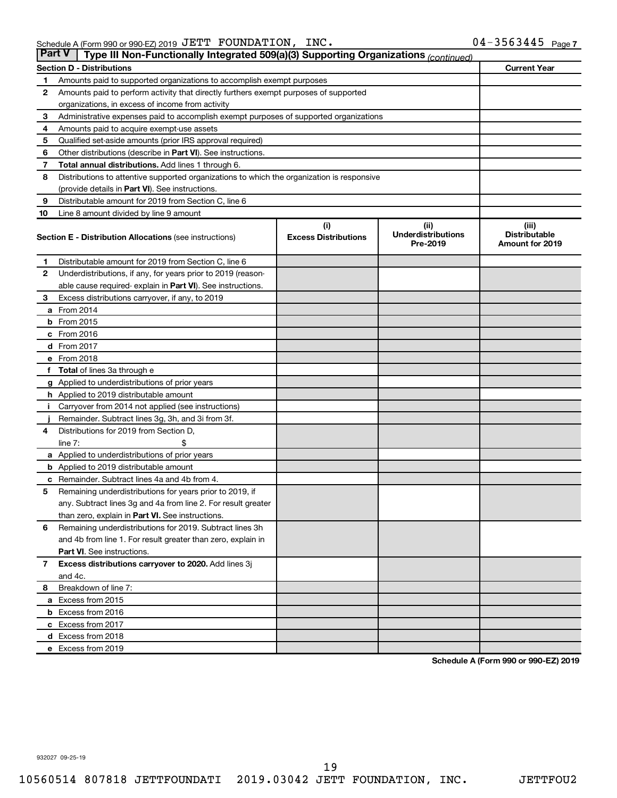| <b>Part V</b> | Type III Non-Functionally Integrated 509(a)(3) Supporting Organizations (continued)        |                             |                                       |                                                |
|---------------|--------------------------------------------------------------------------------------------|-----------------------------|---------------------------------------|------------------------------------------------|
|               | <b>Section D - Distributions</b>                                                           |                             |                                       | <b>Current Year</b>                            |
| 1             | Amounts paid to supported organizations to accomplish exempt purposes                      |                             |                                       |                                                |
| $\mathbf{2}$  | Amounts paid to perform activity that directly furthers exempt purposes of supported       |                             |                                       |                                                |
|               | organizations, in excess of income from activity                                           |                             |                                       |                                                |
| 3             | Administrative expenses paid to accomplish exempt purposes of supported organizations      |                             |                                       |                                                |
| 4             | Amounts paid to acquire exempt-use assets                                                  |                             |                                       |                                                |
| 5             | Qualified set-aside amounts (prior IRS approval required)                                  |                             |                                       |                                                |
| 6             | Other distributions (describe in Part VI). See instructions.                               |                             |                                       |                                                |
| 7             | Total annual distributions. Add lines 1 through 6.                                         |                             |                                       |                                                |
| 8             | Distributions to attentive supported organizations to which the organization is responsive |                             |                                       |                                                |
|               | (provide details in Part VI). See instructions.                                            |                             |                                       |                                                |
| 9             | Distributable amount for 2019 from Section C, line 6                                       |                             |                                       |                                                |
| 10            | Line 8 amount divided by line 9 amount                                                     |                             |                                       |                                                |
|               |                                                                                            | (i)                         | (ii)                                  | (iii)                                          |
|               | <b>Section E - Distribution Allocations (see instructions)</b>                             | <b>Excess Distributions</b> | <b>Underdistributions</b><br>Pre-2019 | <b>Distributable</b><br><b>Amount for 2019</b> |
| 1             | Distributable amount for 2019 from Section C, line 6                                       |                             |                                       |                                                |
| $\mathbf{2}$  | Underdistributions, if any, for years prior to 2019 (reason-                               |                             |                                       |                                                |
|               | able cause required- explain in Part VI). See instructions.                                |                             |                                       |                                                |
| 3             | Excess distributions carryover, if any, to 2019                                            |                             |                                       |                                                |
|               | a From 2014                                                                                |                             |                                       |                                                |
|               | <b>b</b> From 2015                                                                         |                             |                                       |                                                |
|               | c From 2016                                                                                |                             |                                       |                                                |
|               | <b>d</b> From 2017                                                                         |                             |                                       |                                                |
|               | e From 2018                                                                                |                             |                                       |                                                |
|               | f Total of lines 3a through e                                                              |                             |                                       |                                                |
|               | <b>g</b> Applied to underdistributions of prior years                                      |                             |                                       |                                                |
|               | h Applied to 2019 distributable amount                                                     |                             |                                       |                                                |
| Ť.            | Carryover from 2014 not applied (see instructions)                                         |                             |                                       |                                                |
|               | Remainder. Subtract lines 3g, 3h, and 3i from 3f.                                          |                             |                                       |                                                |
| 4             | Distributions for 2019 from Section D,                                                     |                             |                                       |                                                |
|               | line $7:$                                                                                  |                             |                                       |                                                |
|               | a Applied to underdistributions of prior years                                             |                             |                                       |                                                |
|               | <b>b</b> Applied to 2019 distributable amount                                              |                             |                                       |                                                |
| с             | Remainder. Subtract lines 4a and 4b from 4.                                                |                             |                                       |                                                |
| 5             | Remaining underdistributions for years prior to 2019, if                                   |                             |                                       |                                                |
|               | any. Subtract lines 3g and 4a from line 2. For result greater                              |                             |                                       |                                                |
|               | than zero, explain in Part VI. See instructions.                                           |                             |                                       |                                                |
| 6             | Remaining underdistributions for 2019. Subtract lines 3h                                   |                             |                                       |                                                |
|               | and 4b from line 1. For result greater than zero, explain in                               |                             |                                       |                                                |
|               | <b>Part VI.</b> See instructions.                                                          |                             |                                       |                                                |
| $\mathbf{7}$  | Excess distributions carryover to 2020. Add lines 3j                                       |                             |                                       |                                                |
|               | and 4c.                                                                                    |                             |                                       |                                                |
| 8             | Breakdown of line 7:                                                                       |                             |                                       |                                                |
|               | a Excess from 2015                                                                         |                             |                                       |                                                |
|               | <b>b</b> Excess from 2016                                                                  |                             |                                       |                                                |
|               | c Excess from 2017                                                                         |                             |                                       |                                                |
|               | d Excess from 2018                                                                         |                             |                                       |                                                |
|               | e Excess from 2019                                                                         |                             |                                       |                                                |

**Schedule A (Form 990 or 990-EZ) 2019**

932027 09-25-19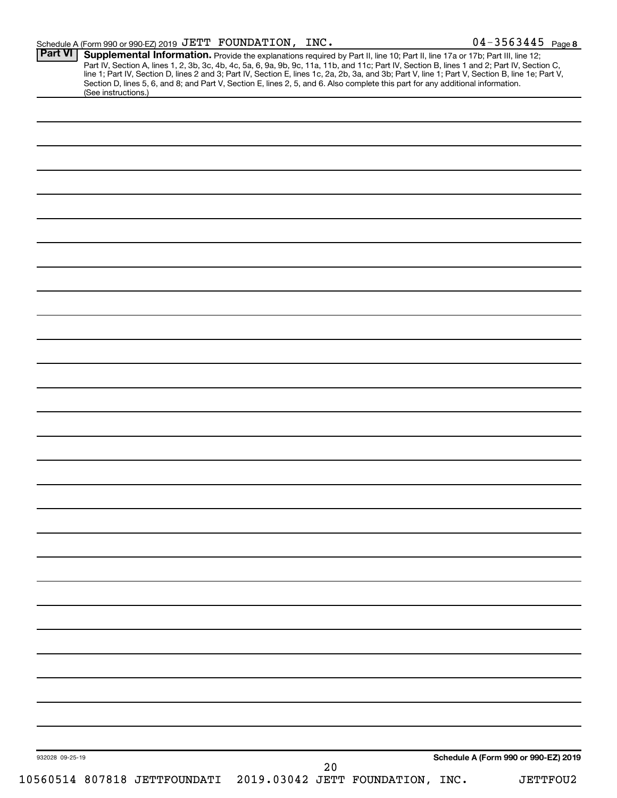| $04 - 3563445$ Page 8<br>Schedule A (Form 990 or 990-EZ) 2019 $\rm{JETT}$ $\rm{\, FOUNDATION}$ , $\rm{\, INC.}$ |
|-----------------------------------------------------------------------------------------------------------------|
|-----------------------------------------------------------------------------------------------------------------|

| (See instructions.) | <b>Supplemental Information.</b> Provide the explanations required by Part II, line 10; Part II, line 17a or 17b; Part III, line 12;<br>Part IV, Section A, lines 1, 2, 3b, 3c, 4b, 4c, 5a, 6, 9a, 9b, 9c, 11a, 11b, and 11c; Part IV,<br>Section D, lines 5, 6, and 8; and Part V, Section E, lines 2, 5, and 6. Also complete this part for any additional information. |  |  |                                      |
|---------------------|---------------------------------------------------------------------------------------------------------------------------------------------------------------------------------------------------------------------------------------------------------------------------------------------------------------------------------------------------------------------------|--|--|--------------------------------------|
|                     |                                                                                                                                                                                                                                                                                                                                                                           |  |  |                                      |
|                     |                                                                                                                                                                                                                                                                                                                                                                           |  |  |                                      |
|                     |                                                                                                                                                                                                                                                                                                                                                                           |  |  |                                      |
|                     |                                                                                                                                                                                                                                                                                                                                                                           |  |  |                                      |
|                     |                                                                                                                                                                                                                                                                                                                                                                           |  |  |                                      |
|                     |                                                                                                                                                                                                                                                                                                                                                                           |  |  |                                      |
|                     |                                                                                                                                                                                                                                                                                                                                                                           |  |  |                                      |
|                     |                                                                                                                                                                                                                                                                                                                                                                           |  |  |                                      |
|                     |                                                                                                                                                                                                                                                                                                                                                                           |  |  |                                      |
|                     |                                                                                                                                                                                                                                                                                                                                                                           |  |  |                                      |
|                     |                                                                                                                                                                                                                                                                                                                                                                           |  |  |                                      |
|                     |                                                                                                                                                                                                                                                                                                                                                                           |  |  |                                      |
|                     |                                                                                                                                                                                                                                                                                                                                                                           |  |  |                                      |
|                     |                                                                                                                                                                                                                                                                                                                                                                           |  |  |                                      |
|                     |                                                                                                                                                                                                                                                                                                                                                                           |  |  |                                      |
|                     |                                                                                                                                                                                                                                                                                                                                                                           |  |  |                                      |
|                     |                                                                                                                                                                                                                                                                                                                                                                           |  |  |                                      |
|                     |                                                                                                                                                                                                                                                                                                                                                                           |  |  |                                      |
|                     |                                                                                                                                                                                                                                                                                                                                                                           |  |  |                                      |
|                     |                                                                                                                                                                                                                                                                                                                                                                           |  |  |                                      |
|                     |                                                                                                                                                                                                                                                                                                                                                                           |  |  |                                      |
|                     |                                                                                                                                                                                                                                                                                                                                                                           |  |  |                                      |
|                     |                                                                                                                                                                                                                                                                                                                                                                           |  |  |                                      |
|                     |                                                                                                                                                                                                                                                                                                                                                                           |  |  |                                      |
|                     |                                                                                                                                                                                                                                                                                                                                                                           |  |  |                                      |
|                     |                                                                                                                                                                                                                                                                                                                                                                           |  |  |                                      |
|                     |                                                                                                                                                                                                                                                                                                                                                                           |  |  |                                      |
|                     |                                                                                                                                                                                                                                                                                                                                                                           |  |  |                                      |
|                     |                                                                                                                                                                                                                                                                                                                                                                           |  |  |                                      |
|                     |                                                                                                                                                                                                                                                                                                                                                                           |  |  |                                      |
|                     |                                                                                                                                                                                                                                                                                                                                                                           |  |  |                                      |
|                     |                                                                                                                                                                                                                                                                                                                                                                           |  |  |                                      |
|                     |                                                                                                                                                                                                                                                                                                                                                                           |  |  |                                      |
|                     |                                                                                                                                                                                                                                                                                                                                                                           |  |  |                                      |
|                     |                                                                                                                                                                                                                                                                                                                                                                           |  |  |                                      |
|                     |                                                                                                                                                                                                                                                                                                                                                                           |  |  |                                      |
|                     |                                                                                                                                                                                                                                                                                                                                                                           |  |  |                                      |
|                     |                                                                                                                                                                                                                                                                                                                                                                           |  |  |                                      |
|                     |                                                                                                                                                                                                                                                                                                                                                                           |  |  |                                      |
|                     |                                                                                                                                                                                                                                                                                                                                                                           |  |  |                                      |
| 932028 09-25-19     |                                                                                                                                                                                                                                                                                                                                                                           |  |  | Schedule A (Form 990 or 990-EZ) 2019 |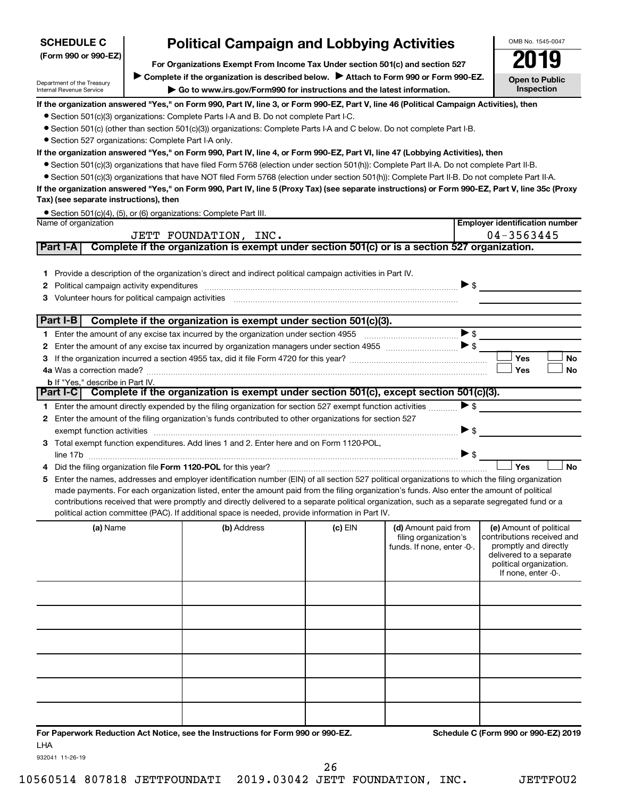| <b>SCHEDULE C</b>                                      | <b>Political Campaign and Lobbying Activities</b>                                                                                                                                                                                                  |         |                                               | OMB No. 1545-0047                                     |
|--------------------------------------------------------|----------------------------------------------------------------------------------------------------------------------------------------------------------------------------------------------------------------------------------------------------|---------|-----------------------------------------------|-------------------------------------------------------|
| (Form 990 or 990-EZ)                                   | 2019                                                                                                                                                                                                                                               |         |                                               |                                                       |
|                                                        | For Organizations Exempt From Income Tax Under section 501(c) and section 527<br>Complete if the organization is described below.<br>Attach to Form 990 or Form 990-EZ.                                                                            |         |                                               |                                                       |
| Department of the Treasury<br>Internal Revenue Service |                                                                                                                                                                                                                                                    |         |                                               | <b>Open to Public</b><br>Inspection                   |
|                                                        | Go to www.irs.gov/Form990 for instructions and the latest information.                                                                                                                                                                             |         |                                               |                                                       |
|                                                        | If the organization answered "Yes," on Form 990, Part IV, line 3, or Form 990-EZ, Part V, line 46 (Political Campaign Activities), then                                                                                                            |         |                                               |                                                       |
|                                                        | • Section 501(c)(3) organizations: Complete Parts I-A and B. Do not complete Part I-C.<br>• Section 501(c) (other than section 501(c)(3)) organizations: Complete Parts I-A and C below. Do not complete Part I-B.                                 |         |                                               |                                                       |
| • Section 527 organizations: Complete Part I-A only.   |                                                                                                                                                                                                                                                    |         |                                               |                                                       |
|                                                        | If the organization answered "Yes," on Form 990, Part IV, line 4, or Form 990-EZ, Part VI, line 47 (Lobbying Activities), then                                                                                                                     |         |                                               |                                                       |
|                                                        | • Section 501(c)(3) organizations that have filed Form 5768 (election under section 501(h)): Complete Part II-A. Do not complete Part II-B.                                                                                                        |         |                                               |                                                       |
|                                                        | • Section 501(c)(3) organizations that have NOT filed Form 5768 (election under section 501(h)): Complete Part II-B. Do not complete Part II-A.                                                                                                    |         |                                               |                                                       |
|                                                        | If the organization answered "Yes," on Form 990, Part IV, line 5 (Proxy Tax) (see separate instructions) or Form 990-EZ, Part V, line 35c (Proxy                                                                                                   |         |                                               |                                                       |
| Tax) (see separate instructions), then                 |                                                                                                                                                                                                                                                    |         |                                               |                                                       |
|                                                        | • Section 501(c)(4), (5), or (6) organizations: Complete Part III.                                                                                                                                                                                 |         |                                               |                                                       |
| Name of organization                                   |                                                                                                                                                                                                                                                    |         |                                               | <b>Employer identification number</b>                 |
|                                                        | JETT FOUNDATION, INC.                                                                                                                                                                                                                              |         |                                               | 04-3563445                                            |
| Part I-A                                               | Complete if the organization is exempt under section 501(c) or is a section 527 organization.                                                                                                                                                      |         |                                               |                                                       |
|                                                        |                                                                                                                                                                                                                                                    |         |                                               |                                                       |
|                                                        | 1 Provide a description of the organization's direct and indirect political campaign activities in Part IV.                                                                                                                                        |         |                                               |                                                       |
| 2                                                      |                                                                                                                                                                                                                                                    |         |                                               | $\triangleright$ s                                    |
| 3                                                      |                                                                                                                                                                                                                                                    |         |                                               |                                                       |
|                                                        |                                                                                                                                                                                                                                                    |         |                                               |                                                       |
| Part I-B                                               | Complete if the organization is exempt under section 501(c)(3).                                                                                                                                                                                    |         |                                               |                                                       |
|                                                        |                                                                                                                                                                                                                                                    |         |                                               | $\blacktriangleright$ \$                              |
| 2                                                      |                                                                                                                                                                                                                                                    |         |                                               |                                                       |
| 3                                                      |                                                                                                                                                                                                                                                    |         |                                               | Yes<br>No                                             |
|                                                        |                                                                                                                                                                                                                                                    |         |                                               | Yes<br><b>No</b>                                      |
| <b>b</b> If "Yes," describe in Part IV.                |                                                                                                                                                                                                                                                    |         |                                               |                                                       |
|                                                        | Part I-C Complete if the organization is exempt under section 501(c), except section 501(c)(3).                                                                                                                                                    |         |                                               |                                                       |
|                                                        | 1 Enter the amount directly expended by the filing organization for section 527 exempt function activities                                                                                                                                         |         |                                               | $\blacktriangleright$ \$                              |
|                                                        | 2 Enter the amount of the filing organization's funds contributed to other organizations for section 527                                                                                                                                           |         |                                               |                                                       |
|                                                        |                                                                                                                                                                                                                                                    |         |                                               | $\blacktriangleright$ \$                              |
|                                                        | 3 Total exempt function expenditures. Add lines 1 and 2. Enter here and on Form 1120-POL,                                                                                                                                                          |         |                                               |                                                       |
|                                                        |                                                                                                                                                                                                                                                    |         |                                               | $\triangleright$ \$                                   |
|                                                        |                                                                                                                                                                                                                                                    |         |                                               | Yes<br><b>No</b>                                      |
| 5.                                                     | Enter the names, addresses and employer identification number (EIN) of all section 527 political organizations to which the filing organization                                                                                                    |         |                                               |                                                       |
|                                                        | made payments. For each organization listed, enter the amount paid from the filing organization's funds. Also enter the amount of political                                                                                                        |         |                                               |                                                       |
|                                                        | contributions received that were promptly and directly delivered to a separate political organization, such as a separate segregated fund or a<br>political action committee (PAC). If additional space is needed, provide information in Part IV. |         |                                               |                                                       |
|                                                        |                                                                                                                                                                                                                                                    |         |                                               |                                                       |
| (a) Name                                               | (b) Address                                                                                                                                                                                                                                        | (c) EIN | (d) Amount paid from<br>filing organization's | (e) Amount of political<br>contributions received and |
|                                                        |                                                                                                                                                                                                                                                    |         | funds. If none, enter -0-.                    | promptly and directly                                 |
|                                                        |                                                                                                                                                                                                                                                    |         |                                               | delivered to a separate                               |
|                                                        |                                                                                                                                                                                                                                                    |         |                                               | political organization.<br>If none, enter -0-.        |
|                                                        |                                                                                                                                                                                                                                                    |         |                                               |                                                       |
|                                                        |                                                                                                                                                                                                                                                    |         |                                               |                                                       |
|                                                        |                                                                                                                                                                                                                                                    |         |                                               |                                                       |
|                                                        |                                                                                                                                                                                                                                                    |         |                                               |                                                       |
|                                                        |                                                                                                                                                                                                                                                    |         |                                               |                                                       |
|                                                        |                                                                                                                                                                                                                                                    |         |                                               |                                                       |
|                                                        |                                                                                                                                                                                                                                                    |         |                                               |                                                       |
|                                                        |                                                                                                                                                                                                                                                    |         |                                               |                                                       |
|                                                        |                                                                                                                                                                                                                                                    |         |                                               |                                                       |
|                                                        |                                                                                                                                                                                                                                                    |         |                                               |                                                       |
|                                                        |                                                                                                                                                                                                                                                    |         |                                               |                                                       |
|                                                        |                                                                                                                                                                                                                                                    |         |                                               |                                                       |
|                                                        |                                                                                                                                                                                                                                                    |         |                                               |                                                       |

**For Paperwork Reduction Act Notice, see the Instructions for Form 990 or 990-EZ. Schedule C (Form 990 or 990-EZ) 2019** LHA

932041 11-26-19

10560514 807818 JETTFOUNDATI 2019.03042 JETT FOUNDATION, INC. JETTFOU2 26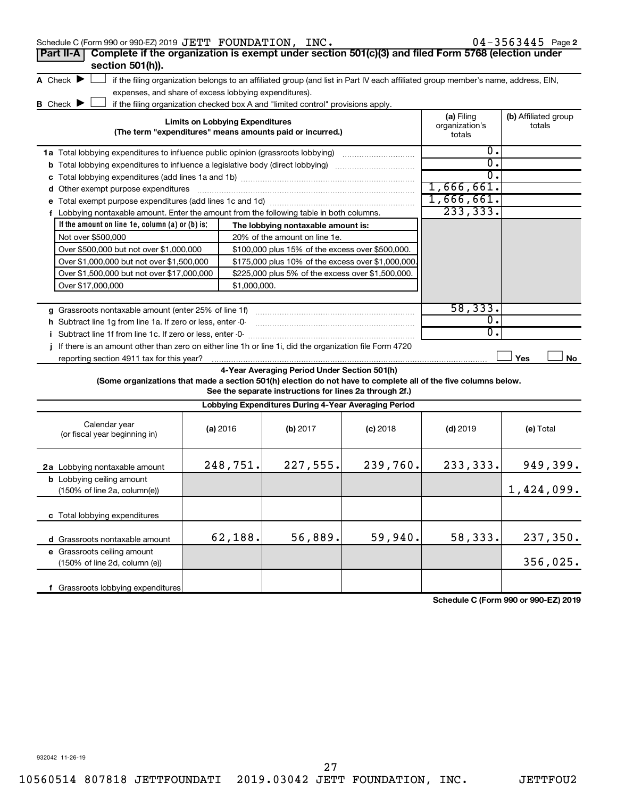| Schedule C (Form 990 or 990-EZ) 2019 JETT FOUNDATION, INC.                                                      |                                        |              |                                                                                                                                   |            |                                        | $04 - 3563445$ Page 2          |
|-----------------------------------------------------------------------------------------------------------------|----------------------------------------|--------------|-----------------------------------------------------------------------------------------------------------------------------------|------------|----------------------------------------|--------------------------------|
| Complete if the organization is exempt under section 501(c)(3) and filed Form 5768 (election under<br>Part II-A |                                        |              |                                                                                                                                   |            |                                        |                                |
| section 501(h)).                                                                                                |                                        |              |                                                                                                                                   |            |                                        |                                |
| A Check $\blacktriangleright$                                                                                   |                                        |              | if the filing organization belongs to an affiliated group (and list in Part IV each affiliated group member's name, address, EIN, |            |                                        |                                |
| expenses, and share of excess lobbying expenditures).                                                           |                                        |              |                                                                                                                                   |            |                                        |                                |
| <b>B</b> Check $\blacktriangleright$                                                                            |                                        |              | if the filing organization checked box A and "limited control" provisions apply.                                                  |            |                                        |                                |
|                                                                                                                 | <b>Limits on Lobbying Expenditures</b> |              | (The term "expenditures" means amounts paid or incurred.)                                                                         |            | (a) Filing<br>organization's<br>totals | (b) Affiliated group<br>totals |
| 1a Total lobbying expenditures to influence public opinion (grassroots lobbying)                                |                                        |              |                                                                                                                                   |            | 0.                                     |                                |
| <b>b</b> Total lobbying expenditures to influence a legislative body (direct lobbying)                          |                                        |              |                                                                                                                                   |            | $\overline{0}$ .                       |                                |
|                                                                                                                 |                                        |              |                                                                                                                                   |            | $\overline{0}$ .                       |                                |
| d Other exempt purpose expenditures                                                                             |                                        |              |                                                                                                                                   |            | 1,666,661.                             |                                |
|                                                                                                                 |                                        |              |                                                                                                                                   |            | 1,666,661.                             |                                |
| f Lobbying nontaxable amount. Enter the amount from the following table in both columns.                        |                                        |              |                                                                                                                                   |            | 233, 333.                              |                                |
| If the amount on line 1e, column $(a)$ or $(b)$ is:                                                             |                                        |              | The lobbying nontaxable amount is:                                                                                                |            |                                        |                                |
| Not over \$500,000                                                                                              |                                        |              | 20% of the amount on line 1e.                                                                                                     |            |                                        |                                |
| Over \$500,000 but not over \$1,000,000                                                                         |                                        |              | \$100,000 plus 15% of the excess over \$500,000.                                                                                  |            |                                        |                                |
| Over \$1,000,000 but not over \$1,500,000                                                                       |                                        |              | \$175,000 plus 10% of the excess over \$1,000,000                                                                                 |            |                                        |                                |
| Over \$1,500,000 but not over \$17,000,000                                                                      |                                        |              | \$225,000 plus 5% of the excess over \$1,500,000.                                                                                 |            |                                        |                                |
| Over \$17,000,000                                                                                               |                                        | \$1,000,000. |                                                                                                                                   |            |                                        |                                |
|                                                                                                                 |                                        |              |                                                                                                                                   |            |                                        |                                |
| g Grassroots nontaxable amount (enter 25% of line 1f)                                                           |                                        |              |                                                                                                                                   |            | 58, 333.                               |                                |
| h Subtract line 1g from line 1a. If zero or less, enter -0-                                                     |                                        |              |                                                                                                                                   |            | $\overline{\mathfrak{o}}$ .            |                                |
| i Subtract line 1f from line 1c. If zero or less, enter -0-                                                     |                                        |              |                                                                                                                                   |            | $\overline{0}$ .                       |                                |
| j If there is an amount other than zero on either line 1h or line 1i, did the organization file Form 4720       |                                        |              |                                                                                                                                   |            |                                        |                                |
| reporting section 4911 tax for this year?                                                                       |                                        |              |                                                                                                                                   |            |                                        | Yes<br>No                      |
|                                                                                                                 |                                        |              | 4-Year Averaging Period Under Section 501(h)                                                                                      |            |                                        |                                |
| (Some organizations that made a section 501(h) election do not have to complete all of the five columns below.  |                                        |              | See the separate instructions for lines 2a through 2f.)                                                                           |            |                                        |                                |
|                                                                                                                 |                                        |              | Lobbying Expenditures During 4-Year Averaging Period                                                                              |            |                                        |                                |
| Calendar year<br>(or fiscal year beginning in)                                                                  | (a) 2016                               |              | (b) 2017                                                                                                                          | $(c)$ 2018 | $(d)$ 2019                             | (e) Total                      |
| 2a Lobbying nontaxable amount                                                                                   |                                        | 248,751.     | 227,555.                                                                                                                          | 239,760.   | 233, 333.                              | 949,399.                       |
| <b>b</b> Lobbying ceiling amount<br>$(150\% \text{ of line } 2a, \text{ column}(e))$                            |                                        |              |                                                                                                                                   |            |                                        | 1,424,099.                     |
| c Total lobbying expenditures                                                                                   |                                        |              |                                                                                                                                   |            |                                        |                                |
| d Grassroots nontaxable amount                                                                                  |                                        | 62,188.      | 56,889.                                                                                                                           | 59,940.    | 58,333.                                | 237,350.                       |
| e Grassroots ceiling amount<br>(150% of line 2d, column (e))                                                    |                                        |              |                                                                                                                                   |            |                                        | 356,025.                       |

**Schedule C (Form 990 or 990-EZ) 2019**

932042 11-26-19

**f** Grassroots lobbying expenditures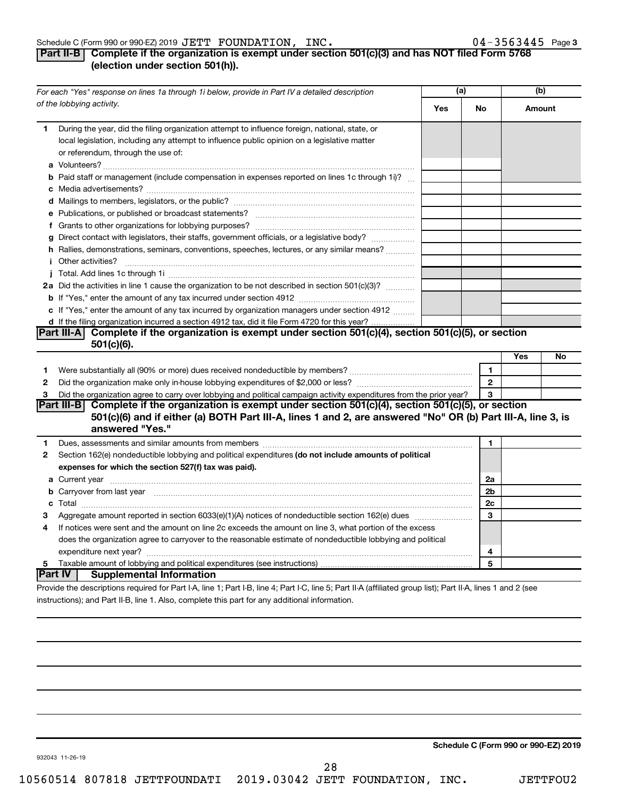#### Schedule C (Form 990 or 990-EZ) 2019 Page JETT FOUNDATION, INC. 04-3563445

# **Part II-B Complete if the organization is exempt under section 501(c)(3) and has NOT filed Form 5768 (election under section 501(h)).**

|        | For each "Yes" response on lines 1a through 1i below, provide in Part IV a detailed description                                                                                                                                      | (a) |                |     | (b)    |
|--------|--------------------------------------------------------------------------------------------------------------------------------------------------------------------------------------------------------------------------------------|-----|----------------|-----|--------|
|        | of the lobbying activity.                                                                                                                                                                                                            | Yes | No             |     | Amount |
| 1.     | During the year, did the filing organization attempt to influence foreign, national, state, or<br>local legislation, including any attempt to influence public opinion on a legislative matter<br>or referendum, through the use of: |     |                |     |        |
|        | <b>b</b> Paid staff or management (include compensation in expenses reported on lines 1c through 1i)?                                                                                                                                |     |                |     |        |
|        |                                                                                                                                                                                                                                      |     |                |     |        |
|        | g Direct contact with legislators, their staffs, government officials, or a legislative body?<br>h Rallies, demonstrations, seminars, conventions, speeches, lectures, or any similar means?<br><i>i</i> Other activities?           |     |                |     |        |
|        |                                                                                                                                                                                                                                      |     |                |     |        |
|        | 2a Did the activities in line 1 cause the organization to be not described in section 501(c)(3)?                                                                                                                                     |     |                |     |        |
|        | c If "Yes," enter the amount of any tax incurred by organization managers under section 4912                                                                                                                                         |     |                |     |        |
|        | d If the filing organization incurred a section 4912 tax, did it file Form 4720 for this year?                                                                                                                                       |     |                |     |        |
|        | <b>Part III-A</b><br>Complete if the organization is exempt under section 501(c)(4), section 501(c)(5), or section                                                                                                                   |     |                |     |        |
|        | $501(c)(6)$ .                                                                                                                                                                                                                        |     |                | Yes | No     |
|        |                                                                                                                                                                                                                                      |     | 1              |     |        |
| 1<br>2 |                                                                                                                                                                                                                                      |     | $\overline{2}$ |     |        |
| 3      | Did the organization agree to carry over lobbying and political campaign activity expenditures from the prior year?                                                                                                                  |     | 3              |     |        |
|        | Complete if the organization is exempt under section 501(c)(4), section 501(c)(5), or section<br> Part III-B                                                                                                                         |     |                |     |        |
|        | 501(c)(6) and if either (a) BOTH Part III-A, lines 1 and 2, are answered "No" OR (b) Part III-A, line 3, is<br>answered "Yes."                                                                                                       |     |                |     |        |
| 1      |                                                                                                                                                                                                                                      |     | $\mathbf{1}$   |     |        |
| 2      | Section 162(e) nondeductible lobbying and political expenditures (do not include amounts of political<br>expenses for which the section 527(f) tax was paid).                                                                        |     |                |     |        |
|        |                                                                                                                                                                                                                                      |     | 2a             |     |        |
|        | <b>b</b> Carryover from last year manufactured contains and contained a contained and contained a contained and contained a contained a contained and contained a contained a contained and contained a contained a contained and c  |     | 2b             |     |        |
|        |                                                                                                                                                                                                                                      |     | 2c             |     |        |
| З      | Aggregate amount reported in section 6033(e)(1)(A) notices of nondeductible section 162(e) dues manufactured                                                                                                                         |     | 3              |     |        |
| 4      | If notices were sent and the amount on line 2c exceeds the amount on line 3, what portion of the excess                                                                                                                              |     |                |     |        |
|        | does the organization agree to carryover to the reasonable estimate of nondeductible lobbying and political                                                                                                                          |     |                |     |        |
|        |                                                                                                                                                                                                                                      |     | 4              |     |        |
| 5      |                                                                                                                                                                                                                                      |     | 5              |     |        |
|        | Part IV  <br><b>Supplemental Information</b><br>Provide the descriptions required for Part I-A, line 1; Part I-B, line 4; Part I-C, line 5; Part II-A (affiliated group list); Part II-A, lines 1 and 2 (see                         |     |                |     |        |
|        |                                                                                                                                                                                                                                      |     |                |     |        |

instructions); and Part II-B, line 1. Also, complete this part for any additional information.

**Schedule C (Form 990 or 990-EZ) 2019**

932043 11-26-19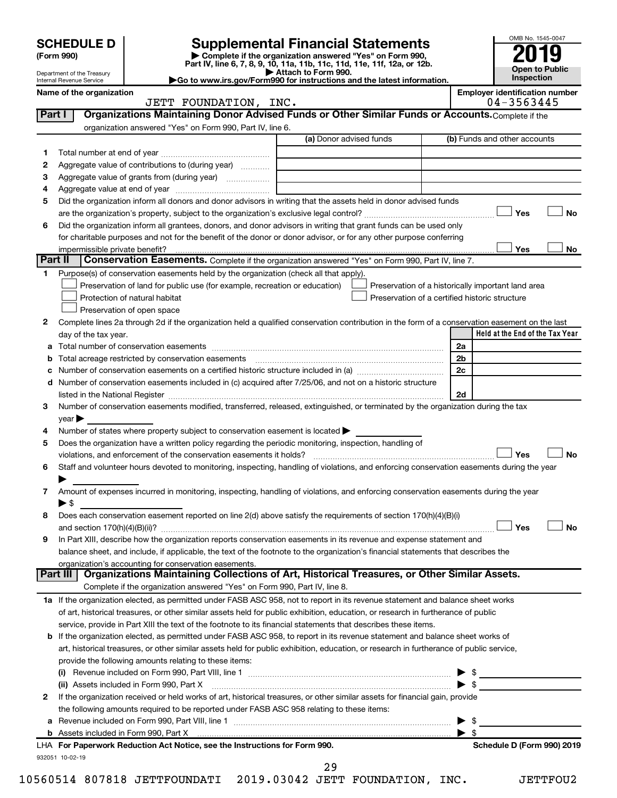|        | <b>SCHEDULE D</b>                                      |                                                                                                        |                                                                                                                                                |                         | OMB No. 1545-0047                     |
|--------|--------------------------------------------------------|--------------------------------------------------------------------------------------------------------|------------------------------------------------------------------------------------------------------------------------------------------------|-------------------------|---------------------------------------|
|        | (Form 990)                                             |                                                                                                        | <b>Supplemental Financial Statements</b><br>Complete if the organization answered "Yes" on Form 990,                                           |                         |                                       |
|        |                                                        |                                                                                                        | Part IV, line 6, 7, 8, 9, 10, 11a, 11b, 11c, 11d, 11e, 11f, 12a, or 12b.                                                                       |                         | <b>Open to Public</b>                 |
|        | Department of the Treasury<br>Internal Revenue Service |                                                                                                        | Attach to Form 990.<br>Go to www.irs.gov/Form990 for instructions and the latest information.                                                  |                         | Inspection                            |
|        | Name of the organization                               |                                                                                                        |                                                                                                                                                |                         | <b>Employer identification number</b> |
|        |                                                        | JETT FOUNDATION, INC.                                                                                  |                                                                                                                                                |                         | 04-3563445                            |
| Part I |                                                        |                                                                                                        | Organizations Maintaining Donor Advised Funds or Other Similar Funds or Accounts. Complete if the                                              |                         |                                       |
|        |                                                        | organization answered "Yes" on Form 990, Part IV, line 6.                                              |                                                                                                                                                |                         |                                       |
|        |                                                        |                                                                                                        | (a) Donor advised funds                                                                                                                        |                         | (b) Funds and other accounts          |
| 1      |                                                        |                                                                                                        |                                                                                                                                                |                         |                                       |
| 2      |                                                        | Aggregate value of contributions to (during year)                                                      |                                                                                                                                                |                         |                                       |
| з      |                                                        | Aggregate value of grants from (during year)                                                           |                                                                                                                                                |                         |                                       |
| 4      |                                                        |                                                                                                        |                                                                                                                                                |                         |                                       |
| 5      |                                                        |                                                                                                        | Did the organization inform all donors and donor advisors in writing that the assets held in donor advised funds                               |                         |                                       |
|        |                                                        |                                                                                                        |                                                                                                                                                |                         | No<br>Yes                             |
| 6      |                                                        |                                                                                                        | Did the organization inform all grantees, donors, and donor advisors in writing that grant funds can be used only                              |                         |                                       |
|        |                                                        |                                                                                                        | for charitable purposes and not for the benefit of the donor or donor advisor, or for any other purpose conferring                             |                         |                                       |
|        | impermissible private benefit?                         |                                                                                                        |                                                                                                                                                |                         | Yes<br>No                             |
|        | Part II                                                |                                                                                                        | <b>Conservation Easements.</b> Complete if the organization answered "Yes" on Form 990, Part IV, line 7.                                       |                         |                                       |
| 1.     |                                                        | Purpose(s) of conservation easements held by the organization (check all that apply).                  |                                                                                                                                                |                         |                                       |
|        |                                                        | Preservation of land for public use (for example, recreation or education)                             | Preservation of a historically important land area                                                                                             |                         |                                       |
|        |                                                        | Protection of natural habitat                                                                          | Preservation of a certified historic structure                                                                                                 |                         |                                       |
|        |                                                        | Preservation of open space                                                                             |                                                                                                                                                |                         |                                       |
| 2      |                                                        |                                                                                                        | Complete lines 2a through 2d if the organization held a qualified conservation contribution in the form of a conservation easement on the last |                         |                                       |
|        | day of the tax year.                                   |                                                                                                        |                                                                                                                                                |                         | Held at the End of the Tax Year       |
| а      |                                                        |                                                                                                        |                                                                                                                                                | 2a                      |                                       |
|        |                                                        | Total acreage restricted by conservation easements                                                     |                                                                                                                                                | 2 <sub>b</sub>          |                                       |
|        |                                                        |                                                                                                        |                                                                                                                                                | 2c                      |                                       |
| d      |                                                        |                                                                                                        | Number of conservation easements included in (c) acquired after 7/25/06, and not on a historic structure                                       |                         |                                       |
|        |                                                        |                                                                                                        | listed in the National Register [111] Martin March 1999 (120) 1999 (130) 1999 (130) 1999 (130) 1999 (130) 1999                                 | 2d                      |                                       |
| 3      |                                                        |                                                                                                        | Number of conservation easements modified, transferred, released, extinguished, or terminated by the organization during the tax               |                         |                                       |
|        | $\vee$ ear $\blacktriangleright$                       |                                                                                                        |                                                                                                                                                |                         |                                       |
| 4      |                                                        | Number of states where property subject to conservation easement is located $\blacktriangleright$      |                                                                                                                                                |                         |                                       |
| 5      |                                                        | Does the organization have a written policy regarding the periodic monitoring, inspection, handling of |                                                                                                                                                |                         |                                       |
|        |                                                        | violations, and enforcement of the conservation easements it holds?                                    |                                                                                                                                                |                         | Yes<br>No                             |
| 6      |                                                        |                                                                                                        | Staff and volunteer hours devoted to monitoring, inspecting, handling of violations, and enforcing conservation easements during the year      |                         |                                       |
|        |                                                        |                                                                                                        |                                                                                                                                                |                         |                                       |
| 7      |                                                        |                                                                                                        | Amount of expenses incurred in monitoring, inspecting, handling of violations, and enforcing conservation easements during the year            |                         |                                       |
|        | ▶ \$                                                   |                                                                                                        |                                                                                                                                                |                         |                                       |
| 8      |                                                        |                                                                                                        | Does each conservation easement reported on line 2(d) above satisfy the requirements of section 170(h)(4)(B)(i)                                |                         |                                       |
|        |                                                        |                                                                                                        |                                                                                                                                                |                         | Yes<br><b>No</b>                      |
| 9      |                                                        |                                                                                                        | In Part XIII, describe how the organization reports conservation easements in its revenue and expense statement and                            |                         |                                       |
|        |                                                        |                                                                                                        | balance sheet, and include, if applicable, the text of the footnote to the organization's financial statements that describes the              |                         |                                       |
|        |                                                        | organization's accounting for conservation easements.                                                  |                                                                                                                                                |                         |                                       |
|        | Part III                                               |                                                                                                        | Organizations Maintaining Collections of Art, Historical Treasures, or Other Similar Assets.                                                   |                         |                                       |
|        |                                                        | Complete if the organization answered "Yes" on Form 990, Part IV, line 8.                              |                                                                                                                                                |                         |                                       |
|        |                                                        |                                                                                                        | 1a If the organization elected, as permitted under FASB ASC 958, not to report in its revenue statement and balance sheet works                |                         |                                       |
|        |                                                        |                                                                                                        | of art, historical treasures, or other similar assets held for public exhibition, education, or research in furtherance of public              |                         |                                       |
|        |                                                        |                                                                                                        | service, provide in Part XIII the text of the footnote to its financial statements that describes these items.                                 |                         |                                       |
|        |                                                        |                                                                                                        | <b>b</b> If the organization elected, as permitted under FASB ASC 958, to report in its revenue statement and balance sheet works of           |                         |                                       |
|        |                                                        |                                                                                                        | art, historical treasures, or other similar assets held for public exhibition, education, or research in furtherance of public service,        |                         |                                       |
|        |                                                        | provide the following amounts relating to these items:                                                 |                                                                                                                                                |                         |                                       |
|        |                                                        |                                                                                                        |                                                                                                                                                |                         |                                       |
|        |                                                        | (ii) Assets included in Form 990, Part X                                                               |                                                                                                                                                | $\blacktriangleright$ s |                                       |
| 2      |                                                        |                                                                                                        | If the organization received or held works of art, historical treasures, or other similar assets for financial gain, provide                   |                         |                                       |
|        |                                                        | the following amounts required to be reported under FASB ASC 958 relating to these items:              |                                                                                                                                                |                         |                                       |
|        |                                                        |                                                                                                        |                                                                                                                                                |                         | \$                                    |
|        |                                                        |                                                                                                        |                                                                                                                                                | $\blacktriangleright$ s |                                       |
|        |                                                        | LHA For Paperwork Reduction Act Notice, see the Instructions for Form 990.                             |                                                                                                                                                |                         | Schedule D (Form 990) 2019            |
|        | 932051 10-02-19                                        |                                                                                                        |                                                                                                                                                |                         |                                       |

10560514 807818 JETTFOUNDATI 2019.03042 JETT FOUNDATION, INC. JETTFOU2 29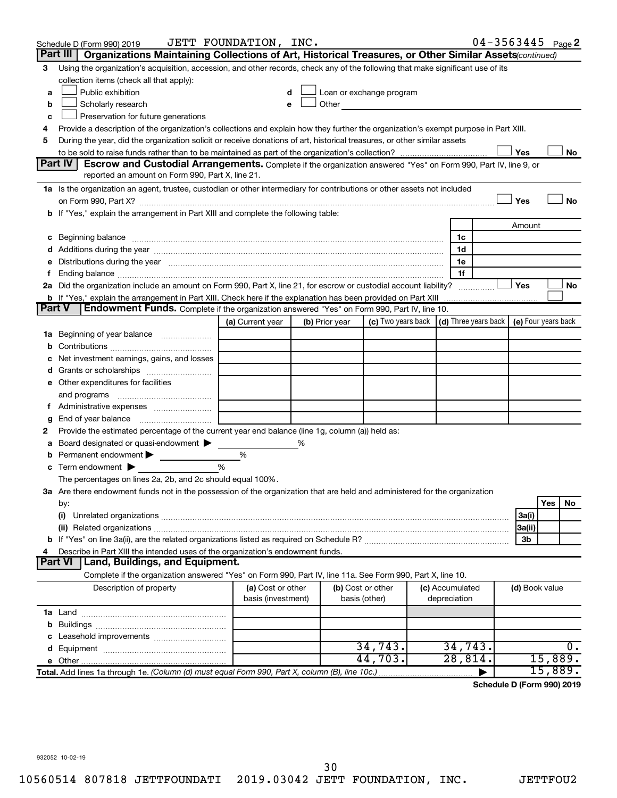|               | Schedule D (Form 990) 2019                                                                                                                                                                                                          | JETT FOUNDATION, INC. |   |                |                                                                                                                                                                                                                               |                 | $04 - 3563445$ Page 2 |                |         |     |
|---------------|-------------------------------------------------------------------------------------------------------------------------------------------------------------------------------------------------------------------------------------|-----------------------|---|----------------|-------------------------------------------------------------------------------------------------------------------------------------------------------------------------------------------------------------------------------|-----------------|-----------------------|----------------|---------|-----|
|               | Part III<br>Organizations Maintaining Collections of Art, Historical Treasures, or Other Similar Assets (continued)                                                                                                                 |                       |   |                |                                                                                                                                                                                                                               |                 |                       |                |         |     |
| 3             | Using the organization's acquisition, accession, and other records, check any of the following that make significant use of its                                                                                                     |                       |   |                |                                                                                                                                                                                                                               |                 |                       |                |         |     |
|               | collection items (check all that apply):                                                                                                                                                                                            |                       |   |                |                                                                                                                                                                                                                               |                 |                       |                |         |     |
| a             | Public exhibition                                                                                                                                                                                                                   |                       |   |                | Loan or exchange program                                                                                                                                                                                                      |                 |                       |                |         |     |
| b             | Scholarly research                                                                                                                                                                                                                  |                       |   |                | Other and the contract of the contract of the contract of the contract of the contract of the contract of the contract of the contract of the contract of the contract of the contract of the contract of the contract of the |                 |                       |                |         |     |
| c             | Preservation for future generations                                                                                                                                                                                                 |                       |   |                |                                                                                                                                                                                                                               |                 |                       |                |         |     |
| 4             | Provide a description of the organization's collections and explain how they further the organization's exempt purpose in Part XIII.                                                                                                |                       |   |                |                                                                                                                                                                                                                               |                 |                       |                |         |     |
| 5             | During the year, did the organization solicit or receive donations of art, historical treasures, or other similar assets                                                                                                            |                       |   |                |                                                                                                                                                                                                                               |                 |                       |                |         |     |
|               |                                                                                                                                                                                                                                     |                       |   |                |                                                                                                                                                                                                                               |                 |                       | Yes            |         | No  |
|               | <b>Part IV I</b><br>Escrow and Custodial Arrangements. Complete if the organization answered "Yes" on Form 990, Part IV, line 9, or                                                                                                 |                       |   |                |                                                                                                                                                                                                                               |                 |                       |                |         |     |
|               | reported an amount on Form 990, Part X, line 21.                                                                                                                                                                                    |                       |   |                |                                                                                                                                                                                                                               |                 |                       |                |         |     |
|               | 1a Is the organization an agent, trustee, custodian or other intermediary for contributions or other assets not included                                                                                                            |                       |   |                |                                                                                                                                                                                                                               |                 |                       |                |         |     |
|               | on Form 990, Part X? [11] matter and the contract of the contract of the contract of the contract of the contract of the contract of the contract of the contract of the contract of the contract of the contract of the contr      |                       |   |                |                                                                                                                                                                                                                               |                 |                       | Yes            |         | No  |
|               | b If "Yes," explain the arrangement in Part XIII and complete the following table:                                                                                                                                                  |                       |   |                |                                                                                                                                                                                                                               |                 |                       |                |         |     |
|               |                                                                                                                                                                                                                                     |                       |   |                |                                                                                                                                                                                                                               |                 |                       | Amount         |         |     |
|               | c Beginning balance <b>communications</b> and a construction of the construction of the construction of the construction of the construction of the construction of the construction of the construction of the construction of the |                       |   |                |                                                                                                                                                                                                                               | 1c              |                       |                |         |     |
|               |                                                                                                                                                                                                                                     |                       |   |                |                                                                                                                                                                                                                               | 1d              |                       |                |         |     |
| е             | Distributions during the year manufactured and an account of the year manufactured and the year manufactured and the year manufactured and the year manufactured and the year manufactured and the year manufactured and the y      |                       |   |                |                                                                                                                                                                                                                               | 1e              |                       |                |         |     |
| f.            |                                                                                                                                                                                                                                     |                       |   |                |                                                                                                                                                                                                                               | 1f              |                       |                |         |     |
|               | 2a Did the organization include an amount on Form 990, Part X, line 21, for escrow or custodial account liability?                                                                                                                  |                       |   |                |                                                                                                                                                                                                                               |                 |                       | Yes            |         | No  |
| <b>Part V</b> | <b>b</b> If "Yes," explain the arrangement in Part XIII. Check here if the explanation has been provided on Part XIII                                                                                                               |                       |   |                |                                                                                                                                                                                                                               |                 |                       |                |         |     |
|               | Endowment Funds. Complete if the organization answered "Yes" on Form 990, Part IV, line 10.                                                                                                                                         |                       |   |                |                                                                                                                                                                                                                               |                 |                       |                |         |     |
|               |                                                                                                                                                                                                                                     | (a) Current year      |   | (b) Prior year | (c) Two years back $\vert$ (d) Three years back $\vert$ (e) Four years back                                                                                                                                                   |                 |                       |                |         |     |
|               | 1a Beginning of year balance                                                                                                                                                                                                        |                       |   |                |                                                                                                                                                                                                                               |                 |                       |                |         |     |
| b             |                                                                                                                                                                                                                                     |                       |   |                |                                                                                                                                                                                                                               |                 |                       |                |         |     |
| с             | Net investment earnings, gains, and losses                                                                                                                                                                                          |                       |   |                |                                                                                                                                                                                                                               |                 |                       |                |         |     |
| d             |                                                                                                                                                                                                                                     |                       |   |                |                                                                                                                                                                                                                               |                 |                       |                |         |     |
|               | e Other expenditures for facilities                                                                                                                                                                                                 |                       |   |                |                                                                                                                                                                                                                               |                 |                       |                |         |     |
|               | and programs                                                                                                                                                                                                                        |                       |   |                |                                                                                                                                                                                                                               |                 |                       |                |         |     |
|               | f Administrative expenses                                                                                                                                                                                                           |                       |   |                |                                                                                                                                                                                                                               |                 |                       |                |         |     |
| g<br>2        | Provide the estimated percentage of the current year end balance (line 1g, column (a)) held as:                                                                                                                                     |                       |   |                |                                                                                                                                                                                                                               |                 |                       |                |         |     |
| а             | Board designated or quasi-endowment                                                                                                                                                                                                 |                       | % |                |                                                                                                                                                                                                                               |                 |                       |                |         |     |
| b             | Permanent endowment                                                                                                                                                                                                                 | %                     |   |                |                                                                                                                                                                                                                               |                 |                       |                |         |     |
| с             | Term endowment $\blacktriangleright$                                                                                                                                                                                                | $\frac{0}{0}$         |   |                |                                                                                                                                                                                                                               |                 |                       |                |         |     |
|               | The percentages on lines 2a, 2b, and 2c should equal 100%.                                                                                                                                                                          |                       |   |                |                                                                                                                                                                                                                               |                 |                       |                |         |     |
|               | 3a Are there endowment funds not in the possession of the organization that are held and administered for the organization                                                                                                          |                       |   |                |                                                                                                                                                                                                                               |                 |                       |                |         |     |
|               | by:                                                                                                                                                                                                                                 |                       |   |                |                                                                                                                                                                                                                               |                 |                       |                | Yes     | No. |
|               | (i)                                                                                                                                                                                                                                 |                       |   |                |                                                                                                                                                                                                                               |                 |                       | 3a(i)          |         |     |
|               |                                                                                                                                                                                                                                     |                       |   |                |                                                                                                                                                                                                                               |                 |                       | 3a(ii)         |         |     |
|               |                                                                                                                                                                                                                                     |                       |   |                |                                                                                                                                                                                                                               |                 |                       | 3b             |         |     |
| 4             | Describe in Part XIII the intended uses of the organization's endowment funds.                                                                                                                                                      |                       |   |                |                                                                                                                                                                                                                               |                 |                       |                |         |     |
|               | Part VI<br>  Land, Buildings, and Equipment.                                                                                                                                                                                        |                       |   |                |                                                                                                                                                                                                                               |                 |                       |                |         |     |
|               | Complete if the organization answered "Yes" on Form 990, Part IV, line 11a. See Form 990, Part X, line 10.                                                                                                                          |                       |   |                |                                                                                                                                                                                                                               |                 |                       |                |         |     |
|               | Description of property                                                                                                                                                                                                             | (a) Cost or other     |   |                | (b) Cost or other                                                                                                                                                                                                             | (c) Accumulated |                       | (d) Book value |         |     |
|               |                                                                                                                                                                                                                                     | basis (investment)    |   | basis (other)  |                                                                                                                                                                                                                               | depreciation    |                       |                |         |     |
|               |                                                                                                                                                                                                                                     |                       |   |                |                                                                                                                                                                                                                               |                 |                       |                |         |     |
| b             |                                                                                                                                                                                                                                     |                       |   |                |                                                                                                                                                                                                                               |                 |                       |                |         |     |
| с             | Leasehold improvements                                                                                                                                                                                                              |                       |   |                |                                                                                                                                                                                                                               |                 |                       |                |         |     |
| d             |                                                                                                                                                                                                                                     |                       |   |                | 34, 743.                                                                                                                                                                                                                      | 34, 743.        |                       |                |         | 0.  |
|               |                                                                                                                                                                                                                                     |                       |   |                | 44,703.                                                                                                                                                                                                                       | 28,814.         |                       |                | 15,889. |     |
|               | Total. Add lines 1a through 1e. (Column (d) must equal Form 990, Part X, column (B), line 10c.)                                                                                                                                     |                       |   |                |                                                                                                                                                                                                                               |                 |                       |                | 15,889. |     |
|               |                                                                                                                                                                                                                                     |                       |   |                |                                                                                                                                                                                                                               |                 |                       |                |         |     |

**Schedule D (Form 990) 2019**

932052 10-02-19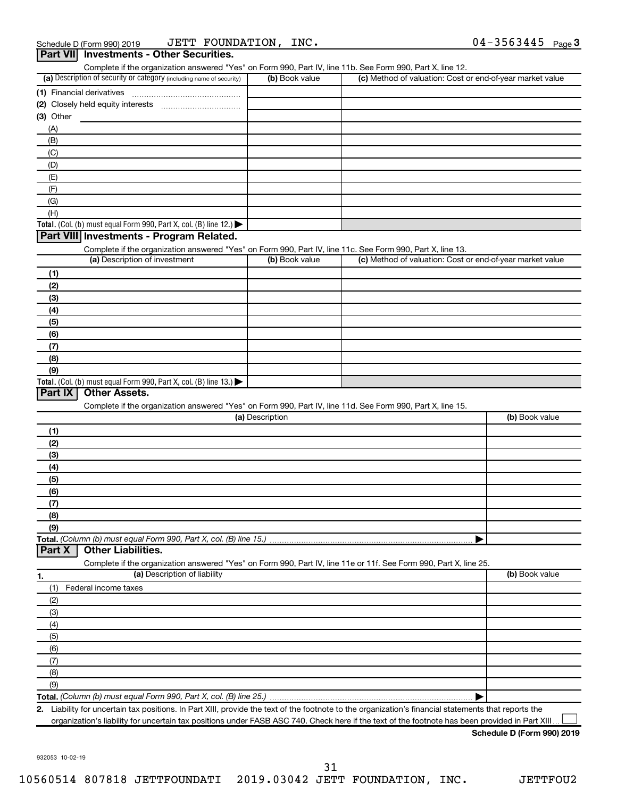| Complete if the organization answered "Yes" on Form 990, Part IV, line 11b. See Form 990, Part X, line 12.        |                 |                                                           |                |
|-------------------------------------------------------------------------------------------------------------------|-----------------|-----------------------------------------------------------|----------------|
| (a) Description of security or category (including name of security)                                              | (b) Book value  | (c) Method of valuation: Cost or end-of-year market value |                |
|                                                                                                                   |                 |                                                           |                |
|                                                                                                                   |                 |                                                           |                |
| (3) Other                                                                                                         |                 |                                                           |                |
| (A)                                                                                                               |                 |                                                           |                |
| (B)                                                                                                               |                 |                                                           |                |
| (C)                                                                                                               |                 |                                                           |                |
| (D)                                                                                                               |                 |                                                           |                |
| (E)                                                                                                               |                 |                                                           |                |
| (F)                                                                                                               |                 |                                                           |                |
| (G)                                                                                                               |                 |                                                           |                |
| (H)                                                                                                               |                 |                                                           |                |
| Total. (Col. (b) must equal Form 990, Part X, col. (B) line 12.)                                                  |                 |                                                           |                |
| Part VIII Investments - Program Related.                                                                          |                 |                                                           |                |
| Complete if the organization answered "Yes" on Form 990, Part IV, line 11c. See Form 990, Part X, line 13.        |                 |                                                           |                |
| (a) Description of investment                                                                                     | (b) Book value  | (c) Method of valuation: Cost or end-of-year market value |                |
|                                                                                                                   |                 |                                                           |                |
| (1)                                                                                                               |                 |                                                           |                |
| (2)                                                                                                               |                 |                                                           |                |
| (3)                                                                                                               |                 |                                                           |                |
| (4)                                                                                                               |                 |                                                           |                |
| (5)                                                                                                               |                 |                                                           |                |
| (6)                                                                                                               |                 |                                                           |                |
| (7)                                                                                                               |                 |                                                           |                |
|                                                                                                                   |                 |                                                           |                |
| (8)                                                                                                               |                 |                                                           |                |
| (9)                                                                                                               |                 |                                                           |                |
| Total. (Col. (b) must equal Form 990, Part X, col. (B) line 13.)                                                  |                 |                                                           |                |
| Part IX<br><b>Other Assets.</b>                                                                                   |                 |                                                           |                |
| Complete if the organization answered "Yes" on Form 990, Part IV, line 11d. See Form 990, Part X, line 15.        |                 |                                                           |                |
|                                                                                                                   | (a) Description |                                                           | (b) Book value |
| (1)                                                                                                               |                 |                                                           |                |
|                                                                                                                   |                 |                                                           |                |
| (2)                                                                                                               |                 |                                                           |                |
| (3)                                                                                                               |                 |                                                           |                |
| (4)                                                                                                               |                 |                                                           |                |
| (5)                                                                                                               |                 |                                                           |                |
| (6)                                                                                                               |                 |                                                           |                |
| (7)                                                                                                               |                 |                                                           |                |
| (8)                                                                                                               |                 |                                                           |                |
| (9)                                                                                                               |                 |                                                           |                |
|                                                                                                                   |                 |                                                           |                |
| Total. (Column (b) must equal Form 990, Part X, col. (B) line 15.)<br><b>Other Liabilities.</b><br>Part X         |                 |                                                           |                |
| Complete if the organization answered "Yes" on Form 990, Part IV, line 11e or 11f. See Form 990, Part X, line 25. |                 |                                                           |                |
| (a) Description of liability                                                                                      |                 |                                                           | (b) Book value |
| (1)<br>Federal income taxes                                                                                       |                 |                                                           |                |
| (2)                                                                                                               |                 |                                                           |                |
| (3)                                                                                                               |                 |                                                           |                |
| (4)                                                                                                               |                 |                                                           |                |
| (5)                                                                                                               |                 |                                                           |                |
| (6)                                                                                                               |                 |                                                           |                |
|                                                                                                                   |                 |                                                           |                |
| (7)                                                                                                               |                 |                                                           |                |
| 1.<br>(8)<br>(9)                                                                                                  |                 |                                                           |                |

organization's liability for uncertain tax positions under FASB ASC 740. Check here if the text of the footnote has been provided in Part XIII...

**Schedule D (Form 990) 2019**

932053 10-02-19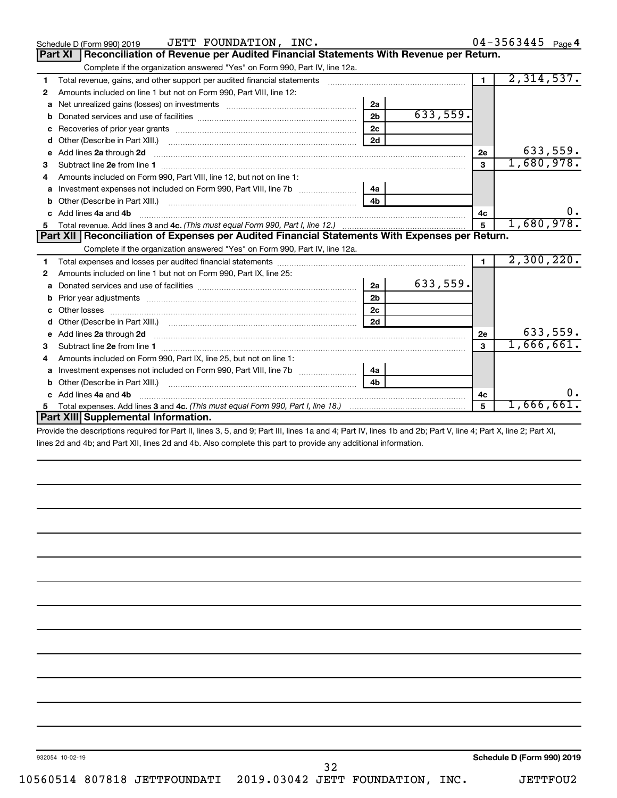| Reconciliation of Revenue per Audited Financial Statements With Revenue per Return.<br><b>Part XI</b><br>Complete if the organization answered "Yes" on Form 990, Part IV, line 12a.<br>2,314,537.<br>$\mathbf{1}$<br>Total revenue, gains, and other support per audited financial statements [[[[[[[[[[[[[[[[[[[[[[[[[]]]]]]]]]]]<br>1<br>Amounts included on line 1 but not on Form 990, Part VIII, line 12:<br>2<br>2a<br>a<br>633,559.<br>2 <sub>b</sub><br>b<br>2c<br>с<br>2d<br>d<br>633,559.<br>Add lines 2a through 2d<br>2е<br>е<br>1,680,978.<br>3<br>3<br>Amounts included on Form 990, Part VIII, line 12, but not on line 1:<br>4<br>4a<br>a<br>4 <sub>b</sub><br>b<br>Add lines 4a and 4b<br>c.<br>4c<br>1,680,978.<br>5<br>Part XII   Reconciliation of Expenses per Audited Financial Statements With Expenses per Return.<br>Complete if the organization answered "Yes" on Form 990, Part IV, line 12a.<br>2,300,220.<br>$\mathbf{1}$<br>1<br>Amounts included on line 1 but not on Form 990, Part IX, line 25:<br>2<br>633,559.<br>2a<br>a<br>2 <sub>b</sub><br>b<br>2c<br>Other losses<br>2d<br>d<br>633,559.<br>Add lines 2a through 2d <b>contained a contained a contained a contained a</b> contained a contained a contact the set<br>2e<br>e<br>1,666,661.<br>3<br>з<br>Amounts included on Form 990, Part IX, line 25, but not on line 1:<br>4<br>Investment expenses not included on Form 990, Part VIII, line 7b [100] [100] [100] [100] [100] [100] [100] [10<br>4a<br>a<br>4 <sub>b</sub><br>b<br>ο.<br>Add lines 4a and 4b<br>4c<br>1,666,661.<br>5<br>Total expenses. Add lines 3 and 4c. (This must equal Form 990, Part I, line 18.) <i>manumeronominal</i> manumeronominal<br>5<br>Part XIII Supplemental Information. | JETT FOUNDATION, INC.<br>Schedule D (Form 990) 2019 |  | $04 - 3563445$ Page 4 |
|-------------------------------------------------------------------------------------------------------------------------------------------------------------------------------------------------------------------------------------------------------------------------------------------------------------------------------------------------------------------------------------------------------------------------------------------------------------------------------------------------------------------------------------------------------------------------------------------------------------------------------------------------------------------------------------------------------------------------------------------------------------------------------------------------------------------------------------------------------------------------------------------------------------------------------------------------------------------------------------------------------------------------------------------------------------------------------------------------------------------------------------------------------------------------------------------------------------------------------------------------------------------------------------------------------------------------------------------------------------------------------------------------------------------------------------------------------------------------------------------------------------------------------------------------------------------------------------------------------------------------------------------------------------------------------------------------------------------------------------------------------------|-----------------------------------------------------|--|-----------------------|
|                                                                                                                                                                                                                                                                                                                                                                                                                                                                                                                                                                                                                                                                                                                                                                                                                                                                                                                                                                                                                                                                                                                                                                                                                                                                                                                                                                                                                                                                                                                                                                                                                                                                                                                                                             |                                                     |  |                       |
|                                                                                                                                                                                                                                                                                                                                                                                                                                                                                                                                                                                                                                                                                                                                                                                                                                                                                                                                                                                                                                                                                                                                                                                                                                                                                                                                                                                                                                                                                                                                                                                                                                                                                                                                                             |                                                     |  |                       |
|                                                                                                                                                                                                                                                                                                                                                                                                                                                                                                                                                                                                                                                                                                                                                                                                                                                                                                                                                                                                                                                                                                                                                                                                                                                                                                                                                                                                                                                                                                                                                                                                                                                                                                                                                             |                                                     |  |                       |
|                                                                                                                                                                                                                                                                                                                                                                                                                                                                                                                                                                                                                                                                                                                                                                                                                                                                                                                                                                                                                                                                                                                                                                                                                                                                                                                                                                                                                                                                                                                                                                                                                                                                                                                                                             |                                                     |  |                       |
|                                                                                                                                                                                                                                                                                                                                                                                                                                                                                                                                                                                                                                                                                                                                                                                                                                                                                                                                                                                                                                                                                                                                                                                                                                                                                                                                                                                                                                                                                                                                                                                                                                                                                                                                                             |                                                     |  |                       |
|                                                                                                                                                                                                                                                                                                                                                                                                                                                                                                                                                                                                                                                                                                                                                                                                                                                                                                                                                                                                                                                                                                                                                                                                                                                                                                                                                                                                                                                                                                                                                                                                                                                                                                                                                             |                                                     |  |                       |
|                                                                                                                                                                                                                                                                                                                                                                                                                                                                                                                                                                                                                                                                                                                                                                                                                                                                                                                                                                                                                                                                                                                                                                                                                                                                                                                                                                                                                                                                                                                                                                                                                                                                                                                                                             |                                                     |  |                       |
|                                                                                                                                                                                                                                                                                                                                                                                                                                                                                                                                                                                                                                                                                                                                                                                                                                                                                                                                                                                                                                                                                                                                                                                                                                                                                                                                                                                                                                                                                                                                                                                                                                                                                                                                                             |                                                     |  |                       |
|                                                                                                                                                                                                                                                                                                                                                                                                                                                                                                                                                                                                                                                                                                                                                                                                                                                                                                                                                                                                                                                                                                                                                                                                                                                                                                                                                                                                                                                                                                                                                                                                                                                                                                                                                             |                                                     |  |                       |
|                                                                                                                                                                                                                                                                                                                                                                                                                                                                                                                                                                                                                                                                                                                                                                                                                                                                                                                                                                                                                                                                                                                                                                                                                                                                                                                                                                                                                                                                                                                                                                                                                                                                                                                                                             |                                                     |  |                       |
|                                                                                                                                                                                                                                                                                                                                                                                                                                                                                                                                                                                                                                                                                                                                                                                                                                                                                                                                                                                                                                                                                                                                                                                                                                                                                                                                                                                                                                                                                                                                                                                                                                                                                                                                                             |                                                     |  |                       |
|                                                                                                                                                                                                                                                                                                                                                                                                                                                                                                                                                                                                                                                                                                                                                                                                                                                                                                                                                                                                                                                                                                                                                                                                                                                                                                                                                                                                                                                                                                                                                                                                                                                                                                                                                             |                                                     |  |                       |
|                                                                                                                                                                                                                                                                                                                                                                                                                                                                                                                                                                                                                                                                                                                                                                                                                                                                                                                                                                                                                                                                                                                                                                                                                                                                                                                                                                                                                                                                                                                                                                                                                                                                                                                                                             |                                                     |  |                       |
|                                                                                                                                                                                                                                                                                                                                                                                                                                                                                                                                                                                                                                                                                                                                                                                                                                                                                                                                                                                                                                                                                                                                                                                                                                                                                                                                                                                                                                                                                                                                                                                                                                                                                                                                                             |                                                     |  |                       |
|                                                                                                                                                                                                                                                                                                                                                                                                                                                                                                                                                                                                                                                                                                                                                                                                                                                                                                                                                                                                                                                                                                                                                                                                                                                                                                                                                                                                                                                                                                                                                                                                                                                                                                                                                             |                                                     |  |                       |
|                                                                                                                                                                                                                                                                                                                                                                                                                                                                                                                                                                                                                                                                                                                                                                                                                                                                                                                                                                                                                                                                                                                                                                                                                                                                                                                                                                                                                                                                                                                                                                                                                                                                                                                                                             |                                                     |  |                       |
|                                                                                                                                                                                                                                                                                                                                                                                                                                                                                                                                                                                                                                                                                                                                                                                                                                                                                                                                                                                                                                                                                                                                                                                                                                                                                                                                                                                                                                                                                                                                                                                                                                                                                                                                                             |                                                     |  |                       |
|                                                                                                                                                                                                                                                                                                                                                                                                                                                                                                                                                                                                                                                                                                                                                                                                                                                                                                                                                                                                                                                                                                                                                                                                                                                                                                                                                                                                                                                                                                                                                                                                                                                                                                                                                             |                                                     |  |                       |
|                                                                                                                                                                                                                                                                                                                                                                                                                                                                                                                                                                                                                                                                                                                                                                                                                                                                                                                                                                                                                                                                                                                                                                                                                                                                                                                                                                                                                                                                                                                                                                                                                                                                                                                                                             |                                                     |  |                       |
|                                                                                                                                                                                                                                                                                                                                                                                                                                                                                                                                                                                                                                                                                                                                                                                                                                                                                                                                                                                                                                                                                                                                                                                                                                                                                                                                                                                                                                                                                                                                                                                                                                                                                                                                                             |                                                     |  |                       |
|                                                                                                                                                                                                                                                                                                                                                                                                                                                                                                                                                                                                                                                                                                                                                                                                                                                                                                                                                                                                                                                                                                                                                                                                                                                                                                                                                                                                                                                                                                                                                                                                                                                                                                                                                             |                                                     |  |                       |
|                                                                                                                                                                                                                                                                                                                                                                                                                                                                                                                                                                                                                                                                                                                                                                                                                                                                                                                                                                                                                                                                                                                                                                                                                                                                                                                                                                                                                                                                                                                                                                                                                                                                                                                                                             |                                                     |  |                       |
|                                                                                                                                                                                                                                                                                                                                                                                                                                                                                                                                                                                                                                                                                                                                                                                                                                                                                                                                                                                                                                                                                                                                                                                                                                                                                                                                                                                                                                                                                                                                                                                                                                                                                                                                                             |                                                     |  |                       |
|                                                                                                                                                                                                                                                                                                                                                                                                                                                                                                                                                                                                                                                                                                                                                                                                                                                                                                                                                                                                                                                                                                                                                                                                                                                                                                                                                                                                                                                                                                                                                                                                                                                                                                                                                             |                                                     |  |                       |
|                                                                                                                                                                                                                                                                                                                                                                                                                                                                                                                                                                                                                                                                                                                                                                                                                                                                                                                                                                                                                                                                                                                                                                                                                                                                                                                                                                                                                                                                                                                                                                                                                                                                                                                                                             |                                                     |  |                       |
|                                                                                                                                                                                                                                                                                                                                                                                                                                                                                                                                                                                                                                                                                                                                                                                                                                                                                                                                                                                                                                                                                                                                                                                                                                                                                                                                                                                                                                                                                                                                                                                                                                                                                                                                                             |                                                     |  |                       |
|                                                                                                                                                                                                                                                                                                                                                                                                                                                                                                                                                                                                                                                                                                                                                                                                                                                                                                                                                                                                                                                                                                                                                                                                                                                                                                                                                                                                                                                                                                                                                                                                                                                                                                                                                             |                                                     |  |                       |
|                                                                                                                                                                                                                                                                                                                                                                                                                                                                                                                                                                                                                                                                                                                                                                                                                                                                                                                                                                                                                                                                                                                                                                                                                                                                                                                                                                                                                                                                                                                                                                                                                                                                                                                                                             |                                                     |  |                       |
|                                                                                                                                                                                                                                                                                                                                                                                                                                                                                                                                                                                                                                                                                                                                                                                                                                                                                                                                                                                                                                                                                                                                                                                                                                                                                                                                                                                                                                                                                                                                                                                                                                                                                                                                                             |                                                     |  |                       |
|                                                                                                                                                                                                                                                                                                                                                                                                                                                                                                                                                                                                                                                                                                                                                                                                                                                                                                                                                                                                                                                                                                                                                                                                                                                                                                                                                                                                                                                                                                                                                                                                                                                                                                                                                             |                                                     |  |                       |
| <b>THE RUBBLE OF LODGE LIFE AND LOUD LOUD LIFE ADDED.</b>                                                                                                                                                                                                                                                                                                                                                                                                                                                                                                                                                                                                                                                                                                                                                                                                                                                                                                                                                                                                                                                                                                                                                                                                                                                                                                                                                                                                                                                                                                                                                                                                                                                                                                   |                                                     |  |                       |

Provide the descriptions required for Part II, lines 3, 5, and 9; Part III, lines 1a and 4; Part IV, lines 1b and 2b; Part V, line 4; Part X, line 2; Part XI, lines 2d and 4b; and Part XII, lines 2d and 4b. Also complete this part to provide any additional information.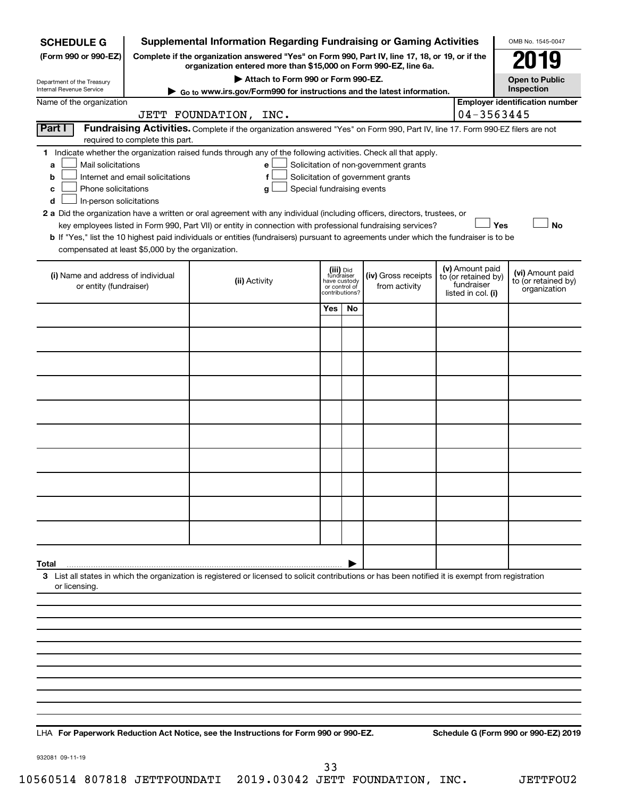| <b>SCHEDULE G</b>                                                                                                                                                |                                                                                                                                                            | <b>Supplemental Information Regarding Fundraising or Gaming Activities</b>                                                                         |                                         |    |                                       |  |                                        | OMB No. 1545-0047                       |  |  |  |  |  |
|------------------------------------------------------------------------------------------------------------------------------------------------------------------|------------------------------------------------------------------------------------------------------------------------------------------------------------|----------------------------------------------------------------------------------------------------------------------------------------------------|-----------------------------------------|----|---------------------------------------|--|----------------------------------------|-----------------------------------------|--|--|--|--|--|
| (Form 990 or 990-EZ)                                                                                                                                             | Complete if the organization answered "Yes" on Form 990, Part IV, line 17, 18, or 19, or if the                                                            |                                                                                                                                                    | 19                                      |    |                                       |  |                                        |                                         |  |  |  |  |  |
| Department of the Treasury                                                                                                                                       | organization entered more than \$15,000 on Form 990-EZ, line 6a.<br>Attach to Form 990 or Form 990-EZ.                                                     |                                                                                                                                                    |                                         |    |                                       |  |                                        |                                         |  |  |  |  |  |
| Internal Revenue Service                                                                                                                                         | <b>Open to Public</b><br>Inspection<br>Go to www.irs.gov/Form990 for instructions and the latest information.                                              |                                                                                                                                                    |                                         |    |                                       |  |                                        |                                         |  |  |  |  |  |
| Name of the organization                                                                                                                                         | <b>Employer identification number</b><br>04-3563445                                                                                                        |                                                                                                                                                    |                                         |    |                                       |  |                                        |                                         |  |  |  |  |  |
| JETT FOUNDATION, INC.<br>Part I<br>Fundraising Activities. Complete if the organization answered "Yes" on Form 990, Part IV, line 17. Form 990-EZ filers are not |                                                                                                                                                            |                                                                                                                                                    |                                         |    |                                       |  |                                        |                                         |  |  |  |  |  |
| required to complete this part.<br>1 Indicate whether the organization raised funds through any of the following activities. Check all that apply.               |                                                                                                                                                            |                                                                                                                                                    |                                         |    |                                       |  |                                        |                                         |  |  |  |  |  |
| Mail solicitations<br>a                                                                                                                                          |                                                                                                                                                            | е                                                                                                                                                  |                                         |    | Solicitation of non-government grants |  |                                        |                                         |  |  |  |  |  |
| b                                                                                                                                                                | Internet and email solicitations<br>Solicitation of government grants<br>f                                                                                 |                                                                                                                                                    |                                         |    |                                       |  |                                        |                                         |  |  |  |  |  |
| с                                                                                                                                                                | Phone solicitations<br>Special fundraising events<br>g                                                                                                     |                                                                                                                                                    |                                         |    |                                       |  |                                        |                                         |  |  |  |  |  |
|                                                                                                                                                                  | In-person solicitations<br>d<br>2 a Did the organization have a written or oral agreement with any individual (including officers, directors, trustees, or |                                                                                                                                                    |                                         |    |                                       |  |                                        |                                         |  |  |  |  |  |
|                                                                                                                                                                  |                                                                                                                                                            | key employees listed in Form 990, Part VII) or entity in connection with professional fundraising services?                                        |                                         |    |                                       |  | Yes                                    | No                                      |  |  |  |  |  |
|                                                                                                                                                                  |                                                                                                                                                            | b If "Yes," list the 10 highest paid individuals or entities (fundraisers) pursuant to agreements under which the fundraiser is to be              |                                         |    |                                       |  |                                        |                                         |  |  |  |  |  |
| compensated at least \$5,000 by the organization.                                                                                                                |                                                                                                                                                            |                                                                                                                                                    |                                         |    |                                       |  |                                        |                                         |  |  |  |  |  |
| (i) Name and address of individual                                                                                                                               |                                                                                                                                                            | (ii) Activity                                                                                                                                      | (iii) Did<br>fundraiser<br>have custody |    | (iv) Gross receipts                   |  | (v) Amount paid<br>to (or retained by) | (vi) Amount paid<br>to (or retained by) |  |  |  |  |  |
| or entity (fundraiser)                                                                                                                                           |                                                                                                                                                            |                                                                                                                                                    | or control of<br>contributions?         |    | from activity                         |  | fundraiser<br>listed in col. (i)       | organization                            |  |  |  |  |  |
|                                                                                                                                                                  |                                                                                                                                                            |                                                                                                                                                    | Yes                                     | No |                                       |  |                                        |                                         |  |  |  |  |  |
|                                                                                                                                                                  |                                                                                                                                                            |                                                                                                                                                    |                                         |    |                                       |  |                                        |                                         |  |  |  |  |  |
|                                                                                                                                                                  |                                                                                                                                                            |                                                                                                                                                    |                                         |    |                                       |  |                                        |                                         |  |  |  |  |  |
|                                                                                                                                                                  |                                                                                                                                                            |                                                                                                                                                    |                                         |    |                                       |  |                                        |                                         |  |  |  |  |  |
|                                                                                                                                                                  |                                                                                                                                                            |                                                                                                                                                    |                                         |    |                                       |  |                                        |                                         |  |  |  |  |  |
|                                                                                                                                                                  |                                                                                                                                                            |                                                                                                                                                    |                                         |    |                                       |  |                                        |                                         |  |  |  |  |  |
|                                                                                                                                                                  |                                                                                                                                                            |                                                                                                                                                    |                                         |    |                                       |  |                                        |                                         |  |  |  |  |  |
|                                                                                                                                                                  |                                                                                                                                                            |                                                                                                                                                    |                                         |    |                                       |  |                                        |                                         |  |  |  |  |  |
|                                                                                                                                                                  |                                                                                                                                                            |                                                                                                                                                    |                                         |    |                                       |  |                                        |                                         |  |  |  |  |  |
|                                                                                                                                                                  |                                                                                                                                                            |                                                                                                                                                    |                                         |    |                                       |  |                                        |                                         |  |  |  |  |  |
|                                                                                                                                                                  |                                                                                                                                                            |                                                                                                                                                    |                                         |    |                                       |  |                                        |                                         |  |  |  |  |  |
|                                                                                                                                                                  |                                                                                                                                                            |                                                                                                                                                    |                                         |    |                                       |  |                                        |                                         |  |  |  |  |  |
|                                                                                                                                                                  |                                                                                                                                                            |                                                                                                                                                    |                                         |    |                                       |  |                                        |                                         |  |  |  |  |  |
|                                                                                                                                                                  |                                                                                                                                                            |                                                                                                                                                    |                                         |    |                                       |  |                                        |                                         |  |  |  |  |  |
|                                                                                                                                                                  |                                                                                                                                                            |                                                                                                                                                    |                                         |    |                                       |  |                                        |                                         |  |  |  |  |  |
| Total                                                                                                                                                            |                                                                                                                                                            |                                                                                                                                                    |                                         |    |                                       |  |                                        |                                         |  |  |  |  |  |
|                                                                                                                                                                  |                                                                                                                                                            | 3 List all states in which the organization is registered or licensed to solicit contributions or has been notified it is exempt from registration |                                         |    |                                       |  |                                        |                                         |  |  |  |  |  |
| or licensing.                                                                                                                                                    |                                                                                                                                                            |                                                                                                                                                    |                                         |    |                                       |  |                                        |                                         |  |  |  |  |  |
|                                                                                                                                                                  |                                                                                                                                                            |                                                                                                                                                    |                                         |    |                                       |  |                                        |                                         |  |  |  |  |  |
|                                                                                                                                                                  |                                                                                                                                                            |                                                                                                                                                    |                                         |    |                                       |  |                                        |                                         |  |  |  |  |  |
|                                                                                                                                                                  |                                                                                                                                                            |                                                                                                                                                    |                                         |    |                                       |  |                                        |                                         |  |  |  |  |  |
|                                                                                                                                                                  |                                                                                                                                                            |                                                                                                                                                    |                                         |    |                                       |  |                                        |                                         |  |  |  |  |  |
|                                                                                                                                                                  |                                                                                                                                                            |                                                                                                                                                    |                                         |    |                                       |  |                                        |                                         |  |  |  |  |  |
|                                                                                                                                                                  |                                                                                                                                                            |                                                                                                                                                    |                                         |    |                                       |  |                                        |                                         |  |  |  |  |  |
|                                                                                                                                                                  |                                                                                                                                                            |                                                                                                                                                    |                                         |    |                                       |  |                                        |                                         |  |  |  |  |  |
|                                                                                                                                                                  |                                                                                                                                                            |                                                                                                                                                    |                                         |    |                                       |  |                                        |                                         |  |  |  |  |  |

**For Paperwork Reduction Act Notice, see the Instructions for Form 990 or 990-EZ. Schedule G (Form 990 or 990-EZ) 2019** LHA

932081 09-11-19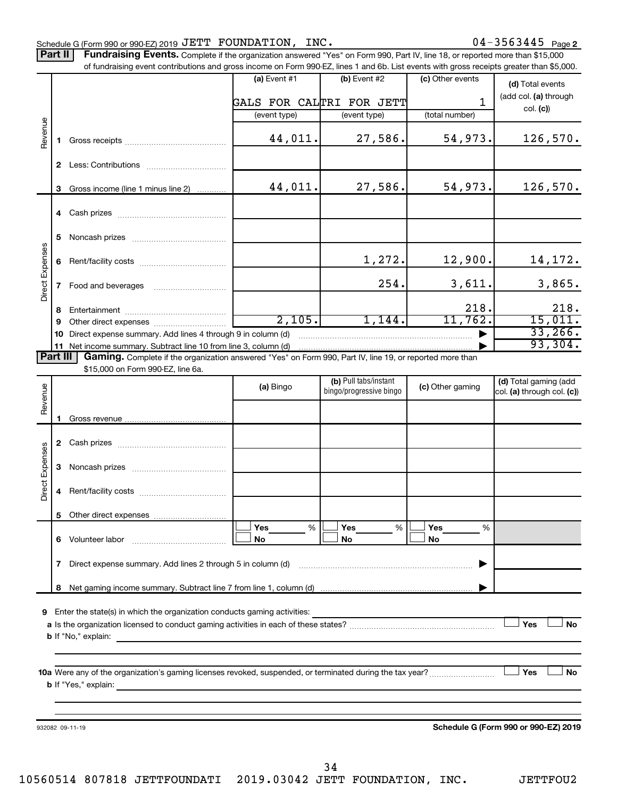| Schedule G (Form 990 or 990-EZ) 2019 JETT FOUNDATION, INC. |                                                                                                                                            | $04 - 3563445$ Page |  |
|------------------------------------------------------------|--------------------------------------------------------------------------------------------------------------------------------------------|---------------------|--|
|                                                            | <b>Dart II Fundraising Events</b> Complete if the examination enguaxed "Yea" on Ferm 000, Dart IV line 19, as reported mass than \$15,000. |                     |  |

Complete if the organization answered "Yes" on Form 990, Part IV, line 18, or reported more than \$15,000 of fundraising event contributions and gross income on Form 990-EZ, lines 1 and 6b. List events with gross receipts greater than \$5,000. **Part II Fundraising Events.**

|                        |              | OFfundraising event continuutions and gross income on Form 990-EZ, iines T and ob. Elst events with gross receipts greater than \$0,000. |                 |                          |                  |                                      |
|------------------------|--------------|------------------------------------------------------------------------------------------------------------------------------------------|-----------------|--------------------------|------------------|--------------------------------------|
|                        |              |                                                                                                                                          | (a) Event $#1$  | $(b)$ Event #2           | (c) Other events | (d) Total events                     |
|                        |              |                                                                                                                                          |                 | GALS FOR CALTRI FOR JETT | $\mathbf{1}$     | (add col. (a) through                |
|                        |              |                                                                                                                                          | (event type)    | (event type)             | (total number)   | col. (c)                             |
|                        |              |                                                                                                                                          |                 |                          |                  |                                      |
| Revenue                | 1.           |                                                                                                                                          | 44,011.         | 27,586.                  | 54,973.          | 126,570.                             |
|                        |              |                                                                                                                                          |                 |                          |                  |                                      |
|                        |              |                                                                                                                                          |                 |                          |                  |                                      |
|                        | 3            | Gross income (line 1 minus line 2)                                                                                                       | 44,011.         | 27,586.                  | 54,973.          | 126,570.                             |
|                        |              |                                                                                                                                          |                 |                          |                  |                                      |
|                        |              |                                                                                                                                          |                 |                          |                  |                                      |
|                        |              |                                                                                                                                          |                 |                          |                  |                                      |
|                        | 5.           |                                                                                                                                          |                 |                          |                  |                                      |
|                        |              |                                                                                                                                          |                 |                          |                  |                                      |
| <b>Direct Expenses</b> |              |                                                                                                                                          |                 | 1,272.                   | 12,900.          | 14,172.                              |
|                        |              |                                                                                                                                          |                 |                          |                  |                                      |
|                        |              |                                                                                                                                          |                 | 254.                     | 3,611.           | 3,865.                               |
|                        |              |                                                                                                                                          |                 |                          |                  |                                      |
|                        | 8            |                                                                                                                                          |                 |                          | 218.             | 218.                                 |
|                        | 9            |                                                                                                                                          | 2,105.          | 1,144.                   | 11,762.          | 15,011.                              |
|                        | 10           | Direct expense summary. Add lines 4 through 9 in column (d)                                                                              |                 |                          |                  | 33,266.                              |
|                        |              | 11 Net income summary. Subtract line 10 from line 3, column (d)                                                                          |                 |                          |                  | 93,304.                              |
| Part III               |              | Gaming. Complete if the organization answered "Yes" on Form 990, Part IV, line 19, or reported more than                                 |                 |                          |                  |                                      |
|                        |              | \$15,000 on Form 990-EZ, line 6a.                                                                                                        |                 |                          |                  |                                      |
|                        |              |                                                                                                                                          | (a) Bingo       | (b) Pull tabs/instant    | (c) Other gaming | (d) Total gaming (add                |
| Revenue                |              |                                                                                                                                          |                 | bingo/progressive bingo  |                  | col. (a) through col. (c))           |
|                        |              |                                                                                                                                          |                 |                          |                  |                                      |
|                        | 1.           |                                                                                                                                          |                 |                          |                  |                                      |
|                        |              |                                                                                                                                          |                 |                          |                  |                                      |
|                        |              |                                                                                                                                          |                 |                          |                  |                                      |
|                        |              |                                                                                                                                          |                 |                          |                  |                                      |
|                        | 3            |                                                                                                                                          |                 |                          |                  |                                      |
| <b>Direct Expenses</b> |              |                                                                                                                                          |                 |                          |                  |                                      |
|                        | 4            |                                                                                                                                          |                 |                          |                  |                                      |
|                        |              |                                                                                                                                          |                 |                          |                  |                                      |
|                        |              |                                                                                                                                          |                 |                          |                  |                                      |
|                        |              |                                                                                                                                          | <b>Yes</b><br>% | Yes<br>%                 | Yes<br>%         |                                      |
|                        |              | 6 Volunteer labor                                                                                                                        | No              | No                       | No               |                                      |
|                        |              |                                                                                                                                          |                 |                          |                  |                                      |
|                        | $\mathbf{7}$ | Direct expense summary. Add lines 2 through 5 in column (d)                                                                              |                 |                          |                  |                                      |
|                        |              |                                                                                                                                          |                 |                          |                  |                                      |
|                        | 8            |                                                                                                                                          |                 |                          |                  |                                      |
|                        |              |                                                                                                                                          |                 |                          |                  |                                      |
|                        |              | 9 Enter the state(s) in which the organization conducts gaming activities:                                                               |                 |                          |                  | Yes                                  |
|                        |              |                                                                                                                                          |                 |                          |                  | <b>No</b>                            |
|                        |              | <b>b</b> If "No," explain:                                                                                                               |                 |                          |                  |                                      |
|                        |              |                                                                                                                                          |                 |                          |                  |                                      |
|                        |              |                                                                                                                                          |                 |                          |                  | No                                   |
|                        |              | 10a Were any of the organization's gaming licenses revoked, suspended, or terminated during the tax year?                                |                 |                          |                  | Yes                                  |
|                        |              | <b>b</b> If "Yes," explain:                                                                                                              |                 |                          |                  |                                      |
|                        |              |                                                                                                                                          |                 |                          |                  |                                      |
|                        |              |                                                                                                                                          |                 |                          |                  |                                      |
|                        |              | 932082 09-11-19                                                                                                                          |                 |                          |                  | Schedule G (Form 990 or 990-EZ) 2019 |
|                        |              |                                                                                                                                          |                 |                          |                  |                                      |
|                        |              |                                                                                                                                          |                 |                          |                  |                                      |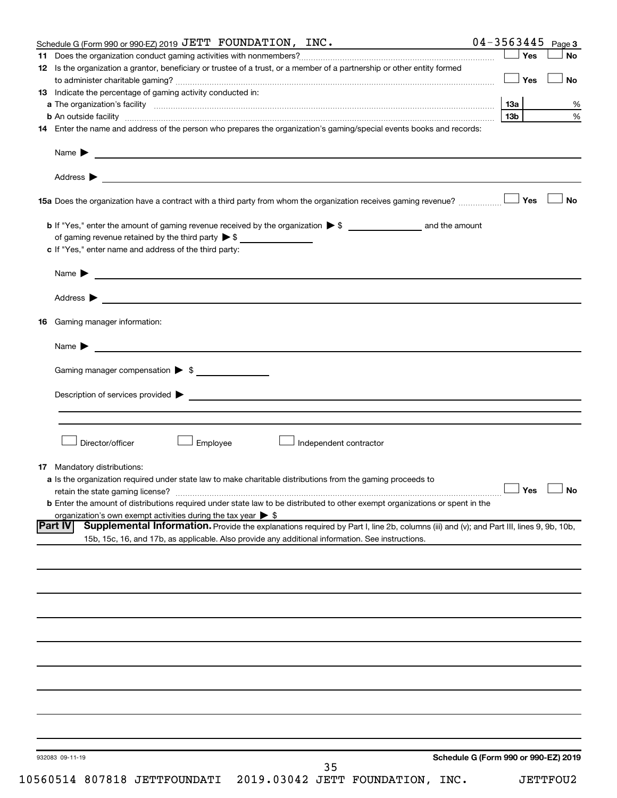| Schedule G (Form 990 or 990-EZ) 2019 JETT FOUNDATION, INC.                                                                                               | 04-3563445<br>Page 3                 |
|----------------------------------------------------------------------------------------------------------------------------------------------------------|--------------------------------------|
|                                                                                                                                                          | Yes<br><b>No</b>                     |
| 12 Is the organization a grantor, beneficiary or trustee of a trust, or a member of a partnership or other entity formed                                 |                                      |
|                                                                                                                                                          | Yes<br><b>No</b>                     |
| 13 Indicate the percentage of gaming activity conducted in:                                                                                              |                                      |
|                                                                                                                                                          | %<br>13а                             |
| <b>b</b> An outside facility <i>www.communicality.communicality.communicality www.communicality.communicality.communicality</i>                          | %<br>13 <sub>b</sub>                 |
| 14 Enter the name and address of the person who prepares the organization's gaming/special events books and records:                                     |                                      |
| Name $\blacktriangleright$<br><u> 1989 - Johann Barn, fransk politik formuler (d. 1989)</u>                                                              |                                      |
|                                                                                                                                                          |                                      |
|                                                                                                                                                          | <b>No</b>                            |
|                                                                                                                                                          |                                      |
|                                                                                                                                                          |                                      |
| c If "Yes," enter name and address of the third party:                                                                                                   |                                      |
| <u>and the control of the control of the control of the control of the control of the control of the control of</u><br>Name $\blacktriangleright$        |                                      |
|                                                                                                                                                          |                                      |
| Gaming manager information:<br>16                                                                                                                        |                                      |
|                                                                                                                                                          |                                      |
| <u> 1989 - Johann Barn, mars et al. (b. 1989)</u><br>Name $\blacktriangleright$                                                                          |                                      |
| Gaming manager compensation > \$                                                                                                                         |                                      |
|                                                                                                                                                          |                                      |
|                                                                                                                                                          |                                      |
|                                                                                                                                                          |                                      |
|                                                                                                                                                          |                                      |
| Director/officer<br><b>Employee</b><br>Independent contractor                                                                                            |                                      |
| <b>17</b> Mandatory distributions:                                                                                                                       |                                      |
| a Is the organization required under state law to make charitable distributions from the gaming proceeds to                                              |                                      |
|                                                                                                                                                          | $\Box$ Yes $\Box$ No                 |
| <b>b</b> Enter the amount of distributions required under state law to be distributed to other exempt organizations or spent in the                      |                                      |
| organization's own exempt activities during the tax year $\triangleright$ \$                                                                             |                                      |
| <b>Part IV</b><br>Supplemental Information. Provide the explanations required by Part I, line 2b, columns (iii) and (v); and Part III, lines 9, 9b, 10b, |                                      |
| 15b, 15c, 16, and 17b, as applicable. Also provide any additional information. See instructions.                                                         |                                      |
|                                                                                                                                                          |                                      |
|                                                                                                                                                          |                                      |
|                                                                                                                                                          |                                      |
|                                                                                                                                                          |                                      |
|                                                                                                                                                          |                                      |
|                                                                                                                                                          |                                      |
|                                                                                                                                                          |                                      |
|                                                                                                                                                          |                                      |
|                                                                                                                                                          |                                      |
|                                                                                                                                                          |                                      |
|                                                                                                                                                          |                                      |
|                                                                                                                                                          |                                      |
|                                                                                                                                                          |                                      |
|                                                                                                                                                          |                                      |
|                                                                                                                                                          |                                      |
|                                                                                                                                                          |                                      |
| 932083 09-11-19                                                                                                                                          | Schedule G (Form 990 or 990-EZ) 2019 |
| 35                                                                                                                                                       |                                      |

10560514 807818 JETTFOUNDATI 2019.03042 JETT FOUNDATION, INC. JETTFOU2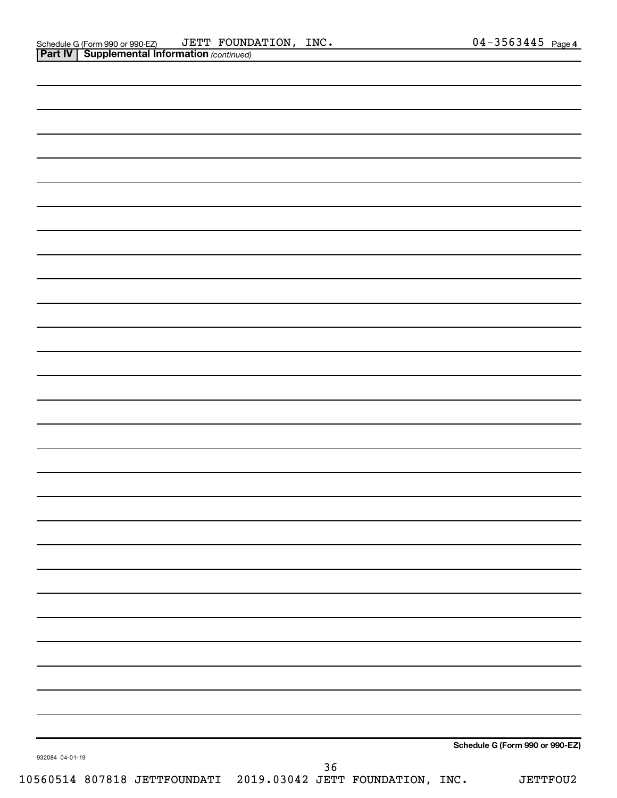|                 |    | Schedule G (Form 990 or 990-EZ) |
|-----------------|----|---------------------------------|
| 932084 04-01-19 | 36 |                                 |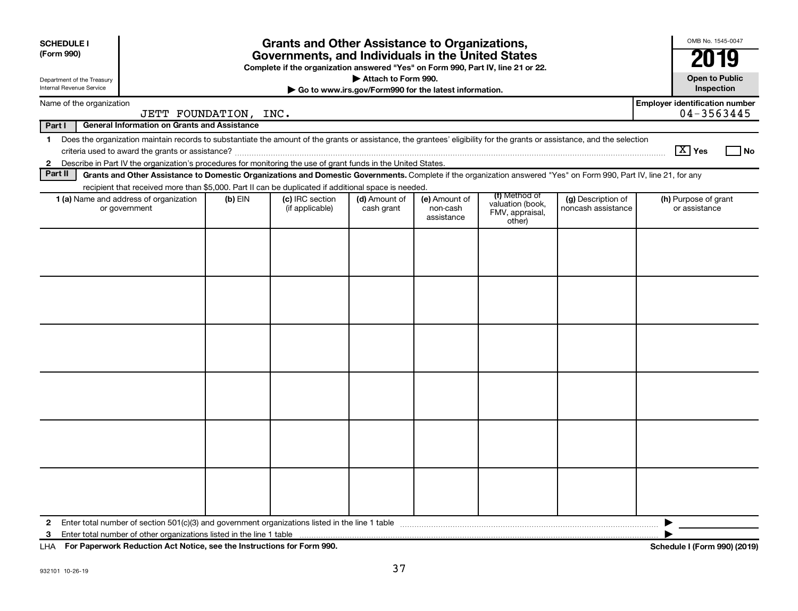| <b>SCHEDULE I</b><br>(Form 990)<br>Department of the Treasury                              |                                                                                                                                                                                                                                                                                           | <b>Grants and Other Assistance to Organizations,</b><br>Governments, and Individuals in the United States<br>Complete if the organization answered "Yes" on Form 990, Part IV, line 21 or 22.<br>Attach to Form 990. |                                    |                             |                                         |                                                                |                                          |                                       |      |  |  |  |
|--------------------------------------------------------------------------------------------|-------------------------------------------------------------------------------------------------------------------------------------------------------------------------------------------------------------------------------------------------------------------------------------------|----------------------------------------------------------------------------------------------------------------------------------------------------------------------------------------------------------------------|------------------------------------|-----------------------------|-----------------------------------------|----------------------------------------------------------------|------------------------------------------|---------------------------------------|------|--|--|--|
|                                                                                            | <b>Internal Revenue Service</b><br>Go to www.irs.gov/Form990 for the latest information.                                                                                                                                                                                                  |                                                                                                                                                                                                                      |                                    |                             |                                         |                                                                |                                          |                                       |      |  |  |  |
| <b>Employer identification number</b><br>Name of the organization<br>JETT FOUNDATION, INC. |                                                                                                                                                                                                                                                                                           |                                                                                                                                                                                                                      |                                    |                             |                                         |                                                                |                                          |                                       |      |  |  |  |
| 04-3563445<br><b>General Information on Grants and Assistance</b><br>Part I                |                                                                                                                                                                                                                                                                                           |                                                                                                                                                                                                                      |                                    |                             |                                         |                                                                |                                          |                                       |      |  |  |  |
| $\mathbf 1$<br>$\mathbf{2}$                                                                | Does the organization maintain records to substantiate the amount of the grants or assistance, the grantees' eligibility for the grants or assistance, and the selection<br>Describe in Part IV the organization's procedures for monitoring the use of grant funds in the United States. |                                                                                                                                                                                                                      |                                    |                             |                                         |                                                                |                                          | $\sqrt{X}$ Yes                        | l No |  |  |  |
| Part II                                                                                    | Grants and Other Assistance to Domestic Organizations and Domestic Governments. Complete if the organization answered "Yes" on Form 990, Part IV, line 21, for any                                                                                                                        |                                                                                                                                                                                                                      |                                    |                             |                                         |                                                                |                                          |                                       |      |  |  |  |
|                                                                                            | recipient that received more than \$5,000. Part II can be duplicated if additional space is needed.                                                                                                                                                                                       |                                                                                                                                                                                                                      |                                    |                             |                                         |                                                                |                                          |                                       |      |  |  |  |
|                                                                                            | <b>1 (a)</b> Name and address of organization<br>or government                                                                                                                                                                                                                            | $(b)$ EIN                                                                                                                                                                                                            | (c) IRC section<br>(if applicable) | (d) Amount of<br>cash grant | (e) Amount of<br>non-cash<br>assistance | (f) Method of<br>valuation (book.<br>FMV, appraisal,<br>other) | (g) Description of<br>noncash assistance | (h) Purpose of grant<br>or assistance |      |  |  |  |
|                                                                                            |                                                                                                                                                                                                                                                                                           |                                                                                                                                                                                                                      |                                    |                             |                                         |                                                                |                                          |                                       |      |  |  |  |
| 2                                                                                          |                                                                                                                                                                                                                                                                                           |                                                                                                                                                                                                                      |                                    |                             |                                         |                                                                |                                          | ▶                                     |      |  |  |  |
| 3                                                                                          |                                                                                                                                                                                                                                                                                           |                                                                                                                                                                                                                      |                                    |                             |                                         |                                                                |                                          |                                       |      |  |  |  |

**For Paperwork Reduction Act Notice, see the Instructions for Form 990. Schedule I (Form 990) (2019)** LHA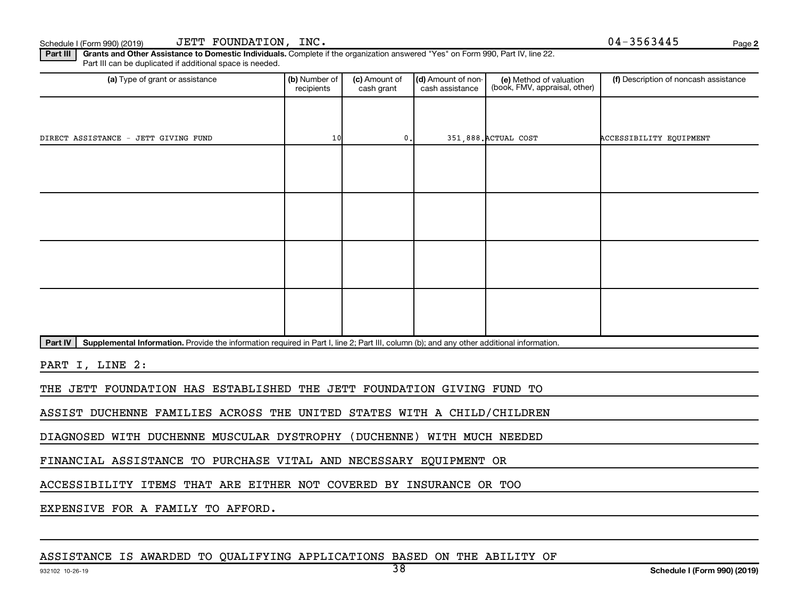**2**

Part III | Grants and Other Assistance to Domestic Individuals. Complete if the organization answered "Yes" on Form 990, Part IV, line 22. Part III can be duplicated if additional space is needed.

| (b) Number of<br>recipients | (c) Amount of<br>cash grant | cash assistance | (e) Method of valuation<br>(book, FMV, appraisal, other) | (f) Description of noncash assistance      |
|-----------------------------|-----------------------------|-----------------|----------------------------------------------------------|--------------------------------------------|
|                             |                             |                 |                                                          |                                            |
|                             |                             |                 |                                                          | ACCESSIBILITY EQUIPMENT                    |
|                             |                             |                 |                                                          |                                            |
|                             |                             |                 |                                                          |                                            |
|                             |                             |                 |                                                          |                                            |
|                             |                             |                 |                                                          |                                            |
|                             |                             |                 |                                                          |                                            |
|                             |                             |                 |                                                          |                                            |
|                             |                             |                 |                                                          |                                            |
|                             |                             |                 |                                                          |                                            |
|                             |                             | 10              | $\mathbf{0}$ .                                           | (d) Amount of non-<br>351,888. ACTUAL COST |

Part IV | Supplemental Information. Provide the information required in Part I, line 2; Part III, column (b); and any other additional information.

PART I, LINE 2:

THE JETT FOUNDATION HAS ESTABLISHED THE JETT FOUNDATION GIVING FUND TO

ASSIST DUCHENNE FAMILIES ACROSS THE UNITED STATES WITH A CHILD/CHILDREN

DIAGNOSED WITH DUCHENNE MUSCULAR DYSTROPHY (DUCHENNE) WITH MUCH NEEDED

FINANCIAL ASSISTANCE TO PURCHASE VITAL AND NECESSARY EQUIPMENT OR

ACCESSIBILITY ITEMS THAT ARE EITHER NOT COVERED BY INSURANCE OR TOO

EXPENSIVE FOR A FAMILY TO AFFORD.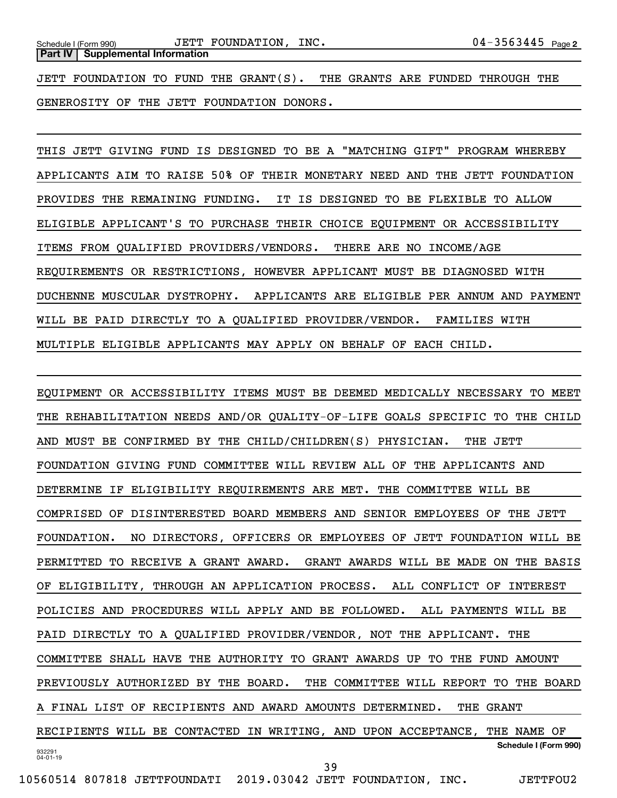JETT FOUNDATION TO FUND THE GRANT(S). THE GRANTS ARE FUNDED THROUGH THE GENEROSITY OF THE JETT FOUNDATION DONORS.

THIS JETT GIVING FUND IS DESIGNED TO BE A "MATCHING GIFT" PROGRAM WHEREBY APPLICANTS AIM TO RAISE 50% OF THEIR MONETARY NEED AND THE JETT FOUNDATION PROVIDES THE REMAINING FUNDING. IT IS DESIGNED TO BE FLEXIBLE TO ALLOW ELIGIBLE APPLICANT'S TO PURCHASE THEIR CHOICE EQUIPMENT OR ACCESSIBILITY ITEMS FROM QUALIFIED PROVIDERS/VENDORS. THERE ARE NO INCOME/AGE REQUIREMENTS OR RESTRICTIONS, HOWEVER APPLICANT MUST BE DIAGNOSED WITH DUCHENNE MUSCULAR DYSTROPHY. APPLICANTS ARE ELIGIBLE PER ANNUM AND PAYMENT WILL BE PAID DIRECTLY TO A QUALIFIED PROVIDER/VENDOR. FAMILIES WITH MULTIPLE ELIGIBLE APPLICANTS MAY APPLY ON BEHALF OF EACH CHILD.

932291 04-01-19 **Schedule I (Form 990)** EQUIPMENT OR ACCESSIBILITY ITEMS MUST BE DEEMED MEDICALLY NECESSARY TO MEET THE REHABILITATION NEEDS AND/OR QUALITY-OF-LIFE GOALS SPECIFIC TO THE CHILD AND MUST BE CONFIRMED BY THE CHILD/CHILDREN(S) PHYSICIAN. THE JETT FOUNDATION GIVING FUND COMMITTEE WILL REVIEW ALL OF THE APPLICANTS AND DETERMINE IF ELIGIBILITY REQUIREMENTS ARE MET. THE COMMITTEE WILL BE COMPRISED OF DISINTERESTED BOARD MEMBERS AND SENIOR EMPLOYEES OF THE JETT FOUNDATION. NO DIRECTORS, OFFICERS OR EMPLOYEES OF JETT FOUNDATION WILL BE PERMITTED TO RECEIVE A GRANT AWARD. GRANT AWARDS WILL BE MADE ON THE BASIS OF ELIGIBILITY, THROUGH AN APPLICATION PROCESS. ALL CONFLICT OF INTEREST POLICIES AND PROCEDURES WILL APPLY AND BE FOLLOWED. ALL PAYMENTS WILL BE PAID DIRECTLY TO A QUALIFIED PROVIDER/VENDOR, NOT THE APPLICANT. THE COMMITTEE SHALL HAVE THE AUTHORITY TO GRANT AWARDS UP TO THE FUND AMOUNT PREVIOUSLY AUTHORIZED BY THE BOARD. THE COMMITTEE WILL REPORT TO THE BOARD A FINAL LIST OF RECIPIENTS AND AWARD AMOUNTS DETERMINED. THE GRANT RECIPIENTS WILL BE CONTACTED IN WRITING, AND UPON ACCEPTANCE, THE NAME OF 39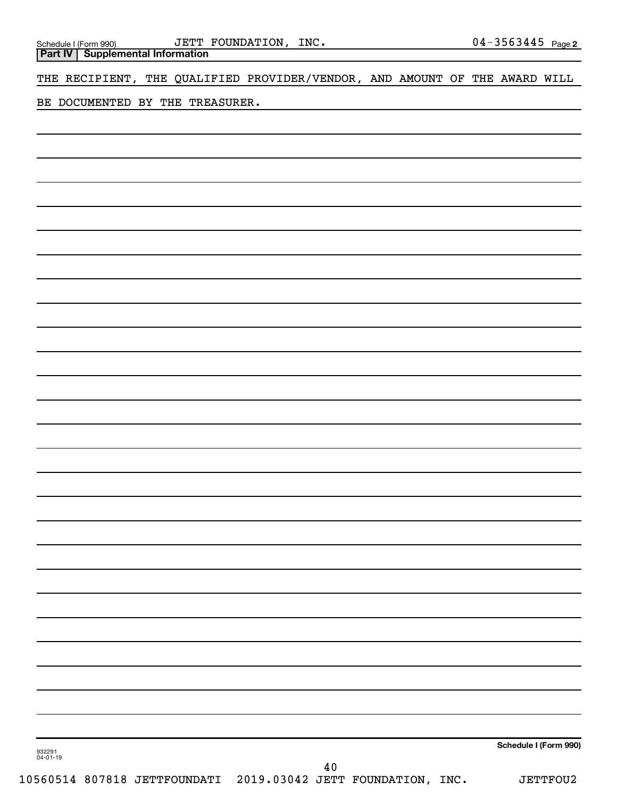**Part IV Supplemental Information**

THE RECIPIENT, THE QUALIFIED PROVIDER/VENDOR, AND AMOUNT OF THE AWARD WILL

BE DOCUMENTED BY THE TREASURER.

**Schedule I (Form 990)**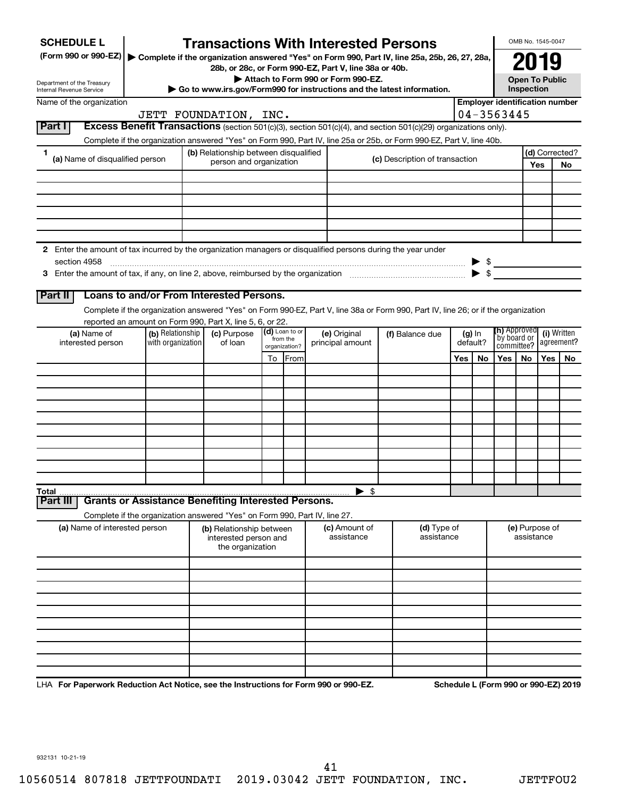| <b>SCHEDULE L</b>                                                                                                                       |                                                                                                                                                                    | <b>Transactions With Interested Persons</b>                                                                                             |    |                           |                  |                          |            |                                |          |                          |                            | OMB No. 1545-0047     |                |                                       |  |
|-----------------------------------------------------------------------------------------------------------------------------------------|--------------------------------------------------------------------------------------------------------------------------------------------------------------------|-----------------------------------------------------------------------------------------------------------------------------------------|----|---------------------------|------------------|--------------------------|------------|--------------------------------|----------|--------------------------|----------------------------|-----------------------|----------------|---------------------------------------|--|
| (Form 990 or 990-EZ)                                                                                                                    |                                                                                                                                                                    | Complete if the organization answered "Yes" on Form 990, Part IV, line 25a, 25b, 26, 27, 28a,                                           |    |                           |                  |                          |            |                                |          |                          |                            | 2019                  |                |                                       |  |
| 28b, or 28c, or Form 990-EZ, Part V, line 38a or 40b.<br>Attach to Form 990 or Form 990-EZ.                                             |                                                                                                                                                                    |                                                                                                                                         |    |                           |                  |                          |            |                                |          |                          |                            | <b>Open To Public</b> |                |                                       |  |
| Department of the Treasury<br>Go to www.irs.gov/Form990 for instructions and the latest information.<br><b>Internal Revenue Service</b> |                                                                                                                                                                    |                                                                                                                                         |    |                           |                  |                          |            |                                |          |                          |                            | Inspection            |                |                                       |  |
| Name of the organization                                                                                                                |                                                                                                                                                                    |                                                                                                                                         |    |                           |                  |                          |            |                                |          |                          |                            |                       |                | <b>Employer identification number</b> |  |
| Part I                                                                                                                                  |                                                                                                                                                                    | JETT FOUNDATION, INC.<br>Excess Benefit Transactions (section 501(c)(3), section 501(c)(4), and section 501(c)(29) organizations only). |    |                           |                  |                          |            |                                |          |                          | 04-3563445                 |                       |                |                                       |  |
|                                                                                                                                         |                                                                                                                                                                    |                                                                                                                                         |    |                           |                  |                          |            |                                |          |                          |                            |                       |                |                                       |  |
| 1                                                                                                                                       | Complete if the organization answered "Yes" on Form 990, Part IV, line 25a or 25b, or Form 990-EZ, Part V, line 40b.<br>(b) Relationship between disqualified      |                                                                                                                                         |    |                           |                  |                          |            |                                |          |                          |                            |                       | (d) Corrected? |                                       |  |
| (a) Name of disqualified person                                                                                                         |                                                                                                                                                                    | person and organization                                                                                                                 |    |                           |                  |                          |            | (c) Description of transaction |          |                          |                            |                       | Yes            | <b>No</b>                             |  |
|                                                                                                                                         |                                                                                                                                                                    |                                                                                                                                         |    |                           |                  |                          |            |                                |          |                          |                            |                       |                |                                       |  |
|                                                                                                                                         |                                                                                                                                                                    |                                                                                                                                         |    |                           |                  |                          |            |                                |          |                          |                            |                       |                |                                       |  |
|                                                                                                                                         |                                                                                                                                                                    |                                                                                                                                         |    |                           |                  |                          |            |                                |          |                          |                            |                       |                |                                       |  |
|                                                                                                                                         |                                                                                                                                                                    |                                                                                                                                         |    |                           |                  |                          |            |                                |          |                          |                            |                       |                |                                       |  |
|                                                                                                                                         |                                                                                                                                                                    |                                                                                                                                         |    |                           |                  |                          |            |                                |          |                          |                            |                       |                |                                       |  |
| 2 Enter the amount of tax incurred by the organization managers or disqualified persons during the year under<br>section 4958           |                                                                                                                                                                    |                                                                                                                                         |    |                           |                  |                          |            |                                |          |                          |                            |                       |                |                                       |  |
|                                                                                                                                         |                                                                                                                                                                    |                                                                                                                                         |    |                           |                  |                          |            |                                |          | $\blacktriangleright$ \$ | $\triangleright$ \$        |                       |                |                                       |  |
|                                                                                                                                         |                                                                                                                                                                    |                                                                                                                                         |    |                           |                  |                          |            |                                |          |                          |                            |                       |                |                                       |  |
| Part II                                                                                                                                 |                                                                                                                                                                    | Loans to and/or From Interested Persons.                                                                                                |    |                           |                  |                          |            |                                |          |                          |                            |                       |                |                                       |  |
|                                                                                                                                         |                                                                                                                                                                    | Complete if the organization answered "Yes" on Form 990-EZ, Part V, line 38a or Form 990, Part IV, line 26; or if the organization      |    |                           |                  |                          |            |                                |          |                          |                            |                       |                |                                       |  |
| (a) Name of                                                                                                                             | (b) Relationship                                                                                                                                                   | reported an amount on Form 990, Part X, line 5, 6, or 22.<br>(c) Purpose                                                                |    | (d) Loan to or            | (e) Original     |                          |            | (f) Balance due                |          | $(g)$ In                 | (h) Approved               |                       |                | (i) Written                           |  |
| interested person                                                                                                                       | with organization                                                                                                                                                  | of loan                                                                                                                                 |    | from the<br>organization? | principal amount |                          |            |                                | default? |                          | `by board or<br>committee? |                       | agreement?     |                                       |  |
|                                                                                                                                         |                                                                                                                                                                    |                                                                                                                                         | To | From                      |                  |                          |            |                                | Yes      | No                       | Yes                        | No.                   | Yes            | No.                                   |  |
|                                                                                                                                         |                                                                                                                                                                    |                                                                                                                                         |    |                           |                  |                          |            |                                |          |                          |                            |                       |                |                                       |  |
|                                                                                                                                         |                                                                                                                                                                    |                                                                                                                                         |    |                           |                  |                          |            |                                |          |                          |                            |                       |                |                                       |  |
|                                                                                                                                         |                                                                                                                                                                    |                                                                                                                                         |    |                           |                  |                          |            |                                |          |                          |                            |                       |                |                                       |  |
|                                                                                                                                         |                                                                                                                                                                    |                                                                                                                                         |    |                           |                  |                          |            |                                |          |                          |                            |                       |                |                                       |  |
|                                                                                                                                         |                                                                                                                                                                    |                                                                                                                                         |    |                           |                  |                          |            |                                |          |                          |                            |                       |                |                                       |  |
|                                                                                                                                         |                                                                                                                                                                    |                                                                                                                                         |    |                           |                  |                          |            |                                |          |                          |                            |                       |                |                                       |  |
|                                                                                                                                         |                                                                                                                                                                    |                                                                                                                                         |    |                           |                  |                          |            |                                |          |                          |                            |                       |                |                                       |  |
|                                                                                                                                         |                                                                                                                                                                    |                                                                                                                                         |    |                           |                  |                          |            |                                |          |                          |                            |                       |                |                                       |  |
| Total                                                                                                                                   |                                                                                                                                                                    |                                                                                                                                         |    |                           |                  | $\blacktriangleright$ \$ |            |                                |          |                          |                            |                       |                |                                       |  |
| Part II                                                                                                                                 |                                                                                                                                                                    | <b>Grants or Assistance Benefiting Interested Persons.</b>                                                                              |    |                           |                  |                          |            |                                |          |                          |                            |                       |                |                                       |  |
|                                                                                                                                         |                                                                                                                                                                    | Complete if the organization answered "Yes" on Form 990, Part IV, line 27.                                                              |    |                           |                  |                          |            |                                |          |                          |                            | (e) Purpose of        |                |                                       |  |
|                                                                                                                                         | (a) Name of interested person<br>(c) Amount of<br>(d) Type of<br>(b) Relationship between<br>assistance<br>assistance<br>interested person and<br>the organization |                                                                                                                                         |    |                           |                  |                          | assistance |                                |          |                          |                            |                       |                |                                       |  |
|                                                                                                                                         |                                                                                                                                                                    |                                                                                                                                         |    |                           |                  |                          |            |                                |          |                          |                            |                       |                |                                       |  |
|                                                                                                                                         |                                                                                                                                                                    |                                                                                                                                         |    |                           |                  |                          |            |                                |          |                          |                            |                       |                |                                       |  |
|                                                                                                                                         |                                                                                                                                                                    |                                                                                                                                         |    |                           |                  |                          |            |                                |          |                          |                            |                       |                |                                       |  |
|                                                                                                                                         |                                                                                                                                                                    |                                                                                                                                         |    |                           |                  |                          |            |                                |          |                          |                            |                       |                |                                       |  |
|                                                                                                                                         |                                                                                                                                                                    |                                                                                                                                         |    |                           |                  |                          |            |                                |          |                          |                            |                       |                |                                       |  |
|                                                                                                                                         |                                                                                                                                                                    |                                                                                                                                         |    |                           |                  |                          |            |                                |          |                          |                            |                       |                |                                       |  |
|                                                                                                                                         |                                                                                                                                                                    |                                                                                                                                         |    |                           |                  |                          |            |                                |          |                          |                            |                       |                |                                       |  |
|                                                                                                                                         |                                                                                                                                                                    |                                                                                                                                         |    |                           |                  |                          |            |                                |          |                          |                            |                       |                |                                       |  |
|                                                                                                                                         |                                                                                                                                                                    |                                                                                                                                         |    |                           |                  |                          |            |                                |          |                          |                            |                       |                |                                       |  |

LHA For Paperwork Reduction Act Notice, see the Instructions for Form 990 or 990-EZ. Schedule L (Form 990 or 990-EZ) 2019

932131 10-21-19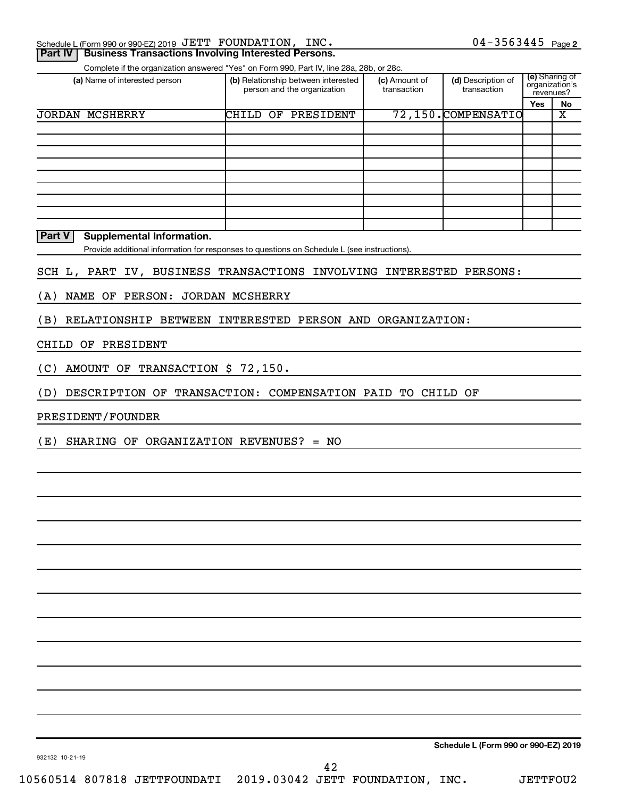|    |  | Schedule L (Form 990 or 990-EZ) 2019 JETT FOUNDATION, | INC. | 3563445 | Page 2 |
|----|--|-------------------------------------------------------|------|---------|--------|
| __ |  |                                                       |      |         |        |

#### **Part IV | Business Transactions Involving Interested Persons.**

Complete if the organization answered "Yes" on Form 990, Part IV, line 28a, 28b, or 28c.

| (a) Name of interested person | (b) Relationship between interested<br>person and the organization |           | (c) Amount of<br>transaction | (d) Description of<br>transaction | (e) Sharing of<br>organization's<br>revenues? |    |
|-------------------------------|--------------------------------------------------------------------|-----------|------------------------------|-----------------------------------|-----------------------------------------------|----|
|                               |                                                                    |           |                              |                                   | <b>Yes</b>                                    | No |
| <b>JORDAN MCSHERRY</b>        | CHILD<br>OF                                                        | PRESIDENT |                              | 72,150.COMPENSATIO                |                                               | Χ  |
|                               |                                                                    |           |                              |                                   |                                               |    |
|                               |                                                                    |           |                              |                                   |                                               |    |
|                               |                                                                    |           |                              |                                   |                                               |    |
|                               |                                                                    |           |                              |                                   |                                               |    |
|                               |                                                                    |           |                              |                                   |                                               |    |
|                               |                                                                    |           |                              |                                   |                                               |    |
|                               |                                                                    |           |                              |                                   |                                               |    |
|                               |                                                                    |           |                              |                                   |                                               |    |
|                               |                                                                    |           |                              |                                   |                                               |    |

#### **Part V** Supplemental Information.

Provide additional information for responses to questions on Schedule L (see instructions).

#### SCH L, PART IV, BUSINESS TRANSACTIONS INVOLVING INTERESTED PERSONS:

### (A) NAME OF PERSON: JORDAN MCSHERRY

(B) RELATIONSHIP BETWEEN INTERESTED PERSON AND ORGANIZATION:

#### CHILD OF PRESIDENT

(C) AMOUNT OF TRANSACTION \$ 72,150.

(D) DESCRIPTION OF TRANSACTION: COMPENSATION PAID TO CHILD OF

#### PRESIDENT/FOUNDER

(E) SHARING OF ORGANIZATION REVENUES? = NO

**Schedule L (Form 990 or 990-EZ) 2019**

932132 10-21-19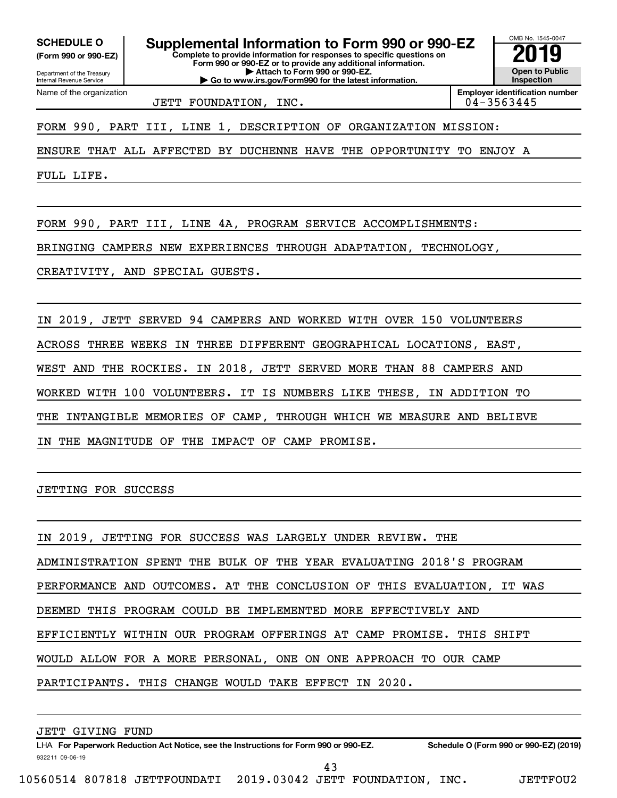**(Form 990 or 990-EZ)**

Department of the Treasury

Name of the organization

Internal Revenue Service

**Complete to provide information for responses to specific questions on Form 990 or 990-EZ or to provide any additional information. | Attach to Form 990 or 990-EZ. | Go to www.irs.gov/Form990 for the latest information.** SCHEDULE O **Supplemental Information to Form 990 or 990-EZ** 2019<br>(Form 990 or 990-EZ)

**Open to Public Inspection**

OMB No. 1545-0047

JETT FOUNDATION, INC.

**Employer identification number**

FORM 990, PART III, LINE 1, DESCRIPTION OF ORGANIZATION MISSION:

ENSURE THAT ALL AFFECTED BY DUCHENNE HAVE THE OPPORTUNITY TO ENJOY A

FULL LIFE.

FORM 990, PART III, LINE 4A, PROGRAM SERVICE ACCOMPLISHMENTS:

BRINGING CAMPERS NEW EXPERIENCES THROUGH ADAPTATION, TECHNOLOGY,

CREATIVITY, AND SPECIAL GUESTS.

IN 2019, JETT SERVED 94 CAMPERS AND WORKED WITH OVER 150 VOLUNTEERS ACROSS THREE WEEKS IN THREE DIFFERENT GEOGRAPHICAL LOCATIONS, EAST, WEST AND THE ROCKIES. IN 2018, JETT SERVED MORE THAN 88 CAMPERS AND WORKED WITH 100 VOLUNTEERS. IT IS NUMBERS LIKE THESE, IN ADDITION TO THE INTANGIBLE MEMORIES OF CAMP, THROUGH WHICH WE MEASURE AND BELIEVE IN THE MAGNITUDE OF THE IMPACT OF CAMP PROMISE.

JETTING FOR SUCCESS

IN 2019, JETTING FOR SUCCESS WAS LARGELY UNDER REVIEW. THE ADMINISTRATION SPENT THE BULK OF THE YEAR EVALUATING 2018'S PROGRAM PERFORMANCE AND OUTCOMES. AT THE CONCLUSION OF THIS EVALUATION, IT WAS DEEMED THIS PROGRAM COULD BE IMPLEMENTED MORE EFFECTIVELY AND EFFICIENTLY WITHIN OUR PROGRAM OFFERINGS AT CAMP PROMISE. THIS SHIFT WOULD ALLOW FOR A MORE PERSONAL, ONE ON ONE APPROACH TO OUR CAMP PARTICIPANTS. THIS CHANGE WOULD TAKE EFFECT IN 2020.

932211 09-06-19 LHA For Paperwork Reduction Act Notice, see the Instructions for Form 990 or 990-EZ. Schedule O (Form 990 or 990-EZ) (2019) JETT GIVING FUND 43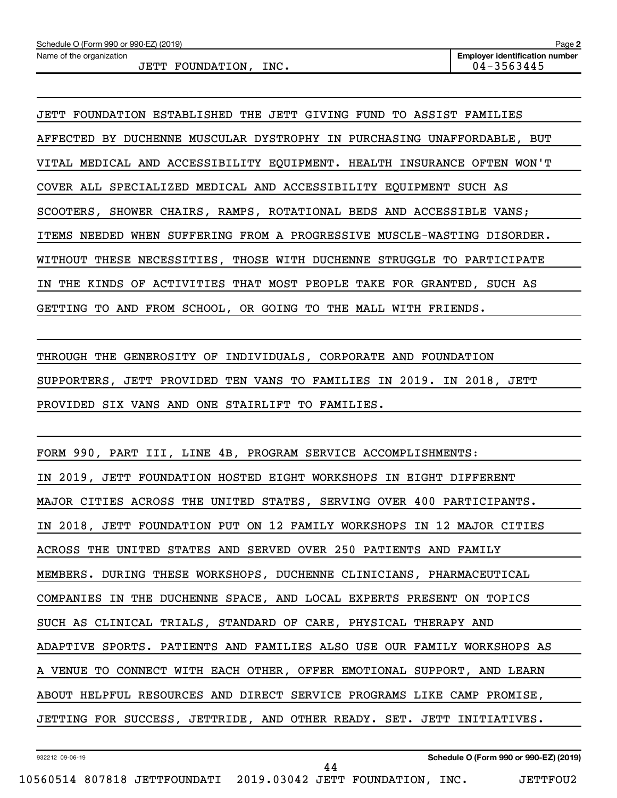JETT FOUNDATION ESTABLISHED THE JETT GIVING FUND TO ASSIST FAMILIES AFFECTED BY DUCHENNE MUSCULAR DYSTROPHY IN PURCHASING UNAFFORDABLE, BUT VITAL MEDICAL AND ACCESSIBILITY EQUIPMENT. HEALTH INSURANCE OFTEN WON'T COVER ALL SPECIALIZED MEDICAL AND ACCESSIBILITY EQUIPMENT SUCH AS SCOOTERS, SHOWER CHAIRS, RAMPS, ROTATIONAL BEDS AND ACCESSIBLE VANS; ITEMS NEEDED WHEN SUFFERING FROM A PROGRESSIVE MUSCLE-WASTING DISORDER. WITHOUT THESE NECESSITIES, THOSE WITH DUCHENNE STRUGGLE TO PARTICIPATE IN THE KINDS OF ACTIVITIES THAT MOST PEOPLE TAKE FOR GRANTED, SUCH AS GETTING TO AND FROM SCHOOL, OR GOING TO THE MALL WITH FRIENDS.

THROUGH THE GENEROSITY OF INDIVIDUALS, CORPORATE AND FOUNDATION SUPPORTERS, JETT PROVIDED TEN VANS TO FAMILIES IN 2019. IN 2018, JETT PROVIDED SIX VANS AND ONE STAIRLIFT TO FAMILIES.

FORM 990, PART III, LINE 4B, PROGRAM SERVICE ACCOMPLISHMENTS:

IN 2019, JETT FOUNDATION HOSTED EIGHT WORKSHOPS IN EIGHT DIFFERENT MAJOR CITIES ACROSS THE UNITED STATES, SERVING OVER 400 PARTICIPANTS. IN 2018, JETT FOUNDATION PUT ON 12 FAMILY WORKSHOPS IN 12 MAJOR CITIES ACROSS THE UNITED STATES AND SERVED OVER 250 PATIENTS AND FAMILY MEMBERS. DURING THESE WORKSHOPS, DUCHENNE CLINICIANS, PHARMACEUTICAL COMPANIES IN THE DUCHENNE SPACE, AND LOCAL EXPERTS PRESENT ON TOPICS SUCH AS CLINICAL TRIALS, STANDARD OF CARE, PHYSICAL THERAPY AND ADAPTIVE SPORTS. PATIENTS AND FAMILIES ALSO USE OUR FAMILY WORKSHOPS AS A VENUE TO CONNECT WITH EACH OTHER, OFFER EMOTIONAL SUPPORT, AND LEARN ABOUT HELPFUL RESOURCES AND DIRECT SERVICE PROGRAMS LIKE CAMP PROMISE, JETTING FOR SUCCESS, JETTRIDE, AND OTHER READY. SET. JETT INITIATIVES.

44

932212 09-06-19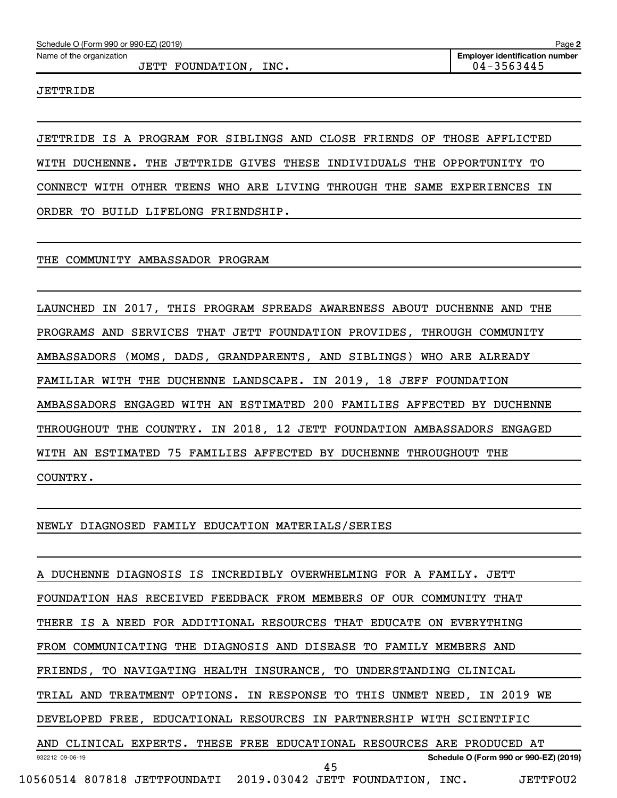#### JETT FOUNDATION, INC. 04-3563445

JETTRIDE

JETTRIDE IS A PROGRAM FOR SIBLINGS AND CLOSE FRIENDS OF THOSE AFFLICTED WITH DUCHENNE. THE JETTRIDE GIVES THESE INDIVIDUALS THE OPPORTUNITY TO CONNECT WITH OTHER TEENS WHO ARE LIVING THROUGH THE SAME EXPERIENCES IN ORDER TO BUILD LIFELONG FRIENDSHIP.

THE COMMUNITY AMBASSADOR PROGRAM

LAUNCHED IN 2017, THIS PROGRAM SPREADS AWARENESS ABOUT DUCHENNE AND THE PROGRAMS AND SERVICES THAT JETT FOUNDATION PROVIDES, THROUGH COMMUNITY AMBASSADORS (MOMS, DADS, GRANDPARENTS, AND SIBLINGS) WHO ARE ALREADY FAMILIAR WITH THE DUCHENNE LANDSCAPE. IN 2019, 18 JEFF FOUNDATION AMBASSADORS ENGAGED WITH AN ESTIMATED 200 FAMILIES AFFECTED BY DUCHENNE THROUGHOUT THE COUNTRY. IN 2018, 12 JETT FOUNDATION AMBASSADORS ENGAGED WITH AN ESTIMATED 75 FAMILIES AFFECTED BY DUCHENNE THROUGHOUT THE COUNTRY.

NEWLY DIAGNOSED FAMILY EDUCATION MATERIALS/SERIES

932212 09-06-19 **Schedule O (Form 990 or 990-EZ) (2019)** A DUCHENNE DIAGNOSIS IS INCREDIBLY OVERWHELMING FOR A FAMILY. JETT FOUNDATION HAS RECEIVED FEEDBACK FROM MEMBERS OF OUR COMMUNITY THAT THERE IS A NEED FOR ADDITIONAL RESOURCES THAT EDUCATE ON EVERYTHING FROM COMMUNICATING THE DIAGNOSIS AND DISEASE TO FAMILY MEMBERS AND FRIENDS, TO NAVIGATING HEALTH INSURANCE, TO UNDERSTANDING CLINICAL TRIAL AND TREATMENT OPTIONS. IN RESPONSE TO THIS UNMET NEED, IN 2019 WE DEVELOPED FREE, EDUCATIONAL RESOURCES IN PARTNERSHIP WITH SCIENTIFIC AND CLINICAL EXPERTS. THESE FREE EDUCATIONAL RESOURCES ARE PRODUCED AT 10560514 807818 JETTFOUNDATI 2019.03042 JETT FOUNDATION, INC. JETTFOU2 45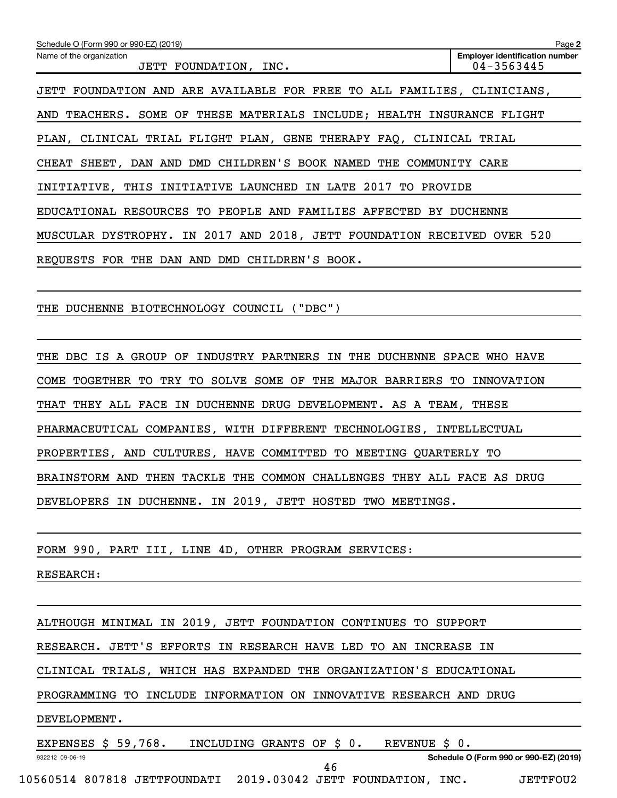| Schedule O (Form 990 or 990-EZ) (2019)                                  | Page 2                                              |
|-------------------------------------------------------------------------|-----------------------------------------------------|
| Name of the organization<br>JETT FOUNDATION, INC.                       | <b>Employer identification number</b><br>04-3563445 |
| JETT FOUNDATION AND ARE AVAILABLE FOR FREE TO ALL FAMILIES, CLINICIANS, |                                                     |
| AND TEACHERS. SOME OF THESE MATERIALS INCLUDE; HEALTH INSURANCE FLIGHT  |                                                     |
| PLAN, CLINICAL TRIAL FLIGHT PLAN, GENE THERAPY FAQ, CLINICAL TRIAL      |                                                     |
| CHEAT SHEET, DAN AND DMD CHILDREN'S BOOK NAMED THE COMMUNITY CARE       |                                                     |
| INITIATIVE, THIS INITIATIVE LAUNCHED IN LATE 2017<br>TO PROVIDE         |                                                     |
| EDUCATIONAL RESOURCES TO PEOPLE AND FAMILIES AFFECTED BY DUCHENNE       |                                                     |
| MUSCULAR DYSTROPHY. IN 2017 AND 2018, JETT FOUNDATION RECEIVED OVER 520 |                                                     |
| REOUESTS FOR THE DAN AND DMD CHILDREN'S BOOK.                           |                                                     |
|                                                                         |                                                     |

THE DUCHENNE BIOTECHNOLOGY COUNCIL ("DBC")

THE DBC IS A GROUP OF INDUSTRY PARTNERS IN THE DUCHENNE SPACE WHO HAVE COME TOGETHER TO TRY TO SOLVE SOME OF THE MAJOR BARRIERS TO INNOVATION THAT THEY ALL FACE IN DUCHENNE DRUG DEVELOPMENT. AS A TEAM, THESE PHARMACEUTICAL COMPANIES, WITH DIFFERENT TECHNOLOGIES, INTELLECTUAL PROPERTIES, AND CULTURES, HAVE COMMITTED TO MEETING QUARTERLY TO BRAINSTORM AND THEN TACKLE THE COMMON CHALLENGES THEY ALL FACE AS DRUG DEVELOPERS IN DUCHENNE. IN 2019, JETT HOSTED TWO MEETINGS.

FORM 990, PART III, LINE 4D, OTHER PROGRAM SERVICES:

RESEARCH:

ALTHOUGH MINIMAL IN 2019, JETT FOUNDATION CONTINUES TO SUPPORT

RESEARCH. JETT'S EFFORTS IN RESEARCH HAVE LED TO AN INCREASE IN

CLINICAL TRIALS, WHICH HAS EXPANDED THE ORGANIZATION'S EDUCATIONAL

PROGRAMMING TO INCLUDE INFORMATION ON INNOVATIVE RESEARCH AND DRUG

46

#### DEVELOPMENT.

932212 09-06-19

EXPENSES \$ 59,768. INCLUDING GRANTS OF \$ 0. REVENUE \$ 0.

**Schedule O (Form 990 or 990-EZ) (2019)**

10560514 807818 JETTFOUNDATI 2019.03042 JETT FOUNDATION, INC. JETTFOU2